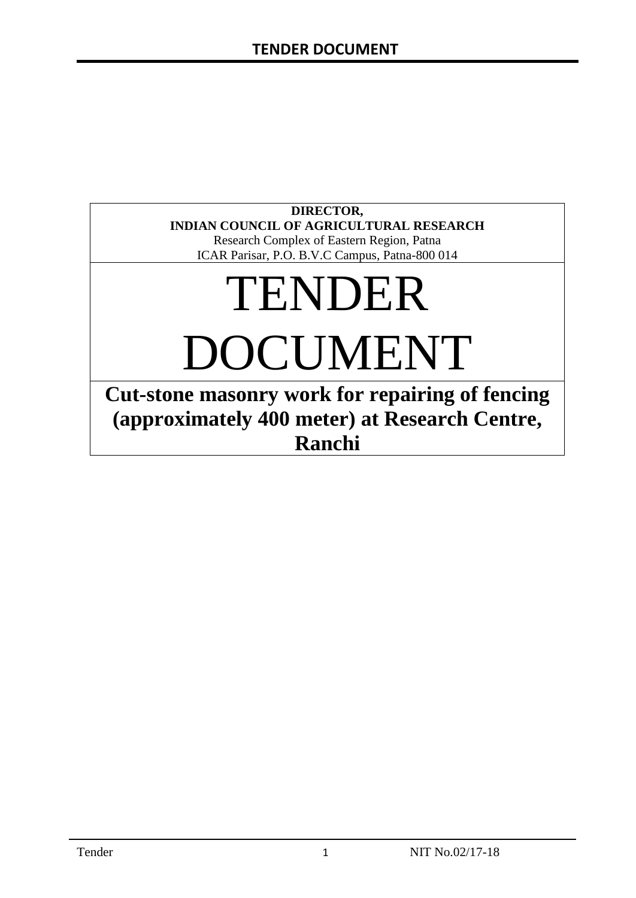# **DIRECTOR, INDIAN COUNCIL OF AGRICULTURAL RESEARCH**

Research Complex of Eastern Region, Patna ICAR Parisar, P.O. B.V.C Campus, Patna-800 014

# TENDER DOCUMENT

**Cut-stone masonry work for repairing of fencing (approximately 400 meter) at Research Centre, Ranchi**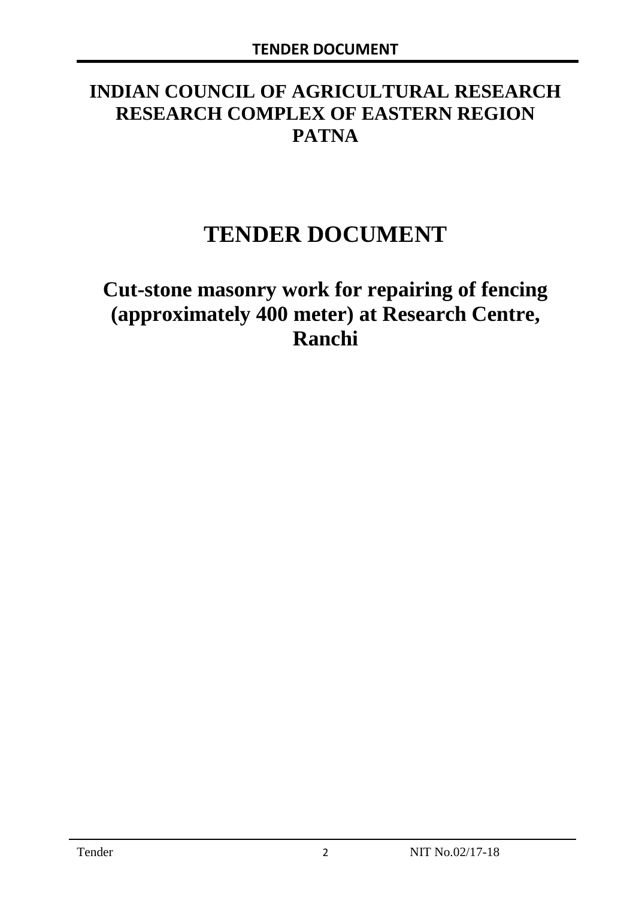# **INDIAN COUNCIL OF AGRICULTURAL RESEARCH RESEARCH COMPLEX OF EASTERN REGION PATNA**

# **TENDER DOCUMENT**

# **Cut-stone masonry work for repairing of fencing (approximately 400 meter) at Research Centre, Ranchi**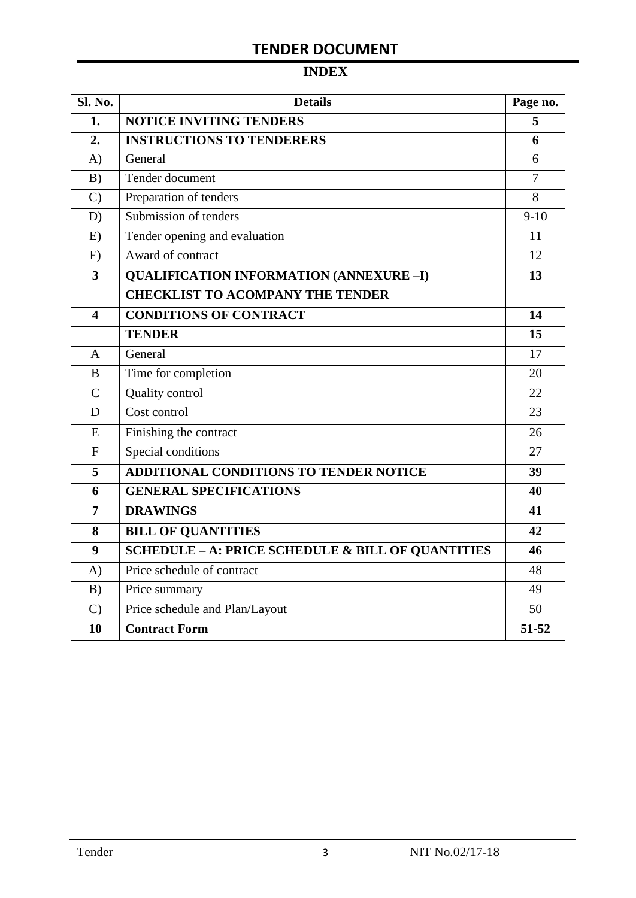# **INDEX**

| Sl. No.                 | <b>Details</b>                                               | Page no.       |
|-------------------------|--------------------------------------------------------------|----------------|
| 1.                      | <b>NOTICE INVITING TENDERS</b>                               | 5              |
| 2.                      | <b>INSTRUCTIONS TO TENDERERS</b>                             | 6              |
| A)                      | General                                                      | 6              |
| B)                      | Tender document                                              | $\overline{7}$ |
| $\mathcal{C}$           | Preparation of tenders                                       | 8              |
| D)                      | Submission of tenders                                        | $9-10$         |
| E)                      | Tender opening and evaluation                                | 11             |
| F)                      | Award of contract                                            | 12             |
| $\overline{\mathbf{3}}$ | <b>QUALIFICATION INFORMATION (ANNEXURE-I)</b>                | 13             |
|                         | <b>CHECKLIST TO ACOMPANY THE TENDER</b>                      |                |
| 4                       | <b>CONDITIONS OF CONTRACT</b>                                | 14             |
|                         | <b>TENDER</b>                                                | 15             |
| $\overline{A}$          | General                                                      | 17             |
| B                       | Time for completion                                          | 20             |
| $\overline{C}$          | Quality control                                              | 22             |
| D                       | Cost control                                                 | 23             |
| E                       | Finishing the contract                                       | 26             |
| $\mathbf{F}$            | Special conditions                                           | 27             |
| 5                       | <b>ADDITIONAL CONDITIONS TO TENDER NOTICE</b>                | 39             |
| 6                       | <b>GENERAL SPECIFICATIONS</b>                                | 40             |
| $\overline{7}$          | <b>DRAWINGS</b>                                              | 41             |
| 8                       | <b>BILL OF QUANTITIES</b>                                    | 42             |
| 9                       | <b>SCHEDULE - A: PRICE SCHEDULE &amp; BILL OF QUANTITIES</b> | 46             |
| A)                      | Price schedule of contract                                   | 48             |
| B)                      | Price summary                                                | 49             |
| $\mathcal{C}$           | Price schedule and Plan/Layout                               | 50             |
| 10                      | <b>Contract Form</b>                                         | 51-52          |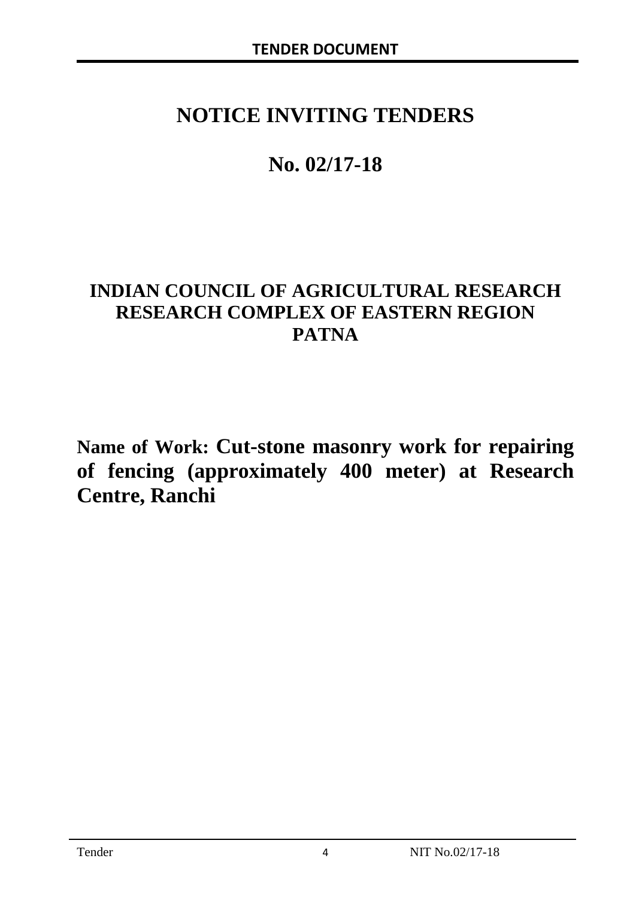# **NOTICE INVITING TENDERS**

# **No. 02/17-18**

# **INDIAN COUNCIL OF AGRICULTURAL RESEARCH RESEARCH COMPLEX OF EASTERN REGION PATNA**

**Name of Work: Cut-stone masonry work for repairing of fencing (approximately 400 meter) at Research Centre, Ranchi**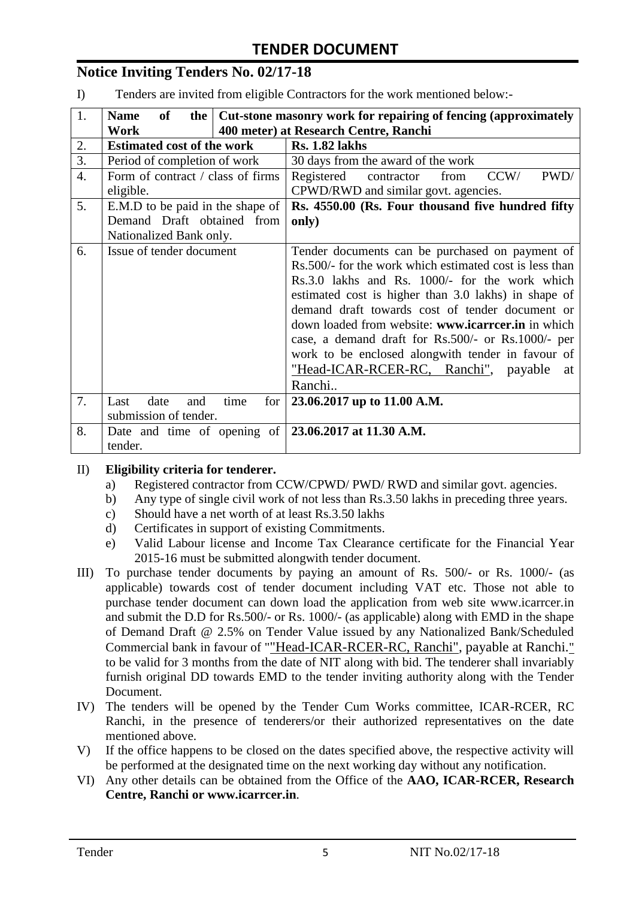# **Notice Inviting Tenders No. 02/17-18**

I) Tenders are invited from eligible Contractors for the work mentioned below:-

| 1.               | <b>of</b><br>Cut-stone masonry work for repairing of fencing (approximately<br><b>Name</b><br>the $\vert$ |             |                                                              |  |
|------------------|-----------------------------------------------------------------------------------------------------------|-------------|--------------------------------------------------------------|--|
|                  | 400 meter) at Research Centre, Ranchi<br>Work                                                             |             |                                                              |  |
| 2.               | <b>Estimated cost of the work</b>                                                                         |             | <b>Rs. 1.82 lakhs</b>                                        |  |
| 3.               | Period of completion of work                                                                              |             | 30 days from the award of the work                           |  |
| $\overline{4}$ . | Form of contract / class of firms                                                                         |             | CCW/<br>PWD/<br>Registered<br>from<br>contractor             |  |
|                  | eligible.                                                                                                 |             | CPWD/RWD and similar govt. agencies.                         |  |
| 5.               | E.M.D to be paid in the shape of                                                                          |             | Rs. 4550.00 (Rs. Four thousand five hundred fifty            |  |
|                  | Demand Draft obtained from                                                                                |             | only)                                                        |  |
|                  | Nationalized Bank only.                                                                                   |             |                                                              |  |
| 6.               | Issue of tender document                                                                                  |             | Tender documents can be purchased on payment of              |  |
|                  |                                                                                                           |             | Rs.500/- for the work which estimated cost is less than      |  |
|                  |                                                                                                           |             | Rs.3.0 lakhs and Rs. 1000/- for the work which               |  |
|                  |                                                                                                           |             | estimated cost is higher than 3.0 lakhs) in shape of         |  |
|                  |                                                                                                           |             | demand draft towards cost of tender document or              |  |
|                  |                                                                                                           |             | down loaded from website: www.icarrcer.in in which           |  |
|                  |                                                                                                           |             | case, a demand draft for Rs.500/- or Rs.1000/- per           |  |
|                  |                                                                                                           |             | work to be enclosed alongwith tender in favour of            |  |
|                  |                                                                                                           |             | "Head-ICAR-RCER-RC, Ranchi", payable<br>at                   |  |
|                  |                                                                                                           |             | Ranchi                                                       |  |
| 7.               | date<br>Last<br>and                                                                                       | time<br>for | 23.06.2017 up to 11.00 A.M.                                  |  |
|                  | submission of tender.                                                                                     |             |                                                              |  |
| 8.               |                                                                                                           |             | Date and time of opening of $\vert$ 23.06.2017 at 11.30 A.M. |  |
|                  | tender.                                                                                                   |             |                                                              |  |

#### II) **Eligibility criteria for tenderer.**

- a) Registered contractor from CCW/CPWD/ PWD/ RWD and similar govt. agencies.
- b) Any type of single civil work of not less than Rs.3.50 lakhs in preceding three years.
- c) Should have a net worth of at least Rs.3.50 lakhs
- d) Certificates in support of existing Commitments.
- e) Valid Labour license and Income Tax Clearance certificate for the Financial Year 2015-16 must be submitted alongwith tender document.
- III) To purchase tender documents by paying an amount of Rs. 500/- or Rs. 1000/- (as applicable) towards cost of tender document including VAT etc. Those not able to purchase tender document can down load the application from web site www.icarrcer.in and submit the D.D for Rs.500/- or Rs. 1000/- (as applicable) along with EMD in the shape of Demand Draft @ 2.5% on Tender Value issued by any Nationalized Bank/Scheduled Commercial bank in favour of ""Head-ICAR-RCER-RC, Ranchi", payable at Ranchi." to be valid for 3 months from the date of NIT along with bid. The tenderer shall invariably furnish original DD towards EMD to the tender inviting authority along with the Tender Document.
- IV) The tenders will be opened by the Tender Cum Works committee, ICAR-RCER, RC Ranchi, in the presence of tenderers/or their authorized representatives on the date mentioned above.
- V) If the office happens to be closed on the dates specified above, the respective activity will be performed at the designated time on the next working day without any notification.
- VI) Any other details can be obtained from the Office of the **AAO, ICAR-RCER, Research Centre, Ranchi or www.icarrcer.in**.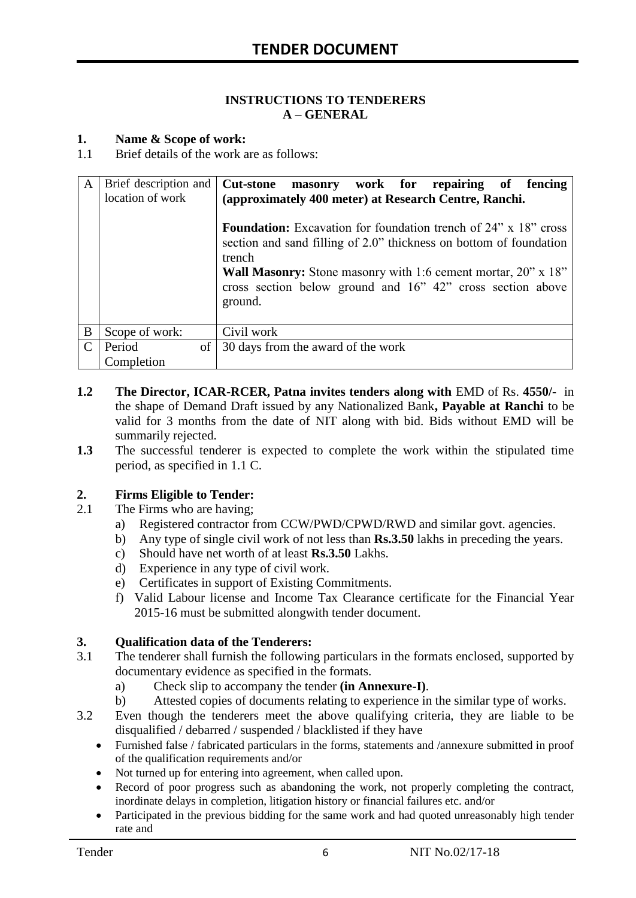#### **INSTRUCTIONS TO TENDERERS A – GENERAL**

#### **1. Name & Scope of work:**

1.1 Brief details of the work are as follows:

| A | Brief description and<br>location of work | masonry work for repairing of fencing<br><b>Cut-stone</b><br>(approximately 400 meter) at Research Centre, Ranchi.                                                                                                                                                                                      |
|---|-------------------------------------------|---------------------------------------------------------------------------------------------------------------------------------------------------------------------------------------------------------------------------------------------------------------------------------------------------------|
|   |                                           | <b>Foundation:</b> Excavation for foundation trench of 24" x 18" cross<br>section and sand filling of 2.0" thickness on bottom of foundation<br>trench<br><b>Wall Masonry:</b> Stone masonry with 1:6 cement mortar, 20" x 18"<br>cross section below ground and 16" 42" cross section above<br>ground. |
| B | Scope of work:                            | Civil work                                                                                                                                                                                                                                                                                              |
|   | Period<br>of                              | 30 days from the award of the work                                                                                                                                                                                                                                                                      |
|   | Completion                                |                                                                                                                                                                                                                                                                                                         |

- **1.2** The Director, ICAR-RCER, Patna invites tenders along with EMD of Rs. 4550/- in the shape of Demand Draft issued by any Nationalized Bank**, Payable at Ranchi** to be valid for 3 months from the date of NIT along with bid. Bids without EMD will be summarily rejected.
- **1.3** The successful tenderer is expected to complete the work within the stipulated time period, as specified in 1.1 C.

#### **2. Firms Eligible to Tender:**

- 2.1 The Firms who are having;
	- a) Registered contractor from CCW/PWD/CPWD/RWD and similar govt. agencies.
	- b) Any type of single civil work of not less than **Rs.3.50** lakhs in preceding the years.
	- c) Should have net worth of at least **Rs.3.50** Lakhs.
	- d) Experience in any type of civil work.
	- e) Certificates in support of Existing Commitments.
	- f) Valid Labour license and Income Tax Clearance certificate for the Financial Year 2015-16 must be submitted alongwith tender document.

#### **3. Qualification data of the Tenderers:**

- 3.1 The tenderer shall furnish the following particulars in the formats enclosed, supported by documentary evidence as specified in the formats.
	- a) Check slip to accompany the tender **(in Annexure-I)**.
	- b) Attested copies of documents relating to experience in the similar type of works.
- 3.2 Even though the tenderers meet the above qualifying criteria, they are liable to be disqualified / debarred / suspended / blacklisted if they have
	- Furnished false / fabricated particulars in the forms, statements and /annexure submitted in proof of the qualification requirements and/or
	- Not turned up for entering into agreement, when called upon.
	- Record of poor progress such as abandoning the work, not properly completing the contract, inordinate delays in completion, litigation history or financial failures etc. and/or
	- Participated in the previous bidding for the same work and had quoted unreasonably high tender rate and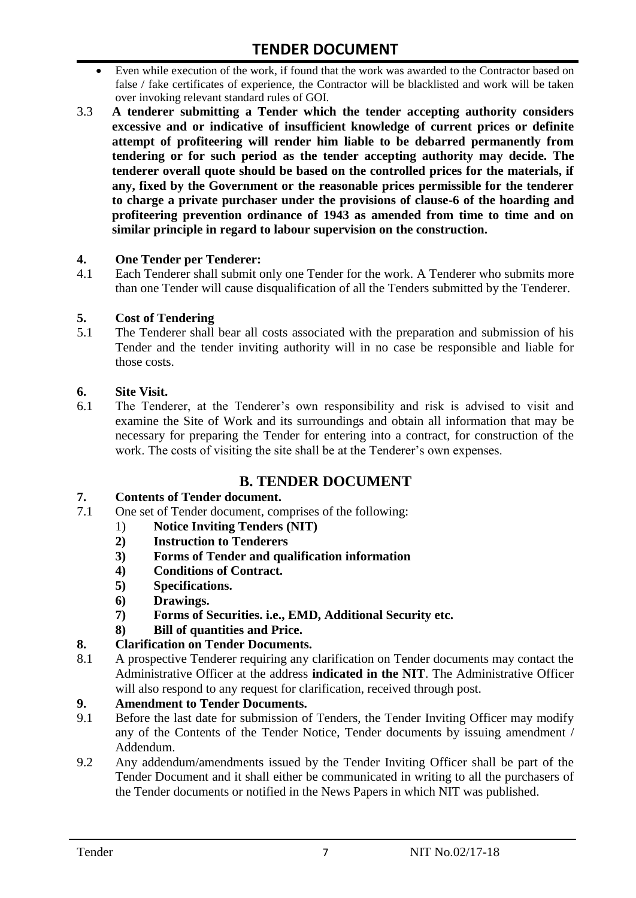- Even while execution of the work, if found that the work was awarded to the Contractor based on false / fake certificates of experience, the Contractor will be blacklisted and work will be taken over invoking relevant standard rules of GOI.
- 3.3 **A tenderer submitting a Tender which the tender accepting authority considers excessive and or indicative of insufficient knowledge of current prices or definite attempt of profiteering will render him liable to be debarred permanently from tendering or for such period as the tender accepting authority may decide. The tenderer overall quote should be based on the controlled prices for the materials, if any, fixed by the Government or the reasonable prices permissible for the tenderer to charge a private purchaser under the provisions of clause-6 of the hoarding and profiteering prevention ordinance of 1943 as amended from time to time and on similar principle in regard to labour supervision on the construction.**

#### **4. One Tender per Tenderer:**

4.1 Each Tenderer shall submit only one Tender for the work. A Tenderer who submits more than one Tender will cause disqualification of all the Tenders submitted by the Tenderer.

#### **5. Cost of Tendering**

5.1 The Tenderer shall bear all costs associated with the preparation and submission of his Tender and the tender inviting authority will in no case be responsible and liable for those costs.

#### **6. Site Visit.**

6.1 The Tenderer, at the Tenderer"s own responsibility and risk is advised to visit and examine the Site of Work and its surroundings and obtain all information that may be necessary for preparing the Tender for entering into a contract, for construction of the work. The costs of visiting the site shall be at the Tenderer's own expenses.

# **B. TENDER DOCUMENT**

#### **7. Contents of Tender document.**

- 7.1 One set of Tender document, comprises of the following:
	- 1) **Notice Inviting Tenders (NIT)**
	- **2) Instruction to Tenderers**
	- **3) Forms of Tender and qualification information**
	- **4) Conditions of Contract.**
	- **5) Specifications.**
	- **6) Drawings.**
	- **7) Forms of Securities. i.e., EMD, Additional Security etc.**
	- **8) Bill of quantities and Price.**

## **8. Clarification on Tender Documents.**

8.1 A prospective Tenderer requiring any clarification on Tender documents may contact the Administrative Officer at the address **indicated in the NIT**. The Administrative Officer will also respond to any request for clarification, received through post.

# **9. Amendment to Tender Documents.**<br>9.1 Before the last date for submission of

- Before the last date for submission of Tenders, the Tender Inviting Officer may modify any of the Contents of the Tender Notice, Tender documents by issuing amendment / Addendum.
- 9.2 Any addendum/amendments issued by the Tender Inviting Officer shall be part of the Tender Document and it shall either be communicated in writing to all the purchasers of the Tender documents or notified in the News Papers in which NIT was published.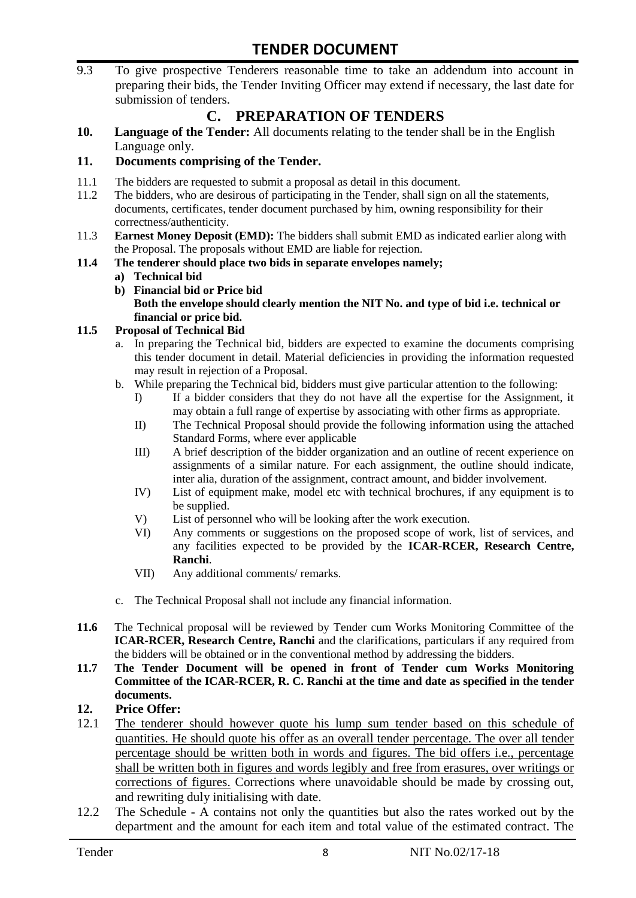9.3 To give prospective Tenderers reasonable time to take an addendum into account in preparing their bids, the Tender Inviting Officer may extend if necessary, the last date for submission of tenders.

# **C. PREPARATION OF TENDERS**

**10. Language of the Tender:** All documents relating to the tender shall be in the English Language only.

### **11. Documents comprising of the Tender.**

- 11.1 The bidders are requested to submit a proposal as detail in this document.
- 11.2 The bidders, who are desirous of participating in the Tender, shall sign on all the statements, documents, certificates, tender document purchased by him, owning responsibility for their correctness/authenticity.
- 11.3 **Earnest Money Deposit (EMD):** The bidders shall submit EMD as indicated earlier along with the Proposal. The proposals without EMD are liable for rejection.
- **11.4 The tenderer should place two bids in separate envelopes namely;**
	- **a) Technical bid**
	- **b) Financial bid or Price bid Both the envelope should clearly mention the NIT No. and type of bid i.e. technical or financial or price bid.**

#### **11.5 Proposal of Technical Bid**

- a. In preparing the Technical bid, bidders are expected to examine the documents comprising this tender document in detail. Material deficiencies in providing the information requested may result in rejection of a Proposal.
- b. While preparing the Technical bid, bidders must give particular attention to the following:
	- I) If a bidder considers that they do not have all the expertise for the Assignment, it may obtain a full range of expertise by associating with other firms as appropriate.
	- II) The Technical Proposal should provide the following information using the attached Standard Forms, where ever applicable
	- III) A brief description of the bidder organization and an outline of recent experience on assignments of a similar nature. For each assignment, the outline should indicate, inter alia, duration of the assignment, contract amount, and bidder involvement.
	- IV) List of equipment make, model etc with technical brochures, if any equipment is to be supplied.
	- V) List of personnel who will be looking after the work execution.
	- VI) Any comments or suggestions on the proposed scope of work, list of services, and any facilities expected to be provided by the **ICAR-RCER, Research Centre, Ranchi**.
	- VII) Any additional comments/ remarks.
- c. The Technical Proposal shall not include any financial information.
- **11.6** The Technical proposal will be reviewed by Tender cum Works Monitoring Committee of the **ICAR-RCER, Research Centre, Ranchi** and the clarifications, particulars if any required from the bidders will be obtained or in the conventional method by addressing the bidders.
- **11.7 The Tender Document will be opened in front of Tender cum Works Monitoring Committee of the ICAR-RCER, R. C. Ranchi at the time and date as specified in the tender documents.**

#### **12. Price Offer:**

- 12.1 The tenderer should however quote his lump sum tender based on this schedule of quantities. He should quote his offer as an overall tender percentage. The over all tender percentage should be written both in words and figures. The bid offers i.e., percentage shall be written both in figures and words legibly and free from erasures, over writings or corrections of figures. Corrections where unavoidable should be made by crossing out, and rewriting duly initialising with date.
- 12.2 The Schedule A contains not only the quantities but also the rates worked out by the department and the amount for each item and total value of the estimated contract. The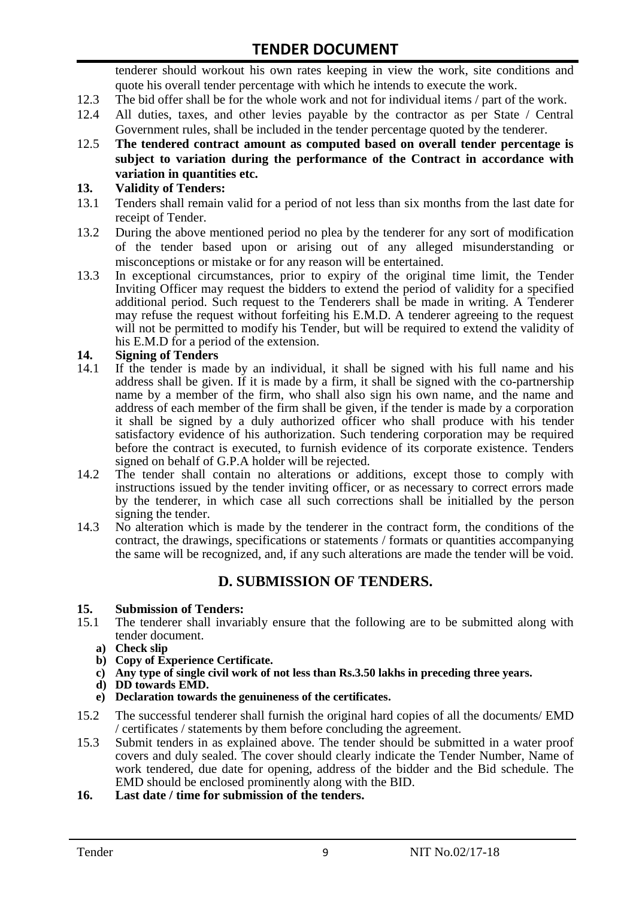tenderer should workout his own rates keeping in view the work, site conditions and quote his overall tender percentage with which he intends to execute the work.

- 12.3 The bid offer shall be for the whole work and not for individual items / part of the work.
- 12.4 All duties, taxes, and other levies payable by the contractor as per State / Central Government rules, shall be included in the tender percentage quoted by the tenderer.
- 12.5 **The tendered contract amount as computed based on overall tender percentage is subject to variation during the performance of the Contract in accordance with variation in quantities etc.**

#### **13. Validity of Tenders:**

- 13.1 Tenders shall remain valid for a period of not less than six months from the last date for receipt of Tender.
- 13.2 During the above mentioned period no plea by the tenderer for any sort of modification of the tender based upon or arising out of any alleged misunderstanding or misconceptions or mistake or for any reason will be entertained.
- 13.3 In exceptional circumstances, prior to expiry of the original time limit, the Tender Inviting Officer may request the bidders to extend the period of validity for a specified additional period. Such request to the Tenderers shall be made in writing. A Tenderer may refuse the request without forfeiting his E.M.D. A tenderer agreeing to the request will not be permitted to modify his Tender, but will be required to extend the validity of his E.M.D for a period of the extension.

#### **14. Signing of Tenders**

- 14.1 If the tender is made by an individual, it shall be signed with his full name and his address shall be given. If it is made by a firm, it shall be signed with the co-partnership name by a member of the firm, who shall also sign his own name, and the name and address of each member of the firm shall be given, if the tender is made by a corporation it shall be signed by a duly authorized officer who shall produce with his tender satisfactory evidence of his authorization. Such tendering corporation may be required before the contract is executed, to furnish evidence of its corporate existence. Tenders signed on behalf of G.P.A holder will be rejected.
- 14.2 The tender shall contain no alterations or additions, except those to comply with instructions issued by the tender inviting officer, or as necessary to correct errors made by the tenderer, in which case all such corrections shall be initialled by the person signing the tender.
- 14.3 No alteration which is made by the tenderer in the contract form, the conditions of the contract, the drawings, specifications or statements / formats or quantities accompanying the same will be recognized, and, if any such alterations are made the tender will be void.

## **D. SUBMISSION OF TENDERS.**

# **15. Submission of Tenders:**

- The tenderer shall invariably ensure that the following are to be submitted along with tender document.
	- **a) Check slip**
	- **b) Copy of Experience Certificate.**
	- **c) Any type of single civil work of not less than Rs.3.50 lakhs in preceding three years.**
	- **d) DD towards EMD.**
	- **e) Declaration towards the genuineness of the certificates.**
- 15.2 The successful tenderer shall furnish the original hard copies of all the documents/ EMD / certificates / statements by them before concluding the agreement.
- 15.3 Submit tenders in as explained above. The tender should be submitted in a water proof covers and duly sealed. The cover should clearly indicate the Tender Number, Name of work tendered, due date for opening, address of the bidder and the Bid schedule. The EMD should be enclosed prominently along with the BID.
- **16. Last date / time for submission of the tenders.**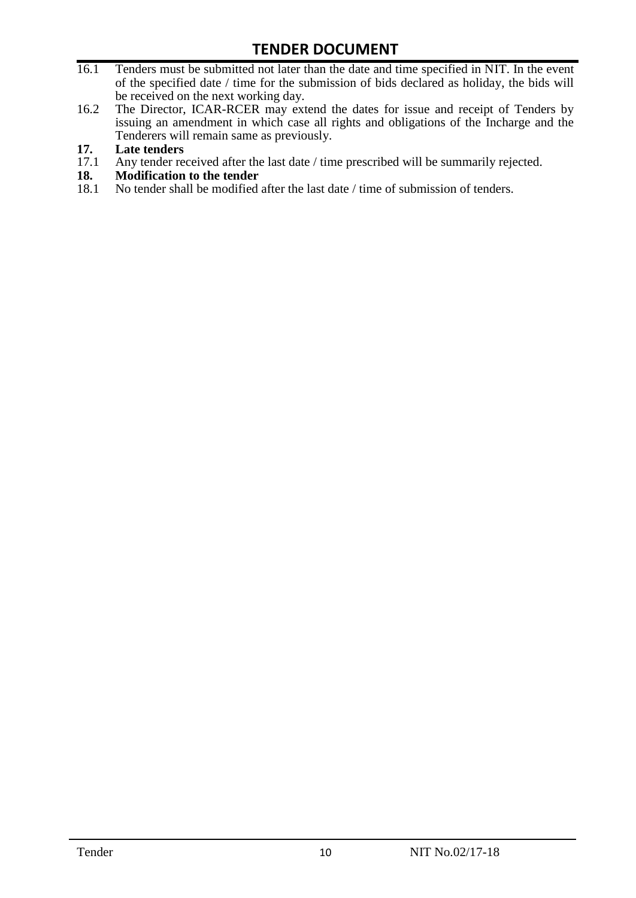- 16.1 Tenders must be submitted not later than the date and time specified in NIT. In the event of the specified date / time for the submission of bids declared as holiday, the bids will be received on the next working day.
- 16.2 The Director, ICAR-RCER may extend the dates for issue and receipt of Tenders by issuing an amendment in which case all rights and obligations of the Incharge and the Tenderers will remain same as previously.

# **17. Late tenders**

- 17.1 Any tender received after the last date / time prescribed will be summarily rejected.<br>18. Modification to the tender
- **18. Modification to the tender**<br>18.1 No tender shall be modified
- No tender shall be modified after the last date / time of submission of tenders.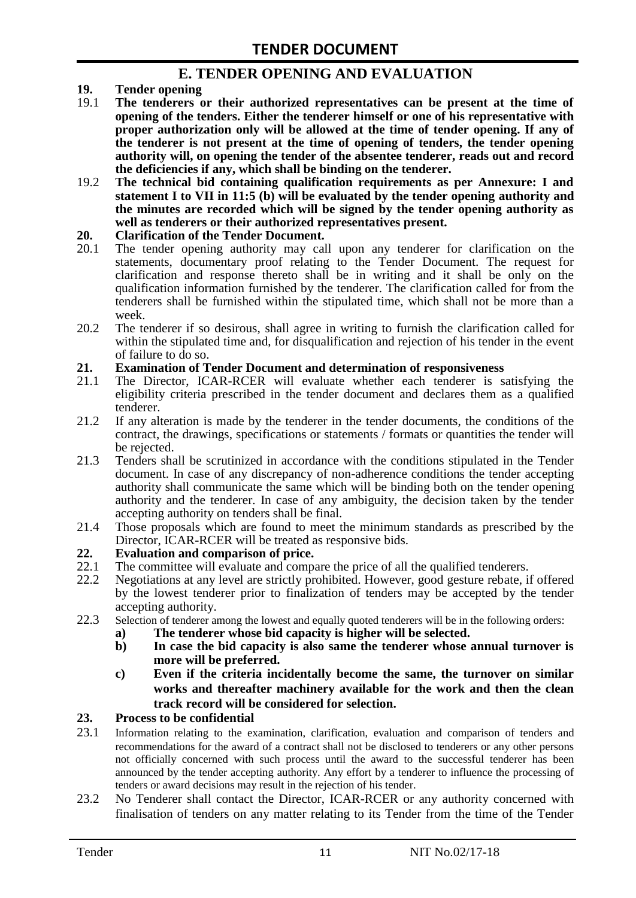# **E. TENDER OPENING AND EVALUATION**

- **19. Tender opening**
- 19.1 **The tenderers or their authorized representatives can be present at the time of opening of the tenders. Either the tenderer himself or one of his representative with proper authorization only will be allowed at the time of tender opening. If any of the tenderer is not present at the time of opening of tenders, the tender opening authority will, on opening the tender of the absentee tenderer, reads out and record the deficiencies if any, which shall be binding on the tenderer.**
- 19.2 **The technical bid containing qualification requirements as per Annexure: I and statement I to VII in 11:5 (b) will be evaluated by the tender opening authority and the minutes are recorded which will be signed by the tender opening authority as well as tenderers or their authorized representatives present.**

#### **20. Clarification of the Tender Document.**

- 20.1 The tender opening authority may call upon any tenderer for clarification on the statements, documentary proof relating to the Tender Document. The request for clarification and response thereto shall be in writing and it shall be only on the qualification information furnished by the tenderer. The clarification called for from the tenderers shall be furnished within the stipulated time, which shall not be more than a week.
- 20.2 The tenderer if so desirous, shall agree in writing to furnish the clarification called for within the stipulated time and, for disqualification and rejection of his tender in the event of failure to do so.

# **21. Examination of Tender Document and determination of responsiveness**

- 21.1 The Director, ICAR-RCER will evaluate whether each tenderer is satisfying the eligibility criteria prescribed in the tender document and declares them as a qualified tenderer.
- 21.2 If any alteration is made by the tenderer in the tender documents, the conditions of the contract, the drawings, specifications or statements / formats or quantities the tender will be rejected.
- 21.3 Tenders shall be scrutinized in accordance with the conditions stipulated in the Tender document. In case of any discrepancy of non-adherence conditions the tender accepting authority shall communicate the same which will be binding both on the tender opening authority and the tenderer. In case of any ambiguity, the decision taken by the tender accepting authority on tenders shall be final.
- 21.4 Those proposals which are found to meet the minimum standards as prescribed by the Director, ICAR-RCER will be treated as responsive bids.

# **22. Evaluation and comparison of price.**

- The committee will evaluate and compare the price of all the qualified tenderers.
- 22.2 Negotiations at any level are strictly prohibited. However, good gesture rebate, if offered by the lowest tenderer prior to finalization of tenders may be accepted by the tender accepting authority.
- 22.3 Selection of tenderer among the lowest and equally quoted tenderers will be in the following orders:
	- **a) The tenderer whose bid capacity is higher will be selected.**
	- **b) In case the bid capacity is also same the tenderer whose annual turnover is more will be preferred.**
	- **c) Even if the criteria incidentally become the same, the turnover on similar works and thereafter machinery available for the work and then the clean track record will be considered for selection.**

#### **23. Process to be confidential**

- 23.1 Information relating to the examination, clarification, evaluation and comparison of tenders and recommendations for the award of a contract shall not be disclosed to tenderers or any other persons not officially concerned with such process until the award to the successful tenderer has been announced by the tender accepting authority. Any effort by a tenderer to influence the processing of tenders or award decisions may result in the rejection of his tender.
- 23.2 No Tenderer shall contact the Director, ICAR-RCER or any authority concerned with finalisation of tenders on any matter relating to its Tender from the time of the Tender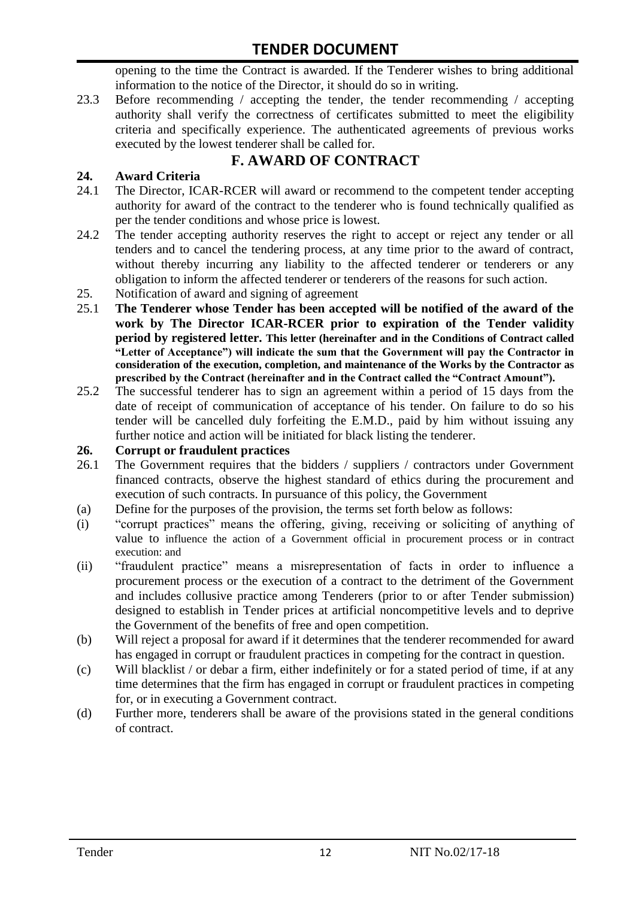opening to the time the Contract is awarded. If the Tenderer wishes to bring additional information to the notice of the Director, it should do so in writing.

23.3 Before recommending / accepting the tender, the tender recommending / accepting authority shall verify the correctness of certificates submitted to meet the eligibility criteria and specifically experience. The authenticated agreements of previous works executed by the lowest tenderer shall be called for.

# **F. AWARD OF CONTRACT**

# **24. Award Criteria**

- 24.1 The Director, ICAR-RCER will award or recommend to the competent tender accepting authority for award of the contract to the tenderer who is found technically qualified as per the tender conditions and whose price is lowest.
- 24.2 The tender accepting authority reserves the right to accept or reject any tender or all tenders and to cancel the tendering process, at any time prior to the award of contract, without thereby incurring any liability to the affected tenderer or tenderers or any obligation to inform the affected tenderer or tenderers of the reasons for such action.
- 25. Notification of award and signing of agreement
- 25.1 **The Tenderer whose Tender has been accepted will be notified of the award of the work by The Director ICAR-RCER prior to expiration of the Tender validity period by registered letter. This letter (hereinafter and in the Conditions of Contract called "Letter of Acceptance") will indicate the sum that the Government will pay the Contractor in consideration of the execution, completion, and maintenance of the Works by the Contractor as prescribed by the Contract (hereinafter and in the Contract called the "Contract Amount").**
- 25.2 The successful tenderer has to sign an agreement within a period of 15 days from the date of receipt of communication of acceptance of his tender. On failure to do so his tender will be cancelled duly forfeiting the E.M.D., paid by him without issuing any further notice and action will be initiated for black listing the tenderer.

### **26. Corrupt or fraudulent practices**

- 26.1 The Government requires that the bidders / suppliers / contractors under Government financed contracts, observe the highest standard of ethics during the procurement and execution of such contracts. In pursuance of this policy, the Government
- (a) Define for the purposes of the provision, the terms set forth below as follows:
- (i) "corrupt practices" means the offering, giving, receiving or soliciting of anything of value to influence the action of a Government official in procurement process or in contract execution: and
- (ii) "fraudulent practice" means a misrepresentation of facts in order to influence a procurement process or the execution of a contract to the detriment of the Government and includes collusive practice among Tenderers (prior to or after Tender submission) designed to establish in Tender prices at artificial noncompetitive levels and to deprive the Government of the benefits of free and open competition.
- (b) Will reject a proposal for award if it determines that the tenderer recommended for award has engaged in corrupt or fraudulent practices in competing for the contract in question.
- (c) Will blacklist / or debar a firm, either indefinitely or for a stated period of time, if at any time determines that the firm has engaged in corrupt or fraudulent practices in competing for, or in executing a Government contract.
- (d) Further more, tenderers shall be aware of the provisions stated in the general conditions of contract.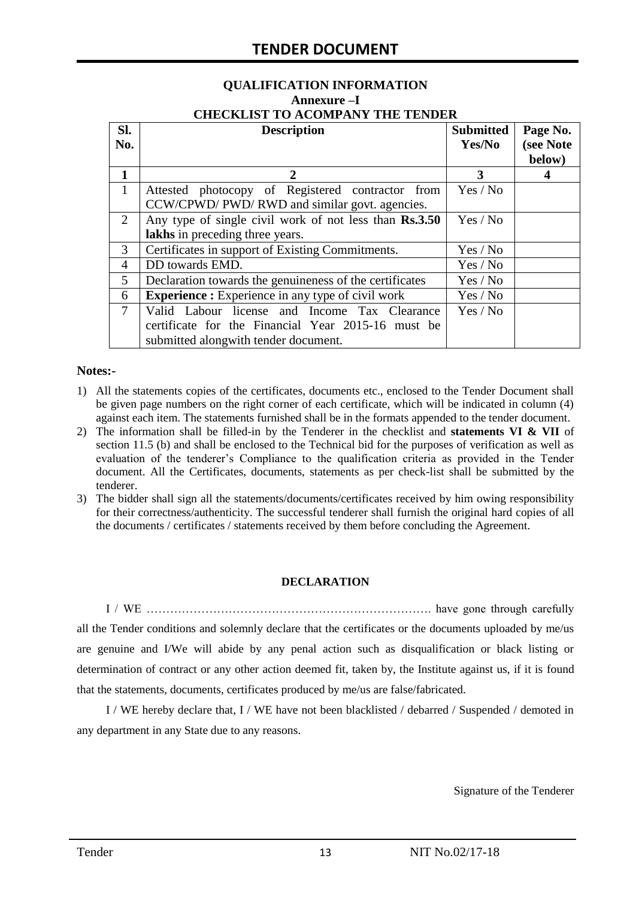#### **QUALIFICATION INFORMATION Annexure –I CHECKLIST TO ACOMPANY THE TENDER**

| Sl.<br>No.     | <b>Description</b>                                                                                                                          | <b>Submitted</b><br>Yes/No | Page No.<br>(see Note<br>below) |
|----------------|---------------------------------------------------------------------------------------------------------------------------------------------|----------------------------|---------------------------------|
| 1              | $\mathcal{D}_{\cdot}$                                                                                                                       | 3                          |                                 |
| $\mathbf{1}$   | Attested photocopy of Registered contractor from<br>CCW/CPWD/ PWD/ RWD and similar govt. agencies.                                          | Yes / No                   |                                 |
| 2              | Any type of single civil work of not less than Rs.3.50<br>lakhs in preceding three years.                                                   | Yes / No                   |                                 |
| 3              | Certificates in support of Existing Commitments.                                                                                            | Yes / No                   |                                 |
| 4              | DD towards EMD.                                                                                                                             | Yes / No                   |                                 |
| 5              | Declaration towards the genuineness of the certificates                                                                                     | Yes / No                   |                                 |
| 6              | <b>Experience :</b> Experience in any type of civil work                                                                                    | Yes / No                   |                                 |
| $\overline{7}$ | Valid Labour license and Income Tax Clearance<br>certificate for the Financial Year 2015-16 must be<br>submitted alongwith tender document. | Yes / No                   |                                 |

#### **Notes:-**

- 1) All the statements copies of the certificates, documents etc., enclosed to the Tender Document shall be given page numbers on the right corner of each certificate, which will be indicated in column (4) against each item. The statements furnished shall be in the formats appended to the tender document.
- 2) The information shall be filled-in by the Tenderer in the checklist and **statements VI & VII** of section 11.5 (b) and shall be enclosed to the Technical bid for the purposes of verification as well as evaluation of the tenderer"s Compliance to the qualification criteria as provided in the Tender document. All the Certificates, documents, statements as per check-list shall be submitted by the tenderer.
- 3) The bidder shall sign all the statements/documents/certificates received by him owing responsibility for their correctness/authenticity. The successful tenderer shall furnish the original hard copies of all the documents / certificates / statements received by them before concluding the Agreement.

#### **DECLARATION**

I / WE ………………………………………………………………. have gone through carefully all the Tender conditions and solemnly declare that the certificates or the documents uploaded by me/us are genuine and I/We will abide by any penal action such as disqualification or black listing or determination of contract or any other action deemed fit, taken by, the Institute against us, if it is found that the statements, documents, certificates produced by me/us are false/fabricated.

I / WE hereby declare that, I / WE have not been blacklisted / debarred / Suspended / demoted in any department in any State due to any reasons.

Signature of the Tenderer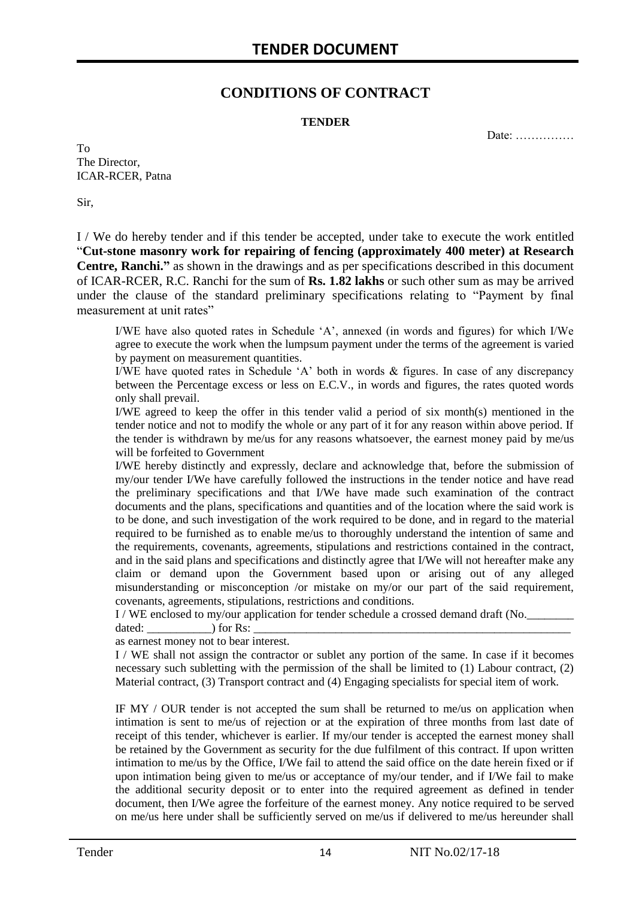# **CONDITIONS OF CONTRACT**

#### **TENDER**

Date: ……………

To The Director, ICAR-RCER, Patna

Sir,

I / We do hereby tender and if this tender be accepted, under take to execute the work entitled "**Cut-stone masonry work for repairing of fencing (approximately 400 meter) at Research Centre, Ranchi."** as shown in the drawings and as per specifications described in this document of ICAR-RCER, R.C. Ranchi for the sum of **Rs. 1.82 lakhs** or such other sum as may be arrived under the clause of the standard preliminary specifications relating to "Payment by final measurement at unit rates"

I/WE have also quoted rates in Schedule "A", annexed (in words and figures) for which I/We agree to execute the work when the lumpsum payment under the terms of the agreement is varied by payment on measurement quantities.

I/WE have quoted rates in Schedule "A" both in words & figures. In case of any discrepancy between the Percentage excess or less on E.C.V., in words and figures, the rates quoted words only shall prevail.

I/WE agreed to keep the offer in this tender valid a period of six month(s) mentioned in the tender notice and not to modify the whole or any part of it for any reason within above period. If the tender is withdrawn by me/us for any reasons whatsoever, the earnest money paid by me/us will be forfeited to Government

I/WE hereby distinctly and expressly, declare and acknowledge that, before the submission of my/our tender I/We have carefully followed the instructions in the tender notice and have read the preliminary specifications and that I/We have made such examination of the contract documents and the plans, specifications and quantities and of the location where the said work is to be done, and such investigation of the work required to be done, and in regard to the material required to be furnished as to enable me/us to thoroughly understand the intention of same and the requirements, covenants, agreements, stipulations and restrictions contained in the contract, and in the said plans and specifications and distinctly agree that I/We will not hereafter make any claim or demand upon the Government based upon or arising out of any alleged misunderstanding or misconception /or mistake on my/or our part of the said requirement, covenants, agreements, stipulations, restrictions and conditions.

I / WE enclosed to my/our application for tender schedule a crossed demand draft (No.

dated:  $\qquad \qquad$  ) for Rs:

as earnest money not to bear interest.

I / WE shall not assign the contractor or sublet any portion of the same. In case if it becomes necessary such subletting with the permission of the shall be limited to (1) Labour contract, (2) Material contract, (3) Transport contract and (4) Engaging specialists for special item of work.

IF MY / OUR tender is not accepted the sum shall be returned to me/us on application when intimation is sent to me/us of rejection or at the expiration of three months from last date of receipt of this tender, whichever is earlier. If my/our tender is accepted the earnest money shall be retained by the Government as security for the due fulfilment of this contract. If upon written intimation to me/us by the Office, I/We fail to attend the said office on the date herein fixed or if upon intimation being given to me/us or acceptance of my/our tender, and if I/We fail to make the additional security deposit or to enter into the required agreement as defined in tender document, then I/We agree the forfeiture of the earnest money. Any notice required to be served on me/us here under shall be sufficiently served on me/us if delivered to me/us hereunder shall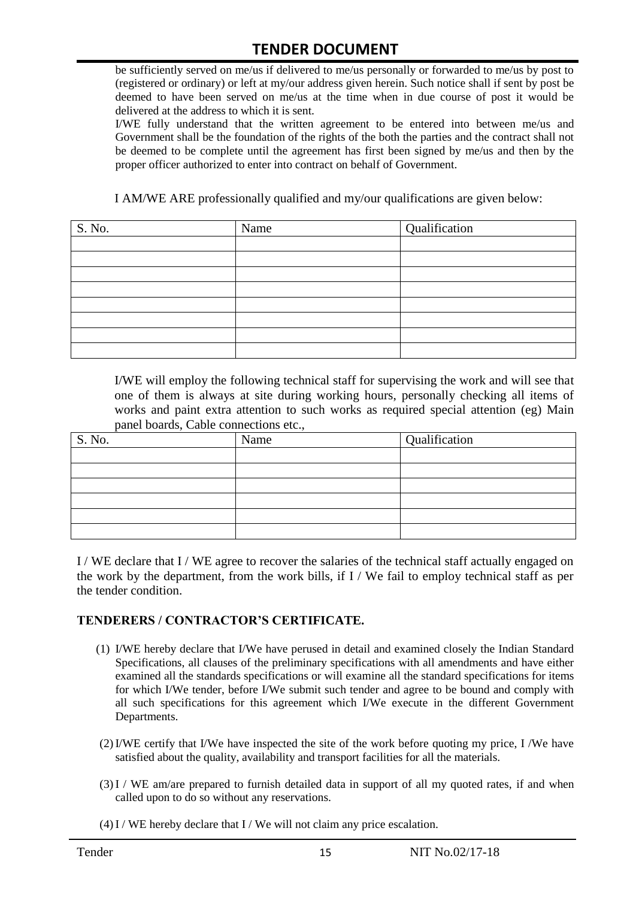be sufficiently served on me/us if delivered to me/us personally or forwarded to me/us by post to (registered or ordinary) or left at my/our address given herein. Such notice shall if sent by post be deemed to have been served on me/us at the time when in due course of post it would be delivered at the address to which it is sent.

I/WE fully understand that the written agreement to be entered into between me/us and Government shall be the foundation of the rights of the both the parties and the contract shall not be deemed to be complete until the agreement has first been signed by me/us and then by the proper officer authorized to enter into contract on behalf of Government.

I AM/WE ARE professionally qualified and my/our qualifications are given below:

| S. No. | Name | Qualification |
|--------|------|---------------|
|        |      |               |
|        |      |               |
|        |      |               |
|        |      |               |
|        |      |               |
|        |      |               |
|        |      |               |
|        |      |               |

I/WE will employ the following technical staff for supervising the work and will see that one of them is always at site during working hours, personally checking all items of works and paint extra attention to such works as required special attention (eg) Main panel boards, Cable connections etc.,

| S. No. | Name | Qualification |
|--------|------|---------------|
|        |      |               |
|        |      |               |
|        |      |               |
|        |      |               |
|        |      |               |
|        |      |               |

I / WE declare that I / WE agree to recover the salaries of the technical staff actually engaged on the work by the department, from the work bills, if I / We fail to employ technical staff as per the tender condition.

#### **TENDERERS / CONTRACTOR'S CERTIFICATE.**

- (1) I/WE hereby declare that I/We have perused in detail and examined closely the Indian Standard Specifications, all clauses of the preliminary specifications with all amendments and have either examined all the standards specifications or will examine all the standard specifications for items for which I/We tender, before I/We submit such tender and agree to be bound and comply with all such specifications for this agreement which I/We execute in the different Government Departments.
- (2)I/WE certify that I/We have inspected the site of the work before quoting my price, I /We have satisfied about the quality, availability and transport facilities for all the materials.
- (3)I / WE am/are prepared to furnish detailed data in support of all my quoted rates, if and when called upon to do so without any reservations.
- $(4)$  I / WE hereby declare that I / We will not claim any price escalation.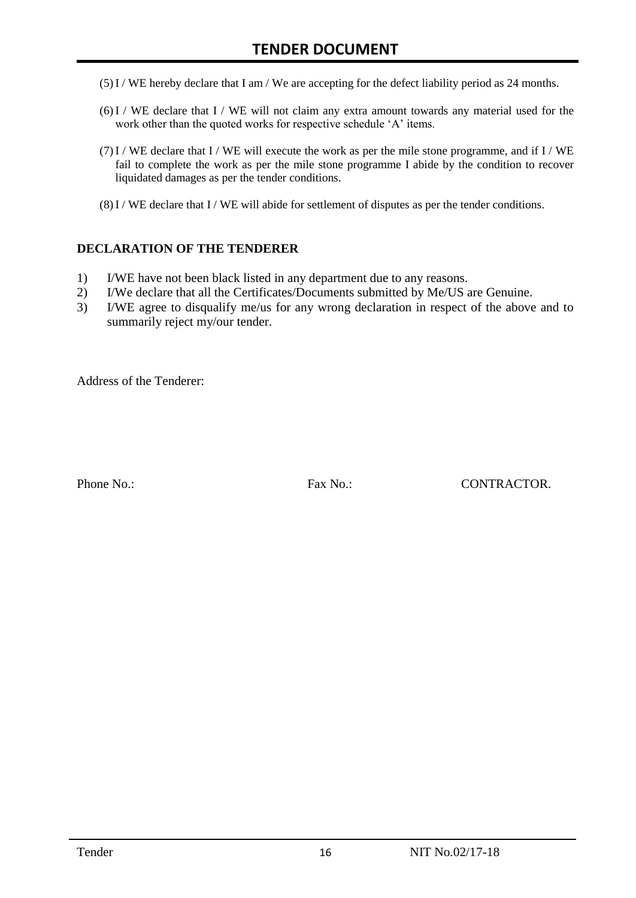- (5)I / WE hereby declare that I am / We are accepting for the defect liability period as 24 months.
- (6)I / WE declare that I / WE will not claim any extra amount towards any material used for the work other than the quoted works for respective schedule 'A' items.
- $(7)$ I / WE declare that I / WE will execute the work as per the mile stone programme, and if I / WE fail to complete the work as per the mile stone programme I abide by the condition to recover liquidated damages as per the tender conditions.
- $(8)$ I / WE declare that I / WE will abide for settlement of disputes as per the tender conditions.

#### **DECLARATION OF THE TENDERER**

- 1) I/WE have not been black listed in any department due to any reasons.
- 2) I/We declare that all the Certificates/Documents submitted by Me/US are Genuine.
- 3) I/WE agree to disqualify me/us for any wrong declaration in respect of the above and to summarily reject my/our tender.

Address of the Tenderer:

Phone No.: Fax No.: CONTRACTOR.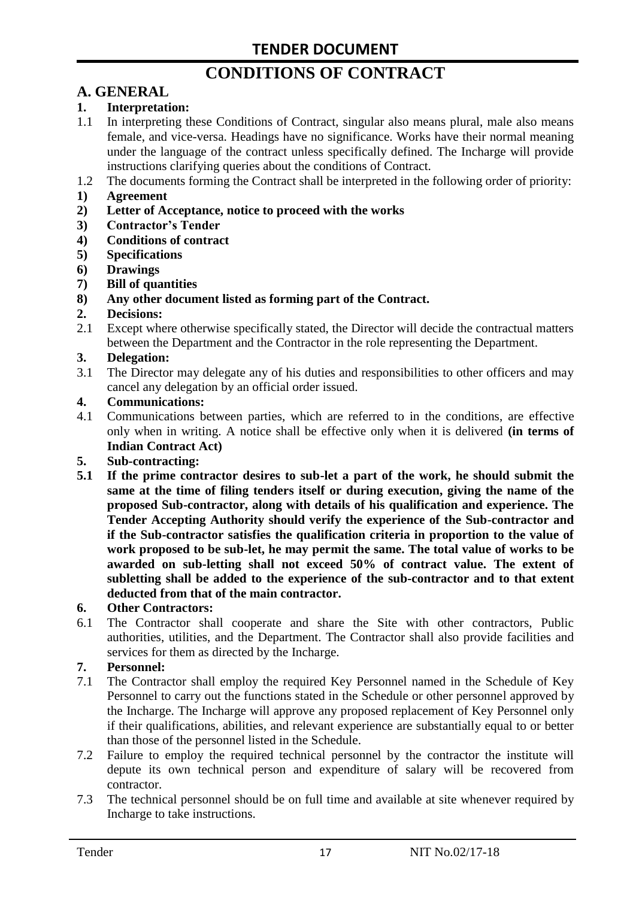# **CONDITIONS OF CONTRACT**

# **A. GENERAL**

#### **1. Interpretation:**

- 1.1 In interpreting these Conditions of Contract, singular also means plural, male also means female, and vice-versa. Headings have no significance. Works have their normal meaning under the language of the contract unless specifically defined. The Incharge will provide instructions clarifying queries about the conditions of Contract.
- 1.2 The documents forming the Contract shall be interpreted in the following order of priority:
- **1) Agreement**
- **2) Letter of Acceptance, notice to proceed with the works**
- **3) Contractor's Tender**
- **4) Conditions of contract**
- **5) Specifications**
- **6) Drawings**
- **7) Bill of quantities**
- **8) Any other document listed as forming part of the Contract.**

#### **2. Decisions:**

2.1 Except where otherwise specifically stated, the Director will decide the contractual matters between the Department and the Contractor in the role representing the Department.

#### **3. Delegation:**

3.1 The Director may delegate any of his duties and responsibilities to other officers and may cancel any delegation by an official order issued.

#### **4. Communications:**

4.1 Communications between parties, which are referred to in the conditions, are effective only when in writing. A notice shall be effective only when it is delivered **(in terms of Indian Contract Act)**

#### **5. Sub-contracting:**

**5.1 If the prime contractor desires to sub-let a part of the work, he should submit the same at the time of filing tenders itself or during execution, giving the name of the proposed Sub-contractor, along with details of his qualification and experience. The Tender Accepting Authority should verify the experience of the Sub-contractor and if the Sub-contractor satisfies the qualification criteria in proportion to the value of work proposed to be sub-let, he may permit the same. The total value of works to be awarded on sub-letting shall not exceed 50% of contract value. The extent of subletting shall be added to the experience of the sub-contractor and to that extent deducted from that of the main contractor.**

#### **6. Other Contractors:**

6.1 The Contractor shall cooperate and share the Site with other contractors, Public authorities, utilities, and the Department. The Contractor shall also provide facilities and services for them as directed by the Incharge.

#### **7. Personnel:**

- 7.1 The Contractor shall employ the required Key Personnel named in the Schedule of Key Personnel to carry out the functions stated in the Schedule or other personnel approved by the Incharge. The Incharge will approve any proposed replacement of Key Personnel only if their qualifications, abilities, and relevant experience are substantially equal to or better than those of the personnel listed in the Schedule.
- 7.2 Failure to employ the required technical personnel by the contractor the institute will depute its own technical person and expenditure of salary will be recovered from contractor.
- 7.3 The technical personnel should be on full time and available at site whenever required by Incharge to take instructions.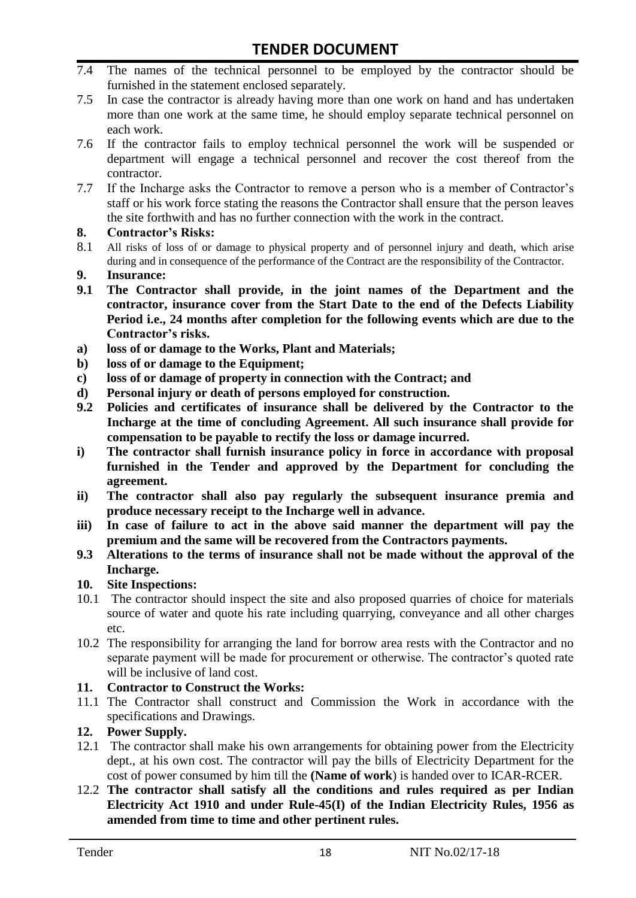- 7.4 The names of the technical personnel to be employed by the contractor should be furnished in the statement enclosed separately.
- 7.5 In case the contractor is already having more than one work on hand and has undertaken more than one work at the same time, he should employ separate technical personnel on each work.
- 7.6 If the contractor fails to employ technical personnel the work will be suspended or department will engage a technical personnel and recover the cost thereof from the contractor.
- 7.7 If the Incharge asks the Contractor to remove a person who is a member of Contractor"s staff or his work force stating the reasons the Contractor shall ensure that the person leaves the site forthwith and has no further connection with the work in the contract.

#### **8. Contractor's Risks:**

- 8.1 All risks of loss of or damage to physical property and of personnel injury and death, which arise during and in consequence of the performance of the Contract are the responsibility of the Contractor.
- **9. Insurance:**
- **9.1 The Contractor shall provide, in the joint names of the Department and the contractor, insurance cover from the Start Date to the end of the Defects Liability Period i.e., 24 months after completion for the following events which are due to the Contractor's risks.**
- **a) loss of or damage to the Works, Plant and Materials;**
- **b) loss of or damage to the Equipment;**
- **c) loss of or damage of property in connection with the Contract; and**
- **d) Personal injury or death of persons employed for construction.**
- **9.2 Policies and certificates of insurance shall be delivered by the Contractor to the Incharge at the time of concluding Agreement. All such insurance shall provide for compensation to be payable to rectify the loss or damage incurred.**
- **i) The contractor shall furnish insurance policy in force in accordance with proposal furnished in the Tender and approved by the Department for concluding the agreement.**
- **ii) The contractor shall also pay regularly the subsequent insurance premia and produce necessary receipt to the Incharge well in advance.**
- **iii) In case of failure to act in the above said manner the department will pay the premium and the same will be recovered from the Contractors payments.**
- **9.3 Alterations to the terms of insurance shall not be made without the approval of the Incharge.**

#### **10. Site Inspections:**

- 10.1 The contractor should inspect the site and also proposed quarries of choice for materials source of water and quote his rate including quarrying, conveyance and all other charges etc.
- 10.2 The responsibility for arranging the land for borrow area rests with the Contractor and no separate payment will be made for procurement or otherwise. The contractor's quoted rate will be inclusive of land cost.

#### **11. Contractor to Construct the Works:**

11.1 The Contractor shall construct and Commission the Work in accordance with the specifications and Drawings.

## **12. Power Supply.**

- 12.1 The contractor shall make his own arrangements for obtaining power from the Electricity dept., at his own cost. The contractor will pay the bills of Electricity Department for the cost of power consumed by him till the **(Name of work**) is handed over to ICAR-RCER.
- 12.2 **The contractor shall satisfy all the conditions and rules required as per Indian Electricity Act 1910 and under Rule-45(I) of the Indian Electricity Rules, 1956 as amended from time to time and other pertinent rules.**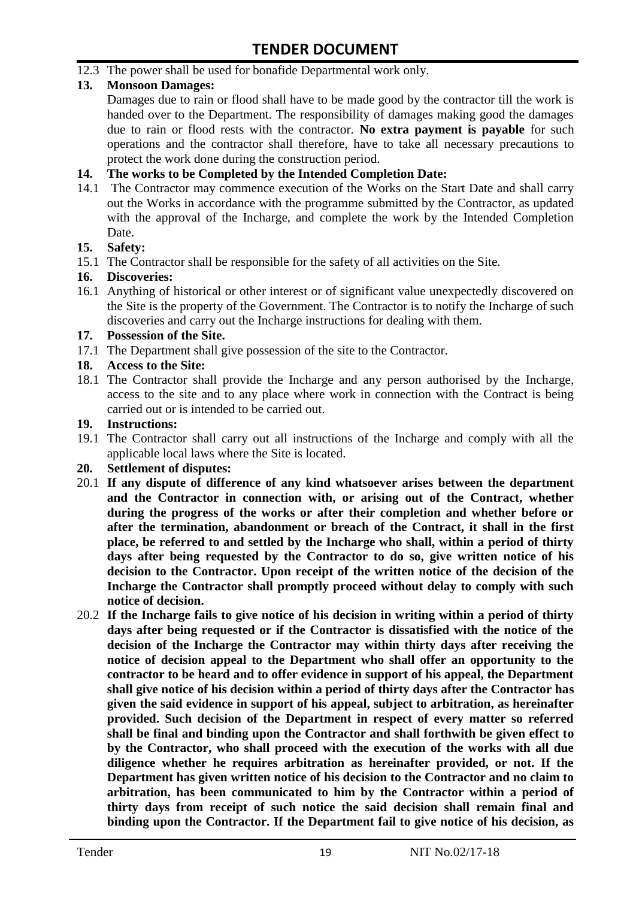12.3 The power shall be used for bonafide Departmental work only.

### **13. Monsoon Damages:**

Damages due to rain or flood shall have to be made good by the contractor till the work is handed over to the Department. The responsibility of damages making good the damages due to rain or flood rests with the contractor. **No extra payment is payable** for such operations and the contractor shall therefore, have to take all necessary precautions to protect the work done during the construction period.

#### **14. The works to be Completed by the Intended Completion Date:**

14.1 The Contractor may commence execution of the Works on the Start Date and shall carry out the Works in accordance with the programme submitted by the Contractor, as updated with the approval of the Incharge, and complete the work by the Intended Completion Date.

#### **15. Safety:**

15.1 The Contractor shall be responsible for the safety of all activities on the Site.

#### **16. Discoveries:**

16.1 Anything of historical or other interest or of significant value unexpectedly discovered on the Site is the property of the Government. The Contractor is to notify the Incharge of such discoveries and carry out the Incharge instructions for dealing with them.

#### **17. Possession of the Site.**

17.1 The Department shall give possession of the site to the Contractor.

## **18. Access to the Site:**

18.1 The Contractor shall provide the Incharge and any person authorised by the Incharge, access to the site and to any place where work in connection with the Contract is being carried out or is intended to be carried out.

#### **19. Instructions:**

- 19.1 The Contractor shall carry out all instructions of the Incharge and comply with all the applicable local laws where the Site is located.
- **20. Settlement of disputes:**
- 20.1 **If any dispute of difference of any kind whatsoever arises between the department and the Contractor in connection with, or arising out of the Contract, whether during the progress of the works or after their completion and whether before or after the termination, abandonment or breach of the Contract, it shall in the first place, be referred to and settled by the Incharge who shall, within a period of thirty days after being requested by the Contractor to do so, give written notice of his decision to the Contractor. Upon receipt of the written notice of the decision of the Incharge the Contractor shall promptly proceed without delay to comply with such notice of decision.**
- 20.2 **If the Incharge fails to give notice of his decision in writing within a period of thirty days after being requested or if the Contractor is dissatisfied with the notice of the decision of the Incharge the Contractor may within thirty days after receiving the notice of decision appeal to the Department who shall offer an opportunity to the contractor to be heard and to offer evidence in support of his appeal, the Department shall give notice of his decision within a period of thirty days after the Contractor has given the said evidence in support of his appeal, subject to arbitration, as hereinafter provided. Such decision of the Department in respect of every matter so referred shall be final and binding upon the Contractor and shall forthwith be given effect to by the Contractor, who shall proceed with the execution of the works with all due diligence whether he requires arbitration as hereinafter provided, or not. If the Department has given written notice of his decision to the Contractor and no claim to arbitration, has been communicated to him by the Contractor within a period of thirty days from receipt of such notice the said decision shall remain final and binding upon the Contractor. If the Department fail to give notice of his decision, as**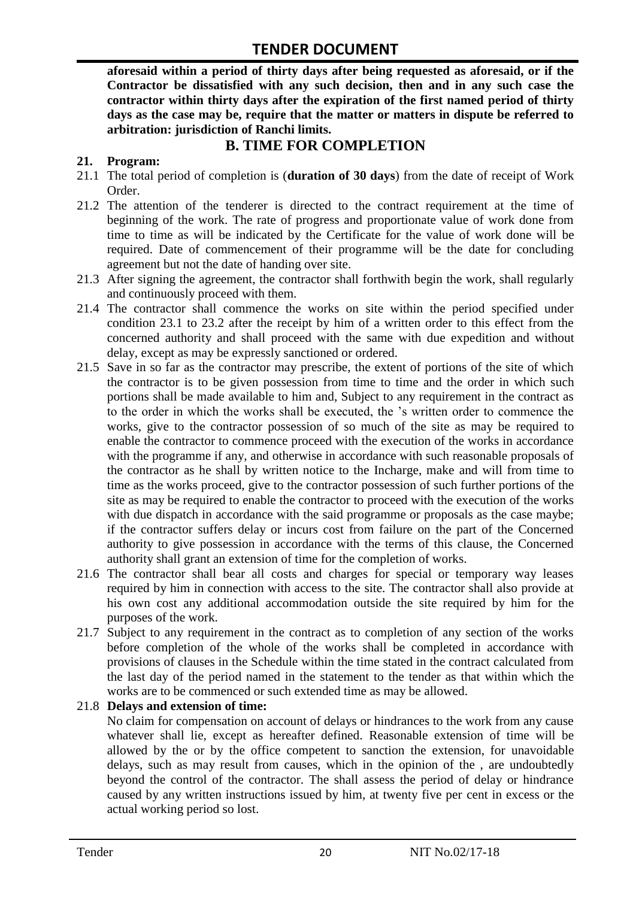**aforesaid within a period of thirty days after being requested as aforesaid, or if the Contractor be dissatisfied with any such decision, then and in any such case the contractor within thirty days after the expiration of the first named period of thirty days as the case may be, require that the matter or matters in dispute be referred to arbitration: jurisdiction of Ranchi limits.**

# **B. TIME FOR COMPLETION**

# **21. Program:**

- 21.1 The total period of completion is (**duration of 30 days**) from the date of receipt of Work Order.
- 21.2 The attention of the tenderer is directed to the contract requirement at the time of beginning of the work. The rate of progress and proportionate value of work done from time to time as will be indicated by the Certificate for the value of work done will be required. Date of commencement of their programme will be the date for concluding agreement but not the date of handing over site.
- 21.3 After signing the agreement, the contractor shall forthwith begin the work, shall regularly and continuously proceed with them.
- 21.4 The contractor shall commence the works on site within the period specified under condition 23.1 to 23.2 after the receipt by him of a written order to this effect from the concerned authority and shall proceed with the same with due expedition and without delay, except as may be expressly sanctioned or ordered.
- 21.5 Save in so far as the contractor may prescribe, the extent of portions of the site of which the contractor is to be given possession from time to time and the order in which such portions shall be made available to him and, Subject to any requirement in the contract as to the order in which the works shall be executed, the "s written order to commence the works, give to the contractor possession of so much of the site as may be required to enable the contractor to commence proceed with the execution of the works in accordance with the programme if any, and otherwise in accordance with such reasonable proposals of the contractor as he shall by written notice to the Incharge, make and will from time to time as the works proceed, give to the contractor possession of such further portions of the site as may be required to enable the contractor to proceed with the execution of the works with due dispatch in accordance with the said programme or proposals as the case maybe; if the contractor suffers delay or incurs cost from failure on the part of the Concerned authority to give possession in accordance with the terms of this clause, the Concerned authority shall grant an extension of time for the completion of works.
- 21.6 The contractor shall bear all costs and charges for special or temporary way leases required by him in connection with access to the site. The contractor shall also provide at his own cost any additional accommodation outside the site required by him for the purposes of the work.
- 21.7 Subject to any requirement in the contract as to completion of any section of the works before completion of the whole of the works shall be completed in accordance with provisions of clauses in the Schedule within the time stated in the contract calculated from the last day of the period named in the statement to the tender as that within which the works are to be commenced or such extended time as may be allowed.

## 21.8 **Delays and extension of time:**

No claim for compensation on account of delays or hindrances to the work from any cause whatever shall lie, except as hereafter defined. Reasonable extension of time will be allowed by the or by the office competent to sanction the extension, for unavoidable delays, such as may result from causes, which in the opinion of the , are undoubtedly beyond the control of the contractor. The shall assess the period of delay or hindrance caused by any written instructions issued by him, at twenty five per cent in excess or the actual working period so lost.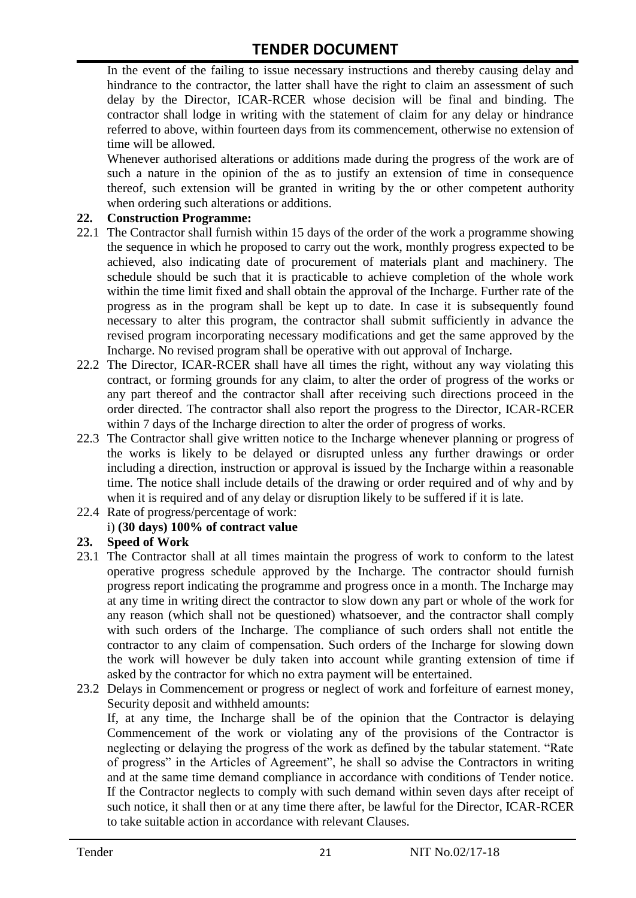In the event of the failing to issue necessary instructions and thereby causing delay and hindrance to the contractor, the latter shall have the right to claim an assessment of such delay by the Director, ICAR-RCER whose decision will be final and binding. The contractor shall lodge in writing with the statement of claim for any delay or hindrance referred to above, within fourteen days from its commencement, otherwise no extension of time will be allowed.

Whenever authorised alterations or additions made during the progress of the work are of such a nature in the opinion of the as to justify an extension of time in consequence thereof, such extension will be granted in writing by the or other competent authority when ordering such alterations or additions.

#### **22. Construction Programme:**

- 22.1 The Contractor shall furnish within 15 days of the order of the work a programme showing the sequence in which he proposed to carry out the work, monthly progress expected to be achieved, also indicating date of procurement of materials plant and machinery. The schedule should be such that it is practicable to achieve completion of the whole work within the time limit fixed and shall obtain the approval of the Incharge. Further rate of the progress as in the program shall be kept up to date. In case it is subsequently found necessary to alter this program, the contractor shall submit sufficiently in advance the revised program incorporating necessary modifications and get the same approved by the Incharge. No revised program shall be operative with out approval of Incharge.
- 22.2 The Director, ICAR-RCER shall have all times the right, without any way violating this contract, or forming grounds for any claim, to alter the order of progress of the works or any part thereof and the contractor shall after receiving such directions proceed in the order directed. The contractor shall also report the progress to the Director, ICAR-RCER within 7 days of the Incharge direction to alter the order of progress of works.
- 22.3 The Contractor shall give written notice to the Incharge whenever planning or progress of the works is likely to be delayed or disrupted unless any further drawings or order including a direction, instruction or approval is issued by the Incharge within a reasonable time. The notice shall include details of the drawing or order required and of why and by when it is required and of any delay or disruption likely to be suffered if it is late.
- 22.4 Rate of progress/percentage of work:

## i) **(30 days) 100% of contract value**

## **23. Speed of Work**

- 23.1 The Contractor shall at all times maintain the progress of work to conform to the latest operative progress schedule approved by the Incharge. The contractor should furnish progress report indicating the programme and progress once in a month. The Incharge may at any time in writing direct the contractor to slow down any part or whole of the work for any reason (which shall not be questioned) whatsoever, and the contractor shall comply with such orders of the Incharge. The compliance of such orders shall not entitle the contractor to any claim of compensation. Such orders of the Incharge for slowing down the work will however be duly taken into account while granting extension of time if asked by the contractor for which no extra payment will be entertained.
- 23.2 Delays in Commencement or progress or neglect of work and forfeiture of earnest money, Security deposit and withheld amounts:

If, at any time, the Incharge shall be of the opinion that the Contractor is delaying Commencement of the work or violating any of the provisions of the Contractor is neglecting or delaying the progress of the work as defined by the tabular statement. "Rate of progress" in the Articles of Agreement", he shall so advise the Contractors in writing and at the same time demand compliance in accordance with conditions of Tender notice. If the Contractor neglects to comply with such demand within seven days after receipt of such notice, it shall then or at any time there after, be lawful for the Director, ICAR-RCER to take suitable action in accordance with relevant Clauses.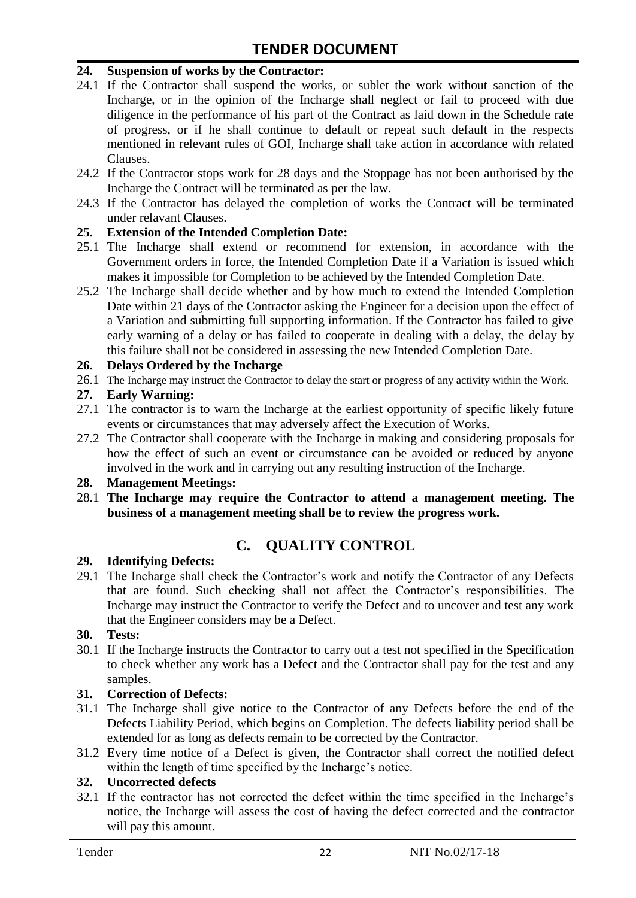#### **24. Suspension of works by the Contractor:**

- 24.1 If the Contractor shall suspend the works, or sublet the work without sanction of the Incharge, or in the opinion of the Incharge shall neglect or fail to proceed with due diligence in the performance of his part of the Contract as laid down in the Schedule rate of progress, or if he shall continue to default or repeat such default in the respects mentioned in relevant rules of GOI, Incharge shall take action in accordance with related Clauses.
- 24.2 If the Contractor stops work for 28 days and the Stoppage has not been authorised by the Incharge the Contract will be terminated as per the law.
- 24.3 If the Contractor has delayed the completion of works the Contract will be terminated under relavant Clauses.

#### **25. Extension of the Intended Completion Date:**

- 25.1 The Incharge shall extend or recommend for extension, in accordance with the Government orders in force, the Intended Completion Date if a Variation is issued which makes it impossible for Completion to be achieved by the Intended Completion Date.
- 25.2 The Incharge shall decide whether and by how much to extend the Intended Completion Date within 21 days of the Contractor asking the Engineer for a decision upon the effect of a Variation and submitting full supporting information. If the Contractor has failed to give early warning of a delay or has failed to cooperate in dealing with a delay, the delay by this failure shall not be considered in assessing the new Intended Completion Date.

#### **26. Delays Ordered by the Incharge**

26.1 The Incharge may instruct the Contractor to delay the start or progress of any activity within the Work.

#### **27. Early Warning:**

- 27.1 The contractor is to warn the Incharge at the earliest opportunity of specific likely future events or circumstances that may adversely affect the Execution of Works.
- 27.2 The Contractor shall cooperate with the Incharge in making and considering proposals for how the effect of such an event or circumstance can be avoided or reduced by anyone involved in the work and in carrying out any resulting instruction of the Incharge.

#### **28. Management Meetings:**

28.1 **The Incharge may require the Contractor to attend a management meeting. The business of a management meeting shall be to review the progress work.**

# **C. QUALITY CONTROL**

#### **29. Identifying Defects:**

29.1 The Incharge shall check the Contractor's work and notify the Contractor of any Defects that are found. Such checking shall not affect the Contractor"s responsibilities. The Incharge may instruct the Contractor to verify the Defect and to uncover and test any work that the Engineer considers may be a Defect.

#### **30. Tests:**

30.1 If the Incharge instructs the Contractor to carry out a test not specified in the Specification to check whether any work has a Defect and the Contractor shall pay for the test and any samples.

#### **31. Correction of Defects:**

- 31.1 The Incharge shall give notice to the Contractor of any Defects before the end of the Defects Liability Period, which begins on Completion. The defects liability period shall be extended for as long as defects remain to be corrected by the Contractor.
- 31.2 Every time notice of a Defect is given, the Contractor shall correct the notified defect within the length of time specified by the Incharge's notice.

## **32. Uncorrected defects**

32.1 If the contractor has not corrected the defect within the time specified in the Incharge"s notice, the Incharge will assess the cost of having the defect corrected and the contractor will pay this amount.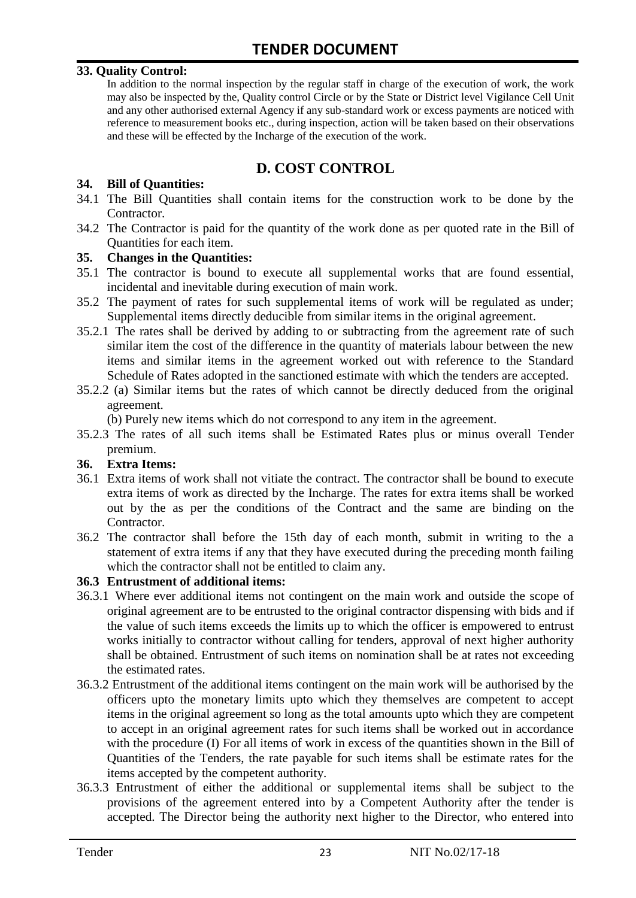#### **33. Quality Control:**

In addition to the normal inspection by the regular staff in charge of the execution of work, the work may also be inspected by the, Quality control Circle or by the State or District level Vigilance Cell Unit and any other authorised external Agency if any sub-standard work or excess payments are noticed with reference to measurement books etc., during inspection, action will be taken based on their observations and these will be effected by the Incharge of the execution of the work.

# **D. COST CONTROL**

#### **34. Bill of Quantities:**

- 34.1 The Bill Quantities shall contain items for the construction work to be done by the Contractor.
- 34.2 The Contractor is paid for the quantity of the work done as per quoted rate in the Bill of Quantities for each item.

#### **35. Changes in the Quantities:**

- 35.1 The contractor is bound to execute all supplemental works that are found essential, incidental and inevitable during execution of main work.
- 35.2 The payment of rates for such supplemental items of work will be regulated as under; Supplemental items directly deducible from similar items in the original agreement.
- 35.2.1 The rates shall be derived by adding to or subtracting from the agreement rate of such similar item the cost of the difference in the quantity of materials labour between the new items and similar items in the agreement worked out with reference to the Standard Schedule of Rates adopted in the sanctioned estimate with which the tenders are accepted.
- 35.2.2 (a) Similar items but the rates of which cannot be directly deduced from the original agreement.

(b) Purely new items which do not correspond to any item in the agreement.

35.2.3 The rates of all such items shall be Estimated Rates plus or minus overall Tender premium.

#### **36. Extra Items:**

- 36.1 Extra items of work shall not vitiate the contract. The contractor shall be bound to execute extra items of work as directed by the Incharge. The rates for extra items shall be worked out by the as per the conditions of the Contract and the same are binding on the Contractor.
- 36.2 The contractor shall before the 15th day of each month, submit in writing to the a statement of extra items if any that they have executed during the preceding month failing which the contractor shall not be entitled to claim any.

#### **36.3 Entrustment of additional items:**

- 36.3.1 Where ever additional items not contingent on the main work and outside the scope of original agreement are to be entrusted to the original contractor dispensing with bids and if the value of such items exceeds the limits up to which the officer is empowered to entrust works initially to contractor without calling for tenders, approval of next higher authority shall be obtained. Entrustment of such items on nomination shall be at rates not exceeding the estimated rates.
- 36.3.2 Entrustment of the additional items contingent on the main work will be authorised by the officers upto the monetary limits upto which they themselves are competent to accept items in the original agreement so long as the total amounts upto which they are competent to accept in an original agreement rates for such items shall be worked out in accordance with the procedure (I) For all items of work in excess of the quantities shown in the Bill of Quantities of the Tenders, the rate payable for such items shall be estimate rates for the items accepted by the competent authority.
- 36.3.3 Entrustment of either the additional or supplemental items shall be subject to the provisions of the agreement entered into by a Competent Authority after the tender is accepted. The Director being the authority next higher to the Director, who entered into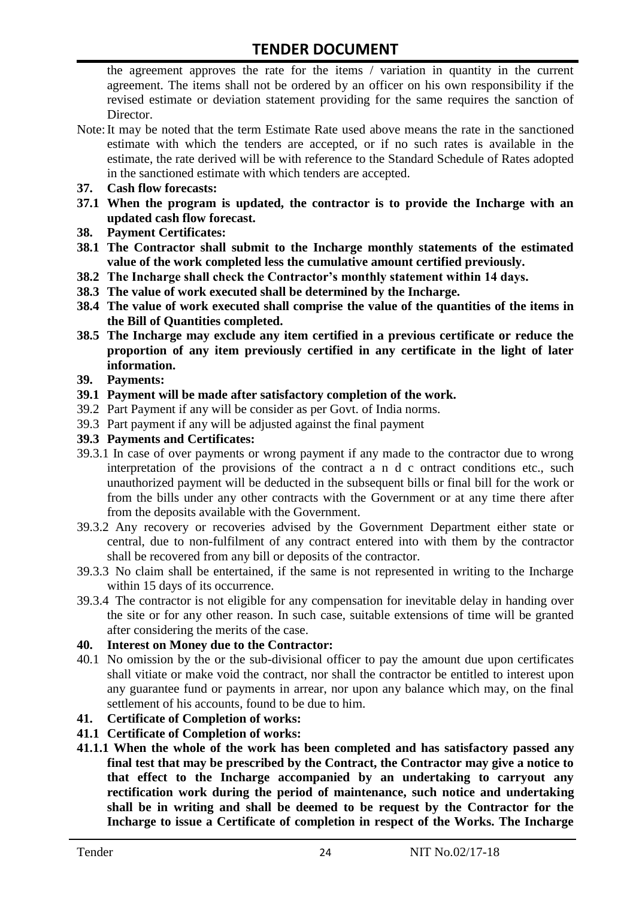the agreement approves the rate for the items / variation in quantity in the current agreement. The items shall not be ordered by an officer on his own responsibility if the revised estimate or deviation statement providing for the same requires the sanction of Director.

- Note:It may be noted that the term Estimate Rate used above means the rate in the sanctioned estimate with which the tenders are accepted, or if no such rates is available in the estimate, the rate derived will be with reference to the Standard Schedule of Rates adopted in the sanctioned estimate with which tenders are accepted.
- **37. Cash flow forecasts:**
- **37.1 When the program is updated, the contractor is to provide the Incharge with an updated cash flow forecast.**
- **38. Payment Certificates:**
- **38.1 The Contractor shall submit to the Incharge monthly statements of the estimated value of the work completed less the cumulative amount certified previously.**
- **38.2 The Incharge shall check the Contractor's monthly statement within 14 days.**
- **38.3 The value of work executed shall be determined by the Incharge.**
- **38.4 The value of work executed shall comprise the value of the quantities of the items in the Bill of Quantities completed.**
- **38.5 The Incharge may exclude any item certified in a previous certificate or reduce the proportion of any item previously certified in any certificate in the light of later information.**
- **39. Payments:**
- **39.1 Payment will be made after satisfactory completion of the work.**
- 39.2 Part Payment if any will be consider as per Govt. of India norms.
- 39.3 Part payment if any will be adjusted against the final payment
- **39.3 Payments and Certificates:**
- 39.3.1 In case of over payments or wrong payment if any made to the contractor due to wrong interpretation of the provisions of the contract a n d c ontract conditions etc., such unauthorized payment will be deducted in the subsequent bills or final bill for the work or from the bills under any other contracts with the Government or at any time there after from the deposits available with the Government.
- 39.3.2 Any recovery or recoveries advised by the Government Department either state or central, due to non-fulfilment of any contract entered into with them by the contractor shall be recovered from any bill or deposits of the contractor.
- 39.3.3 No claim shall be entertained, if the same is not represented in writing to the Incharge within 15 days of its occurrence.
- 39.3.4 The contractor is not eligible for any compensation for inevitable delay in handing over the site or for any other reason. In such case, suitable extensions of time will be granted after considering the merits of the case.

#### **40. Interest on Money due to the Contractor:**

- 40.1 No omission by the or the sub-divisional officer to pay the amount due upon certificates shall vitiate or make void the contract, nor shall the contractor be entitled to interest upon any guarantee fund or payments in arrear, nor upon any balance which may, on the final settlement of his accounts, found to be due to him.
- **41. Certificate of Completion of works:**
- **41.1 Certificate of Completion of works:**
- **41.1.1 When the whole of the work has been completed and has satisfactory passed any final test that may be prescribed by the Contract, the Contractor may give a notice to that effect to the Incharge accompanied by an undertaking to carryout any rectification work during the period of maintenance, such notice and undertaking shall be in writing and shall be deemed to be request by the Contractor for the Incharge to issue a Certificate of completion in respect of the Works. The Incharge**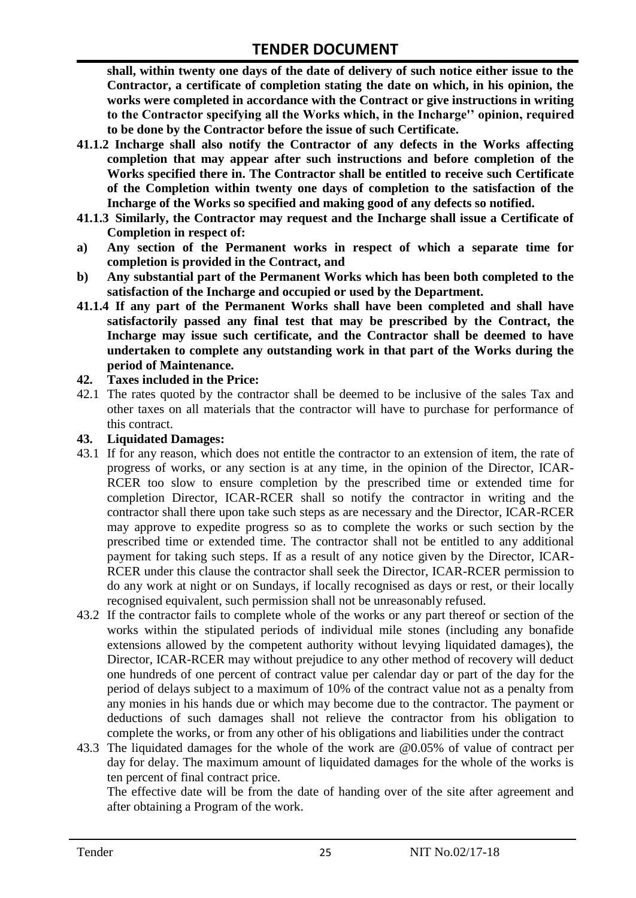**shall, within twenty one days of the date of delivery of such notice either issue to the Contractor, a certificate of completion stating the date on which, in his opinion, the works were completed in accordance with the Contract or give instructions in writing to the Contractor specifying all the Works which, in the Incharge'' opinion, required to be done by the Contractor before the issue of such Certificate.**

- **41.1.2 Incharge shall also notify the Contractor of any defects in the Works affecting completion that may appear after such instructions and before completion of the Works specified there in. The Contractor shall be entitled to receive such Certificate of the Completion within twenty one days of completion to the satisfaction of the Incharge of the Works so specified and making good of any defects so notified.**
- **41.1.3 Similarly, the Contractor may request and the Incharge shall issue a Certificate of Completion in respect of:**
- **a) Any section of the Permanent works in respect of which a separate time for completion is provided in the Contract, and**
- **b) Any substantial part of the Permanent Works which has been both completed to the satisfaction of the Incharge and occupied or used by the Department.**
- **41.1.4 If any part of the Permanent Works shall have been completed and shall have satisfactorily passed any final test that may be prescribed by the Contract, the Incharge may issue such certificate, and the Contractor shall be deemed to have undertaken to complete any outstanding work in that part of the Works during the period of Maintenance.**

#### **42. Taxes included in the Price:**

42.1 The rates quoted by the contractor shall be deemed to be inclusive of the sales Tax and other taxes on all materials that the contractor will have to purchase for performance of this contract.

#### **43. Liquidated Damages:**

- 43.1 If for any reason, which does not entitle the contractor to an extension of item, the rate of progress of works, or any section is at any time, in the opinion of the Director, ICAR-RCER too slow to ensure completion by the prescribed time or extended time for completion Director, ICAR-RCER shall so notify the contractor in writing and the contractor shall there upon take such steps as are necessary and the Director, ICAR-RCER may approve to expedite progress so as to complete the works or such section by the prescribed time or extended time. The contractor shall not be entitled to any additional payment for taking such steps. If as a result of any notice given by the Director, ICAR-RCER under this clause the contractor shall seek the Director, ICAR-RCER permission to do any work at night or on Sundays, if locally recognised as days or rest, or their locally recognised equivalent, such permission shall not be unreasonably refused.
- 43.2 If the contractor fails to complete whole of the works or any part thereof or section of the works within the stipulated periods of individual mile stones (including any bonafide extensions allowed by the competent authority without levying liquidated damages), the Director, ICAR-RCER may without prejudice to any other method of recovery will deduct one hundreds of one percent of contract value per calendar day or part of the day for the period of delays subject to a maximum of 10% of the contract value not as a penalty from any monies in his hands due or which may become due to the contractor. The payment or deductions of such damages shall not relieve the contractor from his obligation to complete the works, or from any other of his obligations and liabilities under the contract
- 43.3 The liquidated damages for the whole of the work are @0.05% of value of contract per day for delay. The maximum amount of liquidated damages for the whole of the works is ten percent of final contract price.

The effective date will be from the date of handing over of the site after agreement and after obtaining a Program of the work.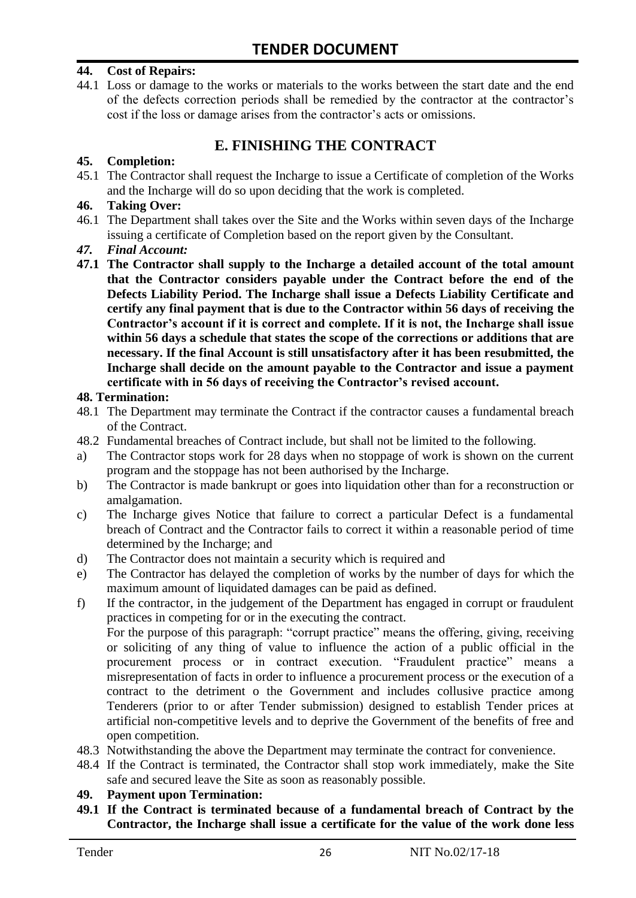#### **44. Cost of Repairs:**

44.1 Loss or damage to the works or materials to the works between the start date and the end of the defects correction periods shall be remedied by the contractor at the contractor"s cost if the loss or damage arises from the contractor's acts or omissions.

# **E. FINISHING THE CONTRACT**

#### **45. Completion:**

45.1 The Contractor shall request the Incharge to issue a Certificate of completion of the Works and the Incharge will do so upon deciding that the work is completed.

#### **46. Taking Over:**

- 46.1 The Department shall takes over the Site and the Works within seven days of the Incharge issuing a certificate of Completion based on the report given by the Consultant.
- *47. Final Account:*
- **47.1 The Contractor shall supply to the Incharge a detailed account of the total amount that the Contractor considers payable under the Contract before the end of the Defects Liability Period. The Incharge shall issue a Defects Liability Certificate and certify any final payment that is due to the Contractor within 56 days of receiving the Contractor's account if it is correct and complete. If it is not, the Incharge shall issue within 56 days a schedule that states the scope of the corrections or additions that are necessary. If the final Account is still unsatisfactory after it has been resubmitted, the Incharge shall decide on the amount payable to the Contractor and issue a payment certificate with in 56 days of receiving the Contractor's revised account.**

#### **48. Termination:**

- 48.1 The Department may terminate the Contract if the contractor causes a fundamental breach of the Contract.
- 48.2 Fundamental breaches of Contract include, but shall not be limited to the following.
- a) The Contractor stops work for 28 days when no stoppage of work is shown on the current program and the stoppage has not been authorised by the Incharge.
- b) The Contractor is made bankrupt or goes into liquidation other than for a reconstruction or amalgamation.
- c) The Incharge gives Notice that failure to correct a particular Defect is a fundamental breach of Contract and the Contractor fails to correct it within a reasonable period of time determined by the Incharge; and
- d) The Contractor does not maintain a security which is required and
- e) The Contractor has delayed the completion of works by the number of days for which the maximum amount of liquidated damages can be paid as defined.
- f) If the contractor, in the judgement of the Department has engaged in corrupt or fraudulent practices in competing for or in the executing the contract.

For the purpose of this paragraph: "corrupt practice" means the offering, giving, receiving or soliciting of any thing of value to influence the action of a public official in the procurement process or in contract execution. "Fraudulent practice" means a misrepresentation of facts in order to influence a procurement process or the execution of a contract to the detriment o the Government and includes collusive practice among Tenderers (prior to or after Tender submission) designed to establish Tender prices at artificial non-competitive levels and to deprive the Government of the benefits of free and open competition.

- 48.3 Notwithstanding the above the Department may terminate the contract for convenience.
- 48.4 If the Contract is terminated, the Contractor shall stop work immediately, make the Site safe and secured leave the Site as soon as reasonably possible.

#### **49. Payment upon Termination:**

**49.1 If the Contract is terminated because of a fundamental breach of Contract by the Contractor, the Incharge shall issue a certificate for the value of the work done less**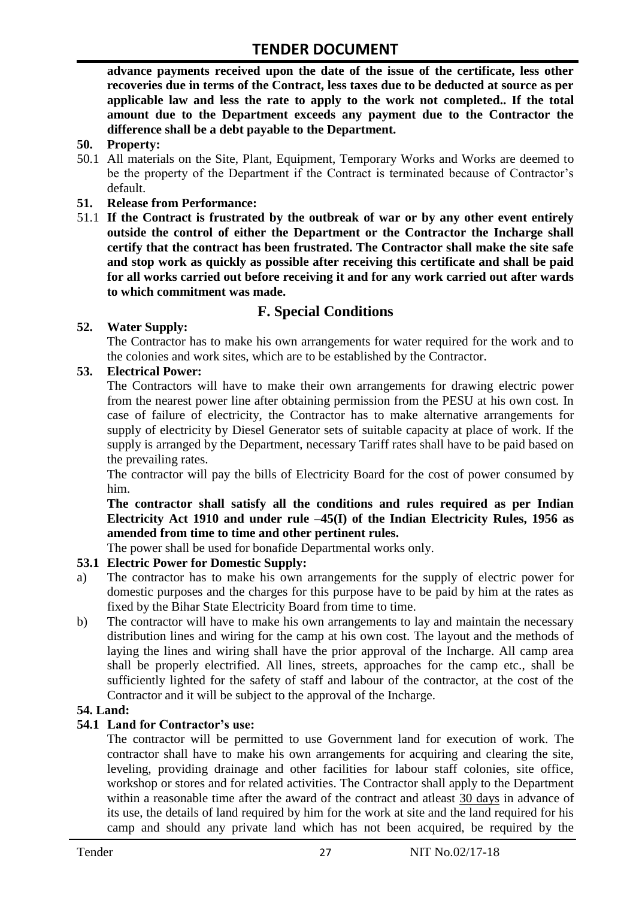**advance payments received upon the date of the issue of the certificate, less other recoveries due in terms of the Contract, less taxes due to be deducted at source as per applicable law and less the rate to apply to the work not completed.. If the total amount due to the Department exceeds any payment due to the Contractor the difference shall be a debt payable to the Department.**

- **50. Property:**
- 50.1 All materials on the Site, Plant, Equipment, Temporary Works and Works are deemed to be the property of the Department if the Contract is terminated because of Contractor's default.
- **51. Release from Performance:**
- 51.1 **If the Contract is frustrated by the outbreak of war or by any other event entirely outside the control of either the Department or the Contractor the Incharge shall certify that the contract has been frustrated. The Contractor shall make the site safe and stop work as quickly as possible after receiving this certificate and shall be paid for all works carried out before receiving it and for any work carried out after wards to which commitment was made.**

# **F. Special Conditions**

#### **52. Water Supply:**

The Contractor has to make his own arrangements for water required for the work and to the colonies and work sites, which are to be established by the Contractor.

#### **53. Electrical Power:**

The Contractors will have to make their own arrangements for drawing electric power from the nearest power line after obtaining permission from the PESU at his own cost. In case of failure of electricity, the Contractor has to make alternative arrangements for supply of electricity by Diesel Generator sets of suitable capacity at place of work. If the supply is arranged by the Department, necessary Tariff rates shall have to be paid based on the prevailing rates.

The contractor will pay the bills of Electricity Board for the cost of power consumed by him.

**The contractor shall satisfy all the conditions and rules required as per Indian Electricity Act 1910 and under rule –45(I) of the Indian Electricity Rules, 1956 as amended from time to time and other pertinent rules.**

The power shall be used for bonafide Departmental works only.

## **53.1 Electric Power for Domestic Supply:**

- a) The contractor has to make his own arrangements for the supply of electric power for domestic purposes and the charges for this purpose have to be paid by him at the rates as fixed by the Bihar State Electricity Board from time to time.
- b) The contractor will have to make his own arrangements to lay and maintain the necessary distribution lines and wiring for the camp at his own cost. The layout and the methods of laying the lines and wiring shall have the prior approval of the Incharge. All camp area shall be properly electrified. All lines, streets, approaches for the camp etc., shall be sufficiently lighted for the safety of staff and labour of the contractor, at the cost of the Contractor and it will be subject to the approval of the Incharge.

#### **54. Land:**

#### **54.1 Land for Contractor's use:**

The contractor will be permitted to use Government land for execution of work. The contractor shall have to make his own arrangements for acquiring and clearing the site, leveling, providing drainage and other facilities for labour staff colonies, site office, workshop or stores and for related activities. The Contractor shall apply to the Department within a reasonable time after the award of the contract and atleast 30 days in advance of its use, the details of land required by him for the work at site and the land required for his camp and should any private land which has not been acquired, be required by the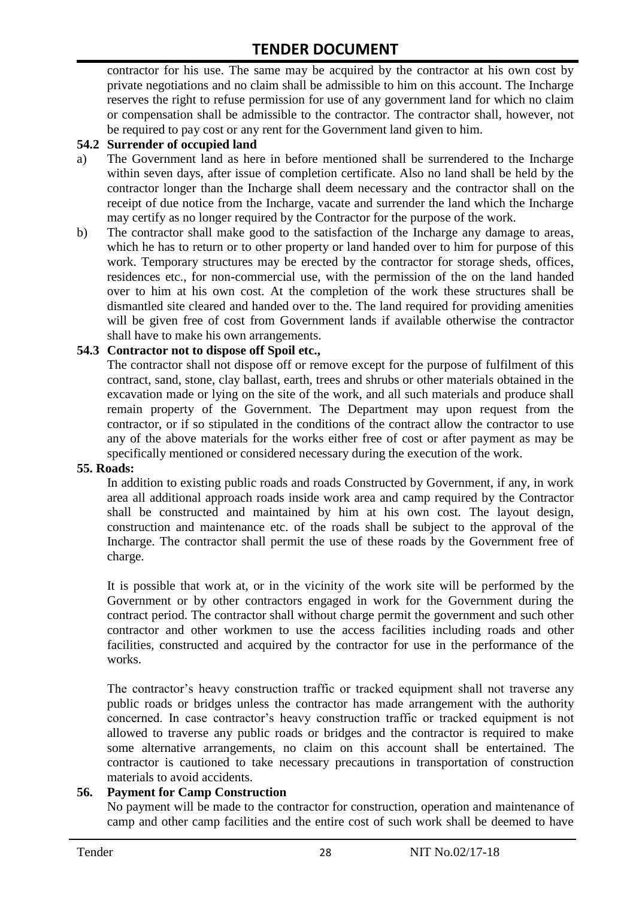contractor for his use. The same may be acquired by the contractor at his own cost by private negotiations and no claim shall be admissible to him on this account. The Incharge reserves the right to refuse permission for use of any government land for which no claim or compensation shall be admissible to the contractor. The contractor shall, however, not be required to pay cost or any rent for the Government land given to him.

#### **54.2 Surrender of occupied land**

- a) The Government land as here in before mentioned shall be surrendered to the Incharge within seven days, after issue of completion certificate. Also no land shall be held by the contractor longer than the Incharge shall deem necessary and the contractor shall on the receipt of due notice from the Incharge, vacate and surrender the land which the Incharge may certify as no longer required by the Contractor for the purpose of the work.
- b) The contractor shall make good to the satisfaction of the Incharge any damage to areas, which he has to return or to other property or land handed over to him for purpose of this work. Temporary structures may be erected by the contractor for storage sheds, offices, residences etc., for non-commercial use, with the permission of the on the land handed over to him at his own cost. At the completion of the work these structures shall be dismantled site cleared and handed over to the. The land required for providing amenities will be given free of cost from Government lands if available otherwise the contractor shall have to make his own arrangements.

#### **54.3 Contractor not to dispose off Spoil etc.,**

The contractor shall not dispose off or remove except for the purpose of fulfilment of this contract, sand, stone, clay ballast, earth, trees and shrubs or other materials obtained in the excavation made or lying on the site of the work, and all such materials and produce shall remain property of the Government. The Department may upon request from the contractor, or if so stipulated in the conditions of the contract allow the contractor to use any of the above materials for the works either free of cost or after payment as may be specifically mentioned or considered necessary during the execution of the work.

#### **55. Roads:**

In addition to existing public roads and roads Constructed by Government, if any, in work area all additional approach roads inside work area and camp required by the Contractor shall be constructed and maintained by him at his own cost. The layout design, construction and maintenance etc. of the roads shall be subject to the approval of the Incharge. The contractor shall permit the use of these roads by the Government free of charge.

It is possible that work at, or in the vicinity of the work site will be performed by the Government or by other contractors engaged in work for the Government during the contract period. The contractor shall without charge permit the government and such other contractor and other workmen to use the access facilities including roads and other facilities, constructed and acquired by the contractor for use in the performance of the works.

The contractor's heavy construction traffic or tracked equipment shall not traverse any public roads or bridges unless the contractor has made arrangement with the authority concerned. In case contractor"s heavy construction traffic or tracked equipment is not allowed to traverse any public roads or bridges and the contractor is required to make some alternative arrangements, no claim on this account shall be entertained. The contractor is cautioned to take necessary precautions in transportation of construction materials to avoid accidents.

#### **56. Payment for Camp Construction**

No payment will be made to the contractor for construction, operation and maintenance of camp and other camp facilities and the entire cost of such work shall be deemed to have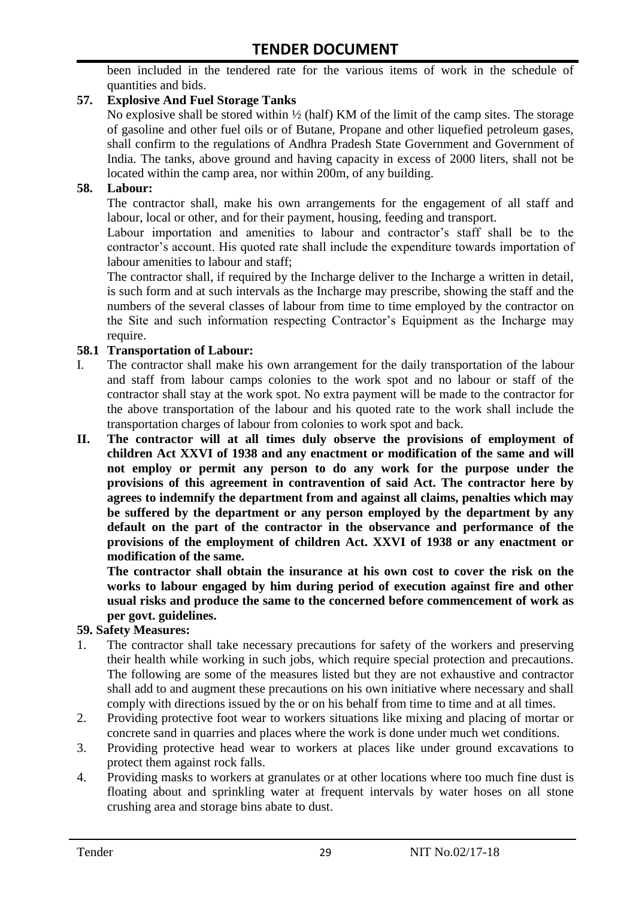been included in the tendered rate for the various items of work in the schedule of quantities and bids.

### **57. Explosive And Fuel Storage Tanks**

No explosive shall be stored within ½ (half) KM of the limit of the camp sites. The storage of gasoline and other fuel oils or of Butane, Propane and other liquefied petroleum gases, shall confirm to the regulations of Andhra Pradesh State Government and Government of India. The tanks, above ground and having capacity in excess of 2000 liters, shall not be located within the camp area, nor within 200m, of any building.

#### **58. Labour:**

The contractor shall, make his own arrangements for the engagement of all staff and labour, local or other, and for their payment, housing, feeding and transport.

Labour importation and amenities to labour and contractor's staff shall be to the contractor's account. His quoted rate shall include the expenditure towards importation of labour amenities to labour and staff;

The contractor shall, if required by the Incharge deliver to the Incharge a written in detail, is such form and at such intervals as the Incharge may prescribe, showing the staff and the numbers of the several classes of labour from time to time employed by the contractor on the Site and such information respecting Contractor"s Equipment as the Incharge may require.

#### **58.1 Transportation of Labour:**

- I. The contractor shall make his own arrangement for the daily transportation of the labour and staff from labour camps colonies to the work spot and no labour or staff of the contractor shall stay at the work spot. No extra payment will be made to the contractor for the above transportation of the labour and his quoted rate to the work shall include the transportation charges of labour from colonies to work spot and back.
- **II. The contractor will at all times duly observe the provisions of employment of children Act XXVI of 1938 and any enactment or modification of the same and will not employ or permit any person to do any work for the purpose under the provisions of this agreement in contravention of said Act. The contractor here by agrees to indemnify the department from and against all claims, penalties which may be suffered by the department or any person employed by the department by any default on the part of the contractor in the observance and performance of the provisions of the employment of children Act. XXVI of 1938 or any enactment or modification of the same.**

**The contractor shall obtain the insurance at his own cost to cover the risk on the works to labour engaged by him during period of execution against fire and other usual risks and produce the same to the concerned before commencement of work as per govt. guidelines.**

#### **59. Safety Measures:**

- 1. The contractor shall take necessary precautions for safety of the workers and preserving their health while working in such jobs, which require special protection and precautions. The following are some of the measures listed but they are not exhaustive and contractor shall add to and augment these precautions on his own initiative where necessary and shall comply with directions issued by the or on his behalf from time to time and at all times.
- 2. Providing protective foot wear to workers situations like mixing and placing of mortar or concrete sand in quarries and places where the work is done under much wet conditions.
- 3. Providing protective head wear to workers at places like under ground excavations to protect them against rock falls.
- 4. Providing masks to workers at granulates or at other locations where too much fine dust is floating about and sprinkling water at frequent intervals by water hoses on all stone crushing area and storage bins abate to dust.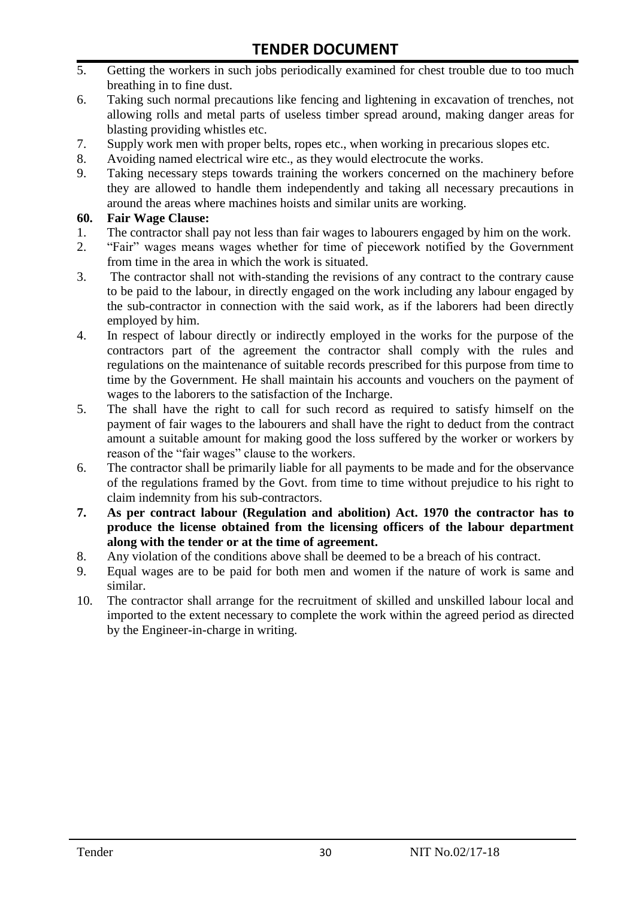- 5. Getting the workers in such jobs periodically examined for chest trouble due to too much breathing in to fine dust.
- 6. Taking such normal precautions like fencing and lightening in excavation of trenches, not allowing rolls and metal parts of useless timber spread around, making danger areas for blasting providing whistles etc.
- 7. Supply work men with proper belts, ropes etc., when working in precarious slopes etc.
- 8. Avoiding named electrical wire etc., as they would electrocute the works.
- 9. Taking necessary steps towards training the workers concerned on the machinery before they are allowed to handle them independently and taking all necessary precautions in around the areas where machines hoists and similar units are working.

#### **60. Fair Wage Clause:**

- 1. The contractor shall pay not less than fair wages to labourers engaged by him on the work.
- 2. "Fair" wages means wages whether for time of piecework notified by the Government from time in the area in which the work is situated.
- 3. The contractor shall not with-standing the revisions of any contract to the contrary cause to be paid to the labour, in directly engaged on the work including any labour engaged by the sub-contractor in connection with the said work, as if the laborers had been directly employed by him.
- 4. In respect of labour directly or indirectly employed in the works for the purpose of the contractors part of the agreement the contractor shall comply with the rules and regulations on the maintenance of suitable records prescribed for this purpose from time to time by the Government. He shall maintain his accounts and vouchers on the payment of wages to the laborers to the satisfaction of the Incharge.
- 5. The shall have the right to call for such record as required to satisfy himself on the payment of fair wages to the labourers and shall have the right to deduct from the contract amount a suitable amount for making good the loss suffered by the worker or workers by reason of the "fair wages" clause to the workers.
- 6. The contractor shall be primarily liable for all payments to be made and for the observance of the regulations framed by the Govt. from time to time without prejudice to his right to claim indemnity from his sub-contractors.
- **7. As per contract labour (Regulation and abolition) Act. 1970 the contractor has to produce the license obtained from the licensing officers of the labour department along with the tender or at the time of agreement.**
- 8. Any violation of the conditions above shall be deemed to be a breach of his contract.
- 9. Equal wages are to be paid for both men and women if the nature of work is same and similar.
- 10. The contractor shall arrange for the recruitment of skilled and unskilled labour local and imported to the extent necessary to complete the work within the agreed period as directed by the Engineer-in-charge in writing.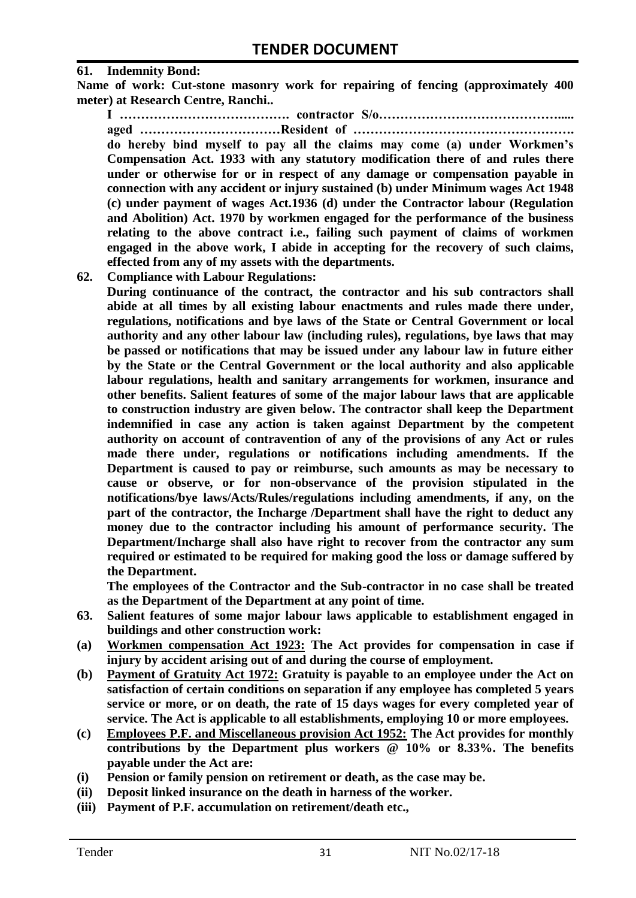#### **61. Indemnity Bond:**

**Name of work: Cut-stone masonry work for repairing of fencing (approximately 400 meter) at Research Centre, Ranchi..**

**I …………………………………. contractor S/o……………………………………..... aged ……………………………Resident of ……………………………………………. do hereby bind myself to pay all the claims may come (a) under Workmen's Compensation Act. 1933 with any statutory modification there of and rules there under or otherwise for or in respect of any damage or compensation payable in connection with any accident or injury sustained (b) under Minimum wages Act 1948 (c) under payment of wages Act.1936 (d) under the Contractor labour (Regulation and Abolition) Act. 1970 by workmen engaged for the performance of the business relating to the above contract i.e., failing such payment of claims of workmen engaged in the above work, I abide in accepting for the recovery of such claims, effected from any of my assets with the departments.**

**62. Compliance with Labour Regulations:**

**During continuance of the contract, the contractor and his sub contractors shall abide at all times by all existing labour enactments and rules made there under, regulations, notifications and bye laws of the State or Central Government or local authority and any other labour law (including rules), regulations, bye laws that may be passed or notifications that may be issued under any labour law in future either by the State or the Central Government or the local authority and also applicable labour regulations, health and sanitary arrangements for workmen, insurance and other benefits. Salient features of some of the major labour laws that are applicable to construction industry are given below. The contractor shall keep the Department indemnified in case any action is taken against Department by the competent authority on account of contravention of any of the provisions of any Act or rules made there under, regulations or notifications including amendments. If the Department is caused to pay or reimburse, such amounts as may be necessary to cause or observe, or for non-observance of the provision stipulated in the notifications/bye laws/Acts/Rules/regulations including amendments, if any, on the part of the contractor, the Incharge /Department shall have the right to deduct any money due to the contractor including his amount of performance security. The Department/Incharge shall also have right to recover from the contractor any sum required or estimated to be required for making good the loss or damage suffered by the Department.**

**The employees of the Contractor and the Sub-contractor in no case shall be treated as the Department of the Department at any point of time.**

- **63. Salient features of some major labour laws applicable to establishment engaged in buildings and other construction work:**
- **(a) Workmen compensation Act 1923: The Act provides for compensation in case if injury by accident arising out of and during the course of employment.**
- **(b) Payment of Gratuity Act 1972: Gratuity is payable to an employee under the Act on satisfaction of certain conditions on separation if any employee has completed 5 years service or more, or on death, the rate of 15 days wages for every completed year of service. The Act is applicable to all establishments, employing 10 or more employees.**
- **(c) Employees P.F. and Miscellaneous provision Act 1952: The Act provides for monthly contributions by the Department plus workers @ 10% or 8.33%. The benefits payable under the Act are:**
- **(i) Pension or family pension on retirement or death, as the case may be.**
- **(ii) Deposit linked insurance on the death in harness of the worker.**
- **(iii) Payment of P.F. accumulation on retirement/death etc.,**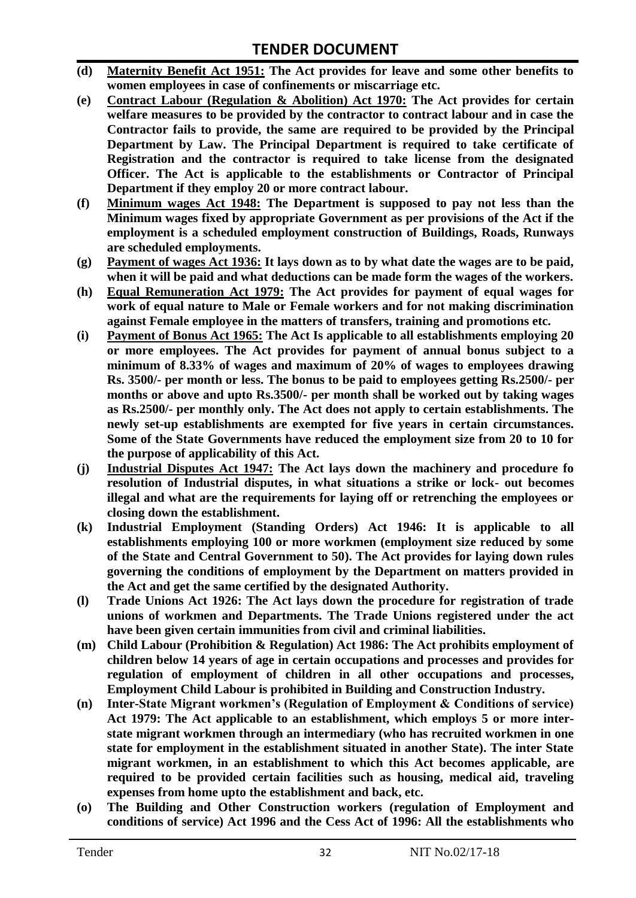- **(d) Maternity Benefit Act 1951: The Act provides for leave and some other benefits to women employees in case of confinements or miscarriage etc.**
- **(e) Contract Labour (Regulation & Abolition) Act 1970: The Act provides for certain welfare measures to be provided by the contractor to contract labour and in case the Contractor fails to provide, the same are required to be provided by the Principal Department by Law. The Principal Department is required to take certificate of Registration and the contractor is required to take license from the designated Officer. The Act is applicable to the establishments or Contractor of Principal Department if they employ 20 or more contract labour.**
- **(f) Minimum wages Act 1948: The Department is supposed to pay not less than the Minimum wages fixed by appropriate Government as per provisions of the Act if the employment is a scheduled employment construction of Buildings, Roads, Runways are scheduled employments.**
- **(g) Payment of wages Act 1936: It lays down as to by what date the wages are to be paid, when it will be paid and what deductions can be made form the wages of the workers.**
- **(h) Equal Remuneration Act 1979: The Act provides for payment of equal wages for work of equal nature to Male or Female workers and for not making discrimination against Female employee in the matters of transfers, training and promotions etc.**
- **(i) Payment of Bonus Act 1965: The Act Is applicable to all establishments employing 20 or more employees. The Act provides for payment of annual bonus subject to a minimum of 8.33% of wages and maximum of 20% of wages to employees drawing Rs. 3500/- per month or less. The bonus to be paid to employees getting Rs.2500/- per months or above and upto Rs.3500/- per month shall be worked out by taking wages as Rs.2500/- per monthly only. The Act does not apply to certain establishments. The newly set-up establishments are exempted for five years in certain circumstances. Some of the State Governments have reduced the employment size from 20 to 10 for the purpose of applicability of this Act.**
- **(j) Industrial Disputes Act 1947: The Act lays down the machinery and procedure fo resolution of Industrial disputes, in what situations a strike or lock- out becomes illegal and what are the requirements for laying off or retrenching the employees or closing down the establishment.**
- **(k) Industrial Employment (Standing Orders) Act 1946: It is applicable to all establishments employing 100 or more workmen (employment size reduced by some of the State and Central Government to 50). The Act provides for laying down rules governing the conditions of employment by the Department on matters provided in the Act and get the same certified by the designated Authority.**
- **(l) Trade Unions Act 1926: The Act lays down the procedure for registration of trade unions of workmen and Departments. The Trade Unions registered under the act have been given certain immunities from civil and criminal liabilities.**
- **(m) Child Labour (Prohibition & Regulation) Act 1986: The Act prohibits employment of children below 14 years of age in certain occupations and processes and provides for regulation of employment of children in all other occupations and processes, Employment Child Labour is prohibited in Building and Construction Industry.**
- **(n) Inter-State Migrant workmen's (Regulation of Employment & Conditions of service) Act 1979: The Act applicable to an establishment, which employs 5 or more interstate migrant workmen through an intermediary (who has recruited workmen in one state for employment in the establishment situated in another State). The inter State migrant workmen, in an establishment to which this Act becomes applicable, are required to be provided certain facilities such as housing, medical aid, traveling expenses from home upto the establishment and back, etc.**
- **(o) The Building and Other Construction workers (regulation of Employment and conditions of service) Act 1996 and the Cess Act of 1996: All the establishments who**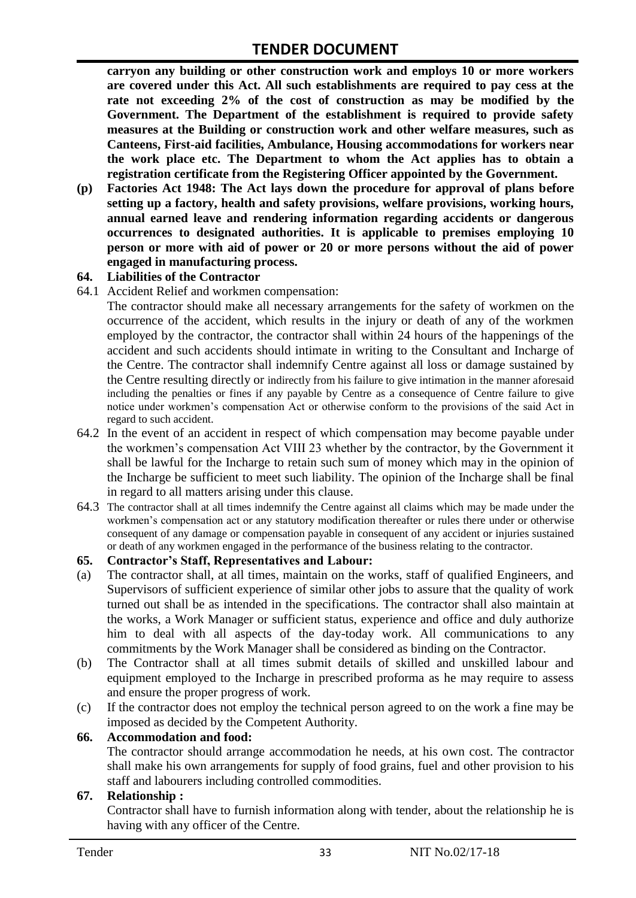**carryon any building or other construction work and employs 10 or more workers are covered under this Act. All such establishments are required to pay cess at the rate not exceeding 2% of the cost of construction as may be modified by the Government. The Department of the establishment is required to provide safety measures at the Building or construction work and other welfare measures, such as Canteens, First-aid facilities, Ambulance, Housing accommodations for workers near the work place etc. The Department to whom the Act applies has to obtain a registration certificate from the Registering Officer appointed by the Government.**

**(p) Factories Act 1948: The Act lays down the procedure for approval of plans before setting up a factory, health and safety provisions, welfare provisions, working hours, annual earned leave and rendering information regarding accidents or dangerous occurrences to designated authorities. It is applicable to premises employing 10 person or more with aid of power or 20 or more persons without the aid of power engaged in manufacturing process.**

#### **64. Liabilities of the Contractor**

64.1 Accident Relief and workmen compensation:

The contractor should make all necessary arrangements for the safety of workmen on the occurrence of the accident, which results in the injury or death of any of the workmen employed by the contractor, the contractor shall within 24 hours of the happenings of the accident and such accidents should intimate in writing to the Consultant and Incharge of the Centre. The contractor shall indemnify Centre against all loss or damage sustained by the Centre resulting directly or indirectly from his failure to give intimation in the manner aforesaid including the penalties or fines if any payable by Centre as a consequence of Centre failure to give notice under workmen"s compensation Act or otherwise conform to the provisions of the said Act in regard to such accident.

- 64.2 In the event of an accident in respect of which compensation may become payable under the workmen"s compensation Act VIII 23 whether by the contractor, by the Government it shall be lawful for the Incharge to retain such sum of money which may in the opinion of the Incharge be sufficient to meet such liability. The opinion of the Incharge shall be final in regard to all matters arising under this clause.
- 64.3 The contractor shall at all times indemnify the Centre against all claims which may be made under the workmen"s compensation act or any statutory modification thereafter or rules there under or otherwise consequent of any damage or compensation payable in consequent of any accident or injuries sustained or death of any workmen engaged in the performance of the business relating to the contractor.

#### **65. Contractor's Staff, Representatives and Labour:**

- (a) The contractor shall, at all times, maintain on the works, staff of qualified Engineers, and Supervisors of sufficient experience of similar other jobs to assure that the quality of work turned out shall be as intended in the specifications. The contractor shall also maintain at the works, a Work Manager or sufficient status, experience and office and duly authorize him to deal with all aspects of the day-today work. All communications to any commitments by the Work Manager shall be considered as binding on the Contractor.
- (b) The Contractor shall at all times submit details of skilled and unskilled labour and equipment employed to the Incharge in prescribed proforma as he may require to assess and ensure the proper progress of work.
- (c) If the contractor does not employ the technical person agreed to on the work a fine may be imposed as decided by the Competent Authority.

#### **66. Accommodation and food:**

The contractor should arrange accommodation he needs, at his own cost. The contractor shall make his own arrangements for supply of food grains, fuel and other provision to his staff and labourers including controlled commodities.

#### **67. Relationship :**

Contractor shall have to furnish information along with tender, about the relationship he is having with any officer of the Centre.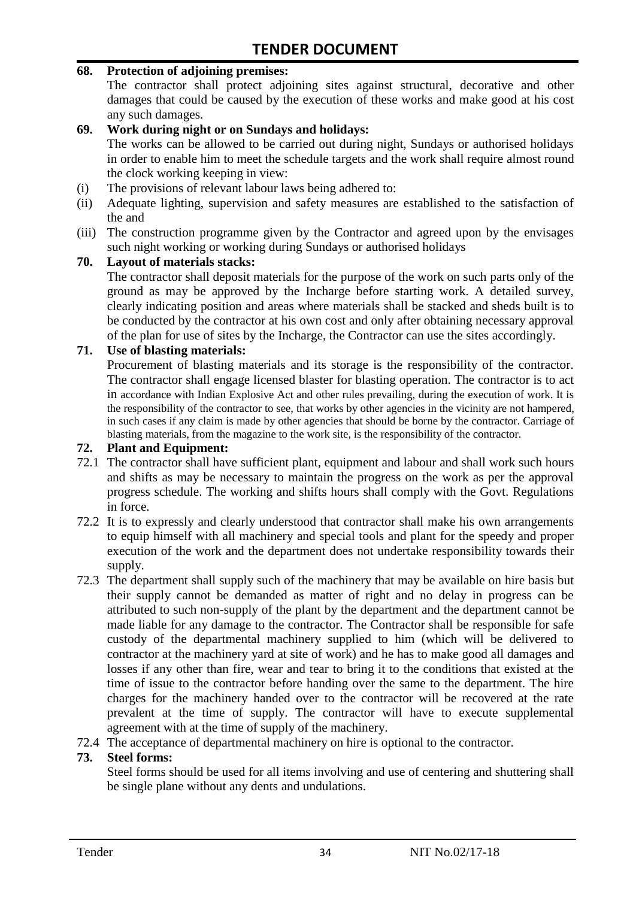#### **68. Protection of adjoining premises:**

The contractor shall protect adjoining sites against structural, decorative and other damages that could be caused by the execution of these works and make good at his cost any such damages.

#### **69. Work during night or on Sundays and holidays:**

The works can be allowed to be carried out during night, Sundays or authorised holidays in order to enable him to meet the schedule targets and the work shall require almost round the clock working keeping in view:

- (i) The provisions of relevant labour laws being adhered to:
- (ii) Adequate lighting, supervision and safety measures are established to the satisfaction of the and
- (iii) The construction programme given by the Contractor and agreed upon by the envisages such night working or working during Sundays or authorised holidays

#### **70. Layout of materials stacks:**

The contractor shall deposit materials for the purpose of the work on such parts only of the ground as may be approved by the Incharge before starting work. A detailed survey, clearly indicating position and areas where materials shall be stacked and sheds built is to be conducted by the contractor at his own cost and only after obtaining necessary approval of the plan for use of sites by the Incharge, the Contractor can use the sites accordingly.

#### **71. Use of blasting materials:**

Procurement of blasting materials and its storage is the responsibility of the contractor. The contractor shall engage licensed blaster for blasting operation. The contractor is to act in accordance with Indian Explosive Act and other rules prevailing, during the execution of work. It is the responsibility of the contractor to see, that works by other agencies in the vicinity are not hampered, in such cases if any claim is made by other agencies that should be borne by the contractor. Carriage of blasting materials, from the magazine to the work site, is the responsibility of the contractor.

#### **72. Plant and Equipment:**

- 72.1 The contractor shall have sufficient plant, equipment and labour and shall work such hours and shifts as may be necessary to maintain the progress on the work as per the approval progress schedule. The working and shifts hours shall comply with the Govt. Regulations in force.
- 72.2 It is to expressly and clearly understood that contractor shall make his own arrangements to equip himself with all machinery and special tools and plant for the speedy and proper execution of the work and the department does not undertake responsibility towards their supply.
- 72.3 The department shall supply such of the machinery that may be available on hire basis but their supply cannot be demanded as matter of right and no delay in progress can be attributed to such non-supply of the plant by the department and the department cannot be made liable for any damage to the contractor. The Contractor shall be responsible for safe custody of the departmental machinery supplied to him (which will be delivered to contractor at the machinery yard at site of work) and he has to make good all damages and losses if any other than fire, wear and tear to bring it to the conditions that existed at the time of issue to the contractor before handing over the same to the department. The hire charges for the machinery handed over to the contractor will be recovered at the rate prevalent at the time of supply. The contractor will have to execute supplemental agreement with at the time of supply of the machinery.
- 72.4 The acceptance of departmental machinery on hire is optional to the contractor.

#### **73. Steel forms:**

Steel forms should be used for all items involving and use of centering and shuttering shall be single plane without any dents and undulations.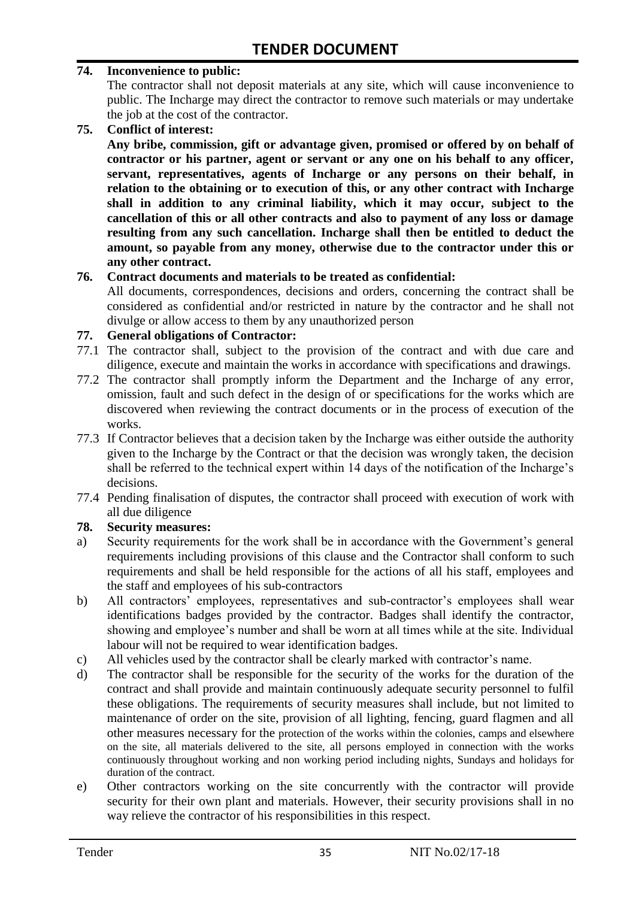#### **74. Inconvenience to public:**

The contractor shall not deposit materials at any site, which will cause inconvenience to public. The Incharge may direct the contractor to remove such materials or may undertake the job at the cost of the contractor.

**75. Conflict of interest:**

**Any bribe, commission, gift or advantage given, promised or offered by on behalf of contractor or his partner, agent or servant or any one on his behalf to any officer, servant, representatives, agents of Incharge or any persons on their behalf, in relation to the obtaining or to execution of this, or any other contract with Incharge shall in addition to any criminal liability, which it may occur, subject to the cancellation of this or all other contracts and also to payment of any loss or damage resulting from any such cancellation. Incharge shall then be entitled to deduct the amount, so payable from any money, otherwise due to the contractor under this or any other contract.**

#### **76. Contract documents and materials to be treated as confidential:**

All documents, correspondences, decisions and orders, concerning the contract shall be considered as confidential and/or restricted in nature by the contractor and he shall not divulge or allow access to them by any unauthorized person

#### **77. General obligations of Contractor:**

- 77.1 The contractor shall, subject to the provision of the contract and with due care and diligence, execute and maintain the works in accordance with specifications and drawings.
- 77.2 The contractor shall promptly inform the Department and the Incharge of any error, omission, fault and such defect in the design of or specifications for the works which are discovered when reviewing the contract documents or in the process of execution of the works.
- 77.3 If Contractor believes that a decision taken by the Incharge was either outside the authority given to the Incharge by the Contract or that the decision was wrongly taken, the decision shall be referred to the technical expert within 14 days of the notification of the Incharge's decisions.
- 77.4 Pending finalisation of disputes, the contractor shall proceed with execution of work with all due diligence

#### **78. Security measures:**

- a) Security requirements for the work shall be in accordance with the Government's general requirements including provisions of this clause and the Contractor shall conform to such requirements and shall be held responsible for the actions of all his staff, employees and the staff and employees of his sub-contractors
- b) All contractors' employees, representatives and sub-contractor's employees shall wear identifications badges provided by the contractor. Badges shall identify the contractor, showing and employee's number and shall be worn at all times while at the site. Individual labour will not be required to wear identification badges.
- c) All vehicles used by the contractor shall be clearly marked with contractor"s name.
- d) The contractor shall be responsible for the security of the works for the duration of the contract and shall provide and maintain continuously adequate security personnel to fulfil these obligations. The requirements of security measures shall include, but not limited to maintenance of order on the site, provision of all lighting, fencing, guard flagmen and all other measures necessary for the protection of the works within the colonies, camps and elsewhere on the site, all materials delivered to the site, all persons employed in connection with the works continuously throughout working and non working period including nights, Sundays and holidays for duration of the contract.
- e) Other contractors working on the site concurrently with the contractor will provide security for their own plant and materials. However, their security provisions shall in no way relieve the contractor of his responsibilities in this respect.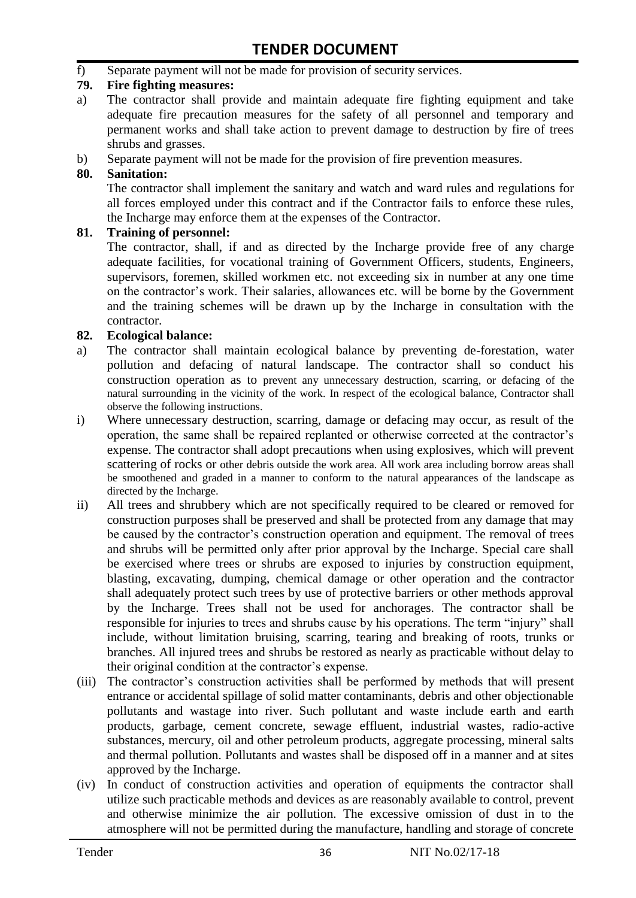f) Separate payment will not be made for provision of security services.

#### **79. Fire fighting measures:**

- a) The contractor shall provide and maintain adequate fire fighting equipment and take adequate fire precaution measures for the safety of all personnel and temporary and permanent works and shall take action to prevent damage to destruction by fire of trees shrubs and grasses.
- b) Separate payment will not be made for the provision of fire prevention measures.

#### **80. Sanitation:**

The contractor shall implement the sanitary and watch and ward rules and regulations for all forces employed under this contract and if the Contractor fails to enforce these rules, the Incharge may enforce them at the expenses of the Contractor.

#### **81. Training of personnel:**

The contractor, shall, if and as directed by the Incharge provide free of any charge adequate facilities, for vocational training of Government Officers, students, Engineers, supervisors, foremen, skilled workmen etc. not exceeding six in number at any one time on the contractor"s work. Their salaries, allowances etc. will be borne by the Government and the training schemes will be drawn up by the Incharge in consultation with the contractor.

#### **82. Ecological balance:**

- a) The contractor shall maintain ecological balance by preventing de-forestation, water pollution and defacing of natural landscape. The contractor shall so conduct his construction operation as to prevent any unnecessary destruction, scarring, or defacing of the natural surrounding in the vicinity of the work. In respect of the ecological balance, Contractor shall observe the following instructions.
- i) Where unnecessary destruction, scarring, damage or defacing may occur, as result of the operation, the same shall be repaired replanted or otherwise corrected at the contractor"s expense. The contractor shall adopt precautions when using explosives, which will prevent scattering of rocks or other debris outside the work area. All work area including borrow areas shall be smoothened and graded in a manner to conform to the natural appearances of the landscape as directed by the Incharge.
- ii) All trees and shrubbery which are not specifically required to be cleared or removed for construction purposes shall be preserved and shall be protected from any damage that may be caused by the contractor's construction operation and equipment. The removal of trees and shrubs will be permitted only after prior approval by the Incharge. Special care shall be exercised where trees or shrubs are exposed to injuries by construction equipment, blasting, excavating, dumping, chemical damage or other operation and the contractor shall adequately protect such trees by use of protective barriers or other methods approval by the Incharge. Trees shall not be used for anchorages. The contractor shall be responsible for injuries to trees and shrubs cause by his operations. The term "injury" shall include, without limitation bruising, scarring, tearing and breaking of roots, trunks or branches. All injured trees and shrubs be restored as nearly as practicable without delay to their original condition at the contractor"s expense.
- (iii) The contractor's construction activities shall be performed by methods that will present entrance or accidental spillage of solid matter contaminants, debris and other objectionable pollutants and wastage into river. Such pollutant and waste include earth and earth products, garbage, cement concrete, sewage effluent, industrial wastes, radio-active substances, mercury, oil and other petroleum products, aggregate processing, mineral salts and thermal pollution. Pollutants and wastes shall be disposed off in a manner and at sites approved by the Incharge.
- (iv) In conduct of construction activities and operation of equipments the contractor shall utilize such practicable methods and devices as are reasonably available to control, prevent and otherwise minimize the air pollution. The excessive omission of dust in to the atmosphere will not be permitted during the manufacture, handling and storage of concrete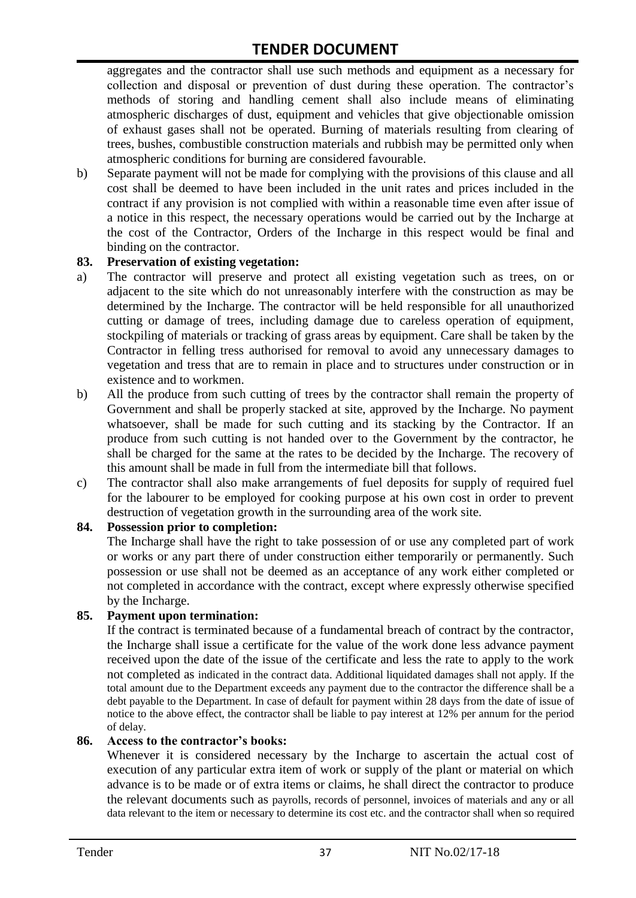aggregates and the contractor shall use such methods and equipment as a necessary for collection and disposal or prevention of dust during these operation. The contractor's methods of storing and handling cement shall also include means of eliminating atmospheric discharges of dust, equipment and vehicles that give objectionable omission of exhaust gases shall not be operated. Burning of materials resulting from clearing of trees, bushes, combustible construction materials and rubbish may be permitted only when atmospheric conditions for burning are considered favourable.

b) Separate payment will not be made for complying with the provisions of this clause and all cost shall be deemed to have been included in the unit rates and prices included in the contract if any provision is not complied with within a reasonable time even after issue of a notice in this respect, the necessary operations would be carried out by the Incharge at the cost of the Contractor, Orders of the Incharge in this respect would be final and binding on the contractor.

#### **83. Preservation of existing vegetation:**

- a) The contractor will preserve and protect all existing vegetation such as trees, on or adjacent to the site which do not unreasonably interfere with the construction as may be determined by the Incharge. The contractor will be held responsible for all unauthorized cutting or damage of trees, including damage due to careless operation of equipment, stockpiling of materials or tracking of grass areas by equipment. Care shall be taken by the Contractor in felling tress authorised for removal to avoid any unnecessary damages to vegetation and tress that are to remain in place and to structures under construction or in existence and to workmen.
- b) All the produce from such cutting of trees by the contractor shall remain the property of Government and shall be properly stacked at site, approved by the Incharge. No payment whatsoever, shall be made for such cutting and its stacking by the Contractor. If an produce from such cutting is not handed over to the Government by the contractor, he shall be charged for the same at the rates to be decided by the Incharge. The recovery of this amount shall be made in full from the intermediate bill that follows.
- c) The contractor shall also make arrangements of fuel deposits for supply of required fuel for the labourer to be employed for cooking purpose at his own cost in order to prevent destruction of vegetation growth in the surrounding area of the work site.

#### **84. Possession prior to completion:**

The Incharge shall have the right to take possession of or use any completed part of work or works or any part there of under construction either temporarily or permanently. Such possession or use shall not be deemed as an acceptance of any work either completed or not completed in accordance with the contract, except where expressly otherwise specified by the Incharge.

#### **85. Payment upon termination:**

If the contract is terminated because of a fundamental breach of contract by the contractor, the Incharge shall issue a certificate for the value of the work done less advance payment received upon the date of the issue of the certificate and less the rate to apply to the work not completed as indicated in the contract data. Additional liquidated damages shall not apply. If the total amount due to the Department exceeds any payment due to the contractor the difference shall be a debt payable to the Department. In case of default for payment within 28 days from the date of issue of notice to the above effect, the contractor shall be liable to pay interest at 12% per annum for the period of delay.

#### **86. Access to the contractor's books:**

Whenever it is considered necessary by the Incharge to ascertain the actual cost of execution of any particular extra item of work or supply of the plant or material on which advance is to be made or of extra items or claims, he shall direct the contractor to produce the relevant documents such as payrolls, records of personnel, invoices of materials and any or all data relevant to the item or necessary to determine its cost etc. and the contractor shall when so required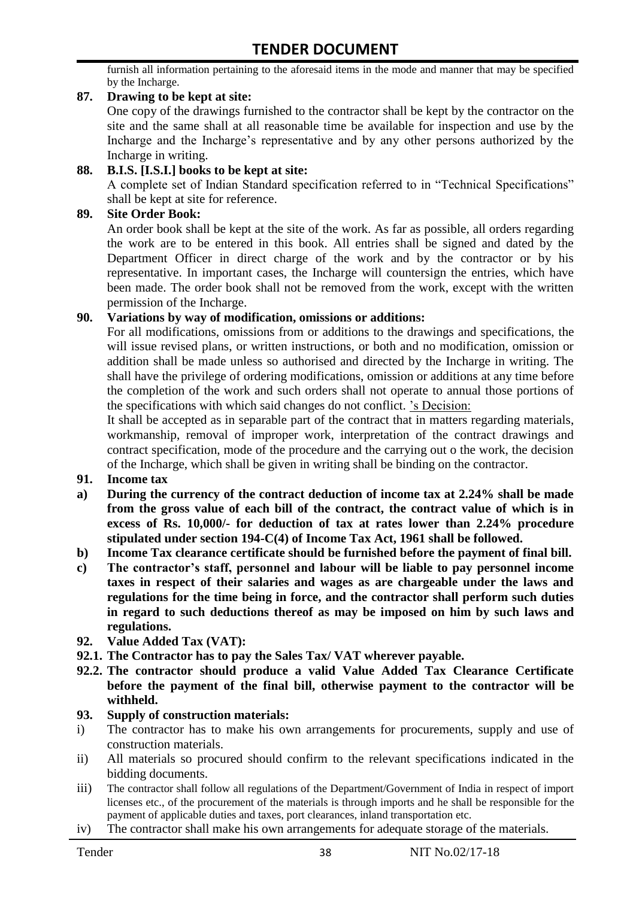furnish all information pertaining to the aforesaid items in the mode and manner that may be specified by the Incharge.

#### **87. Drawing to be kept at site:**

One copy of the drawings furnished to the contractor shall be kept by the contractor on the site and the same shall at all reasonable time be available for inspection and use by the Incharge and the Incharge"s representative and by any other persons authorized by the Incharge in writing.

#### **88. B.I.S. [I.S.I.] books to be kept at site:**

A complete set of Indian Standard specification referred to in "Technical Specifications" shall be kept at site for reference.

#### **89. Site Order Book:**

An order book shall be kept at the site of the work. As far as possible, all orders regarding the work are to be entered in this book. All entries shall be signed and dated by the Department Officer in direct charge of the work and by the contractor or by his representative. In important cases, the Incharge will countersign the entries, which have been made. The order book shall not be removed from the work, except with the written permission of the Incharge.

#### **90. Variations by way of modification, omissions or additions:**

For all modifications, omissions from or additions to the drawings and specifications, the will issue revised plans, or written instructions, or both and no modification, omission or addition shall be made unless so authorised and directed by the Incharge in writing. The shall have the privilege of ordering modifications, omission or additions at any time before the completion of the work and such orders shall not operate to annual those portions of the specifications with which said changes do not conflict. "s Decision:

It shall be accepted as in separable part of the contract that in matters regarding materials, workmanship, removal of improper work, interpretation of the contract drawings and contract specification, mode of the procedure and the carrying out o the work, the decision of the Incharge, which shall be given in writing shall be binding on the contractor.

- **91. Income tax**
- **a) During the currency of the contract deduction of income tax at 2.24% shall be made from the gross value of each bill of the contract, the contract value of which is in excess of Rs. 10,000/- for deduction of tax at rates lower than 2.24% procedure stipulated under section 194-C(4) of Income Tax Act, 1961 shall be followed.**
- **b) Income Tax clearance certificate should be furnished before the payment of final bill.**
- **c) The contractor's staff, personnel and labour will be liable to pay personnel income taxes in respect of their salaries and wages as are chargeable under the laws and regulations for the time being in force, and the contractor shall perform such duties in regard to such deductions thereof as may be imposed on him by such laws and regulations.**
- **92. Value Added Tax (VAT):**
- **92.1. The Contractor has to pay the Sales Tax/ VAT wherever payable.**
- **92.2. The contractor should produce a valid Value Added Tax Clearance Certificate before the payment of the final bill, otherwise payment to the contractor will be withheld.**

#### **93. Supply of construction materials:**

- i) The contractor has to make his own arrangements for procurements, supply and use of construction materials.
- ii) All materials so procured should confirm to the relevant specifications indicated in the bidding documents.
- iii) The contractor shall follow all regulations of the Department/Government of India in respect of import licenses etc., of the procurement of the materials is through imports and he shall be responsible for the payment of applicable duties and taxes, port clearances, inland transportation etc.
- iv) The contractor shall make his own arrangements for adequate storage of the materials.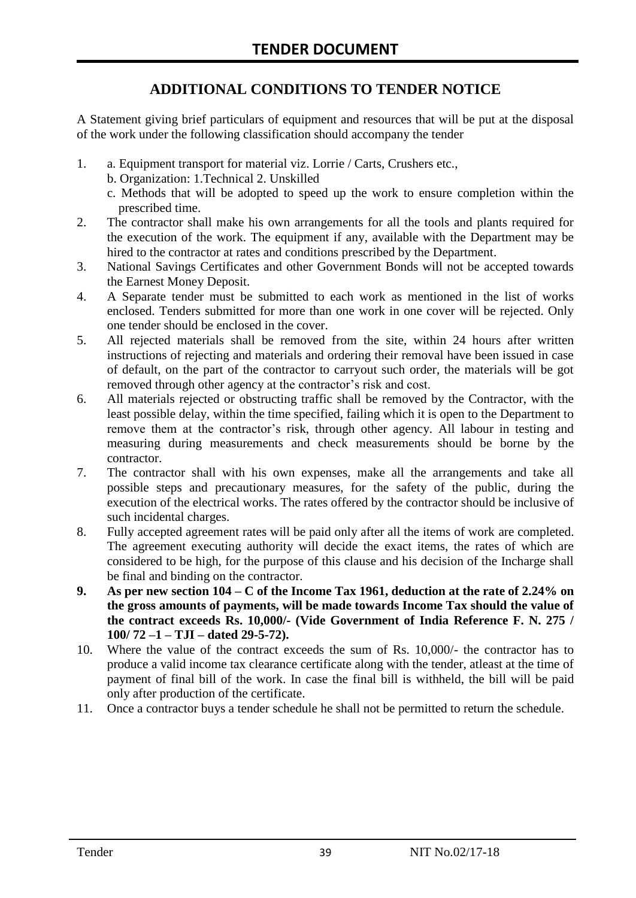# **ADDITIONAL CONDITIONS TO TENDER NOTICE**

A Statement giving brief particulars of equipment and resources that will be put at the disposal of the work under the following classification should accompany the tender

- 1. a. Equipment transport for material viz. Lorrie / Carts, Crushers etc.,
	- b. Organization: 1.Technical 2. Unskilled
	- c. Methods that will be adopted to speed up the work to ensure completion within the prescribed time.
- 2. The contractor shall make his own arrangements for all the tools and plants required for the execution of the work. The equipment if any, available with the Department may be hired to the contractor at rates and conditions prescribed by the Department.
- 3. National Savings Certificates and other Government Bonds will not be accepted towards the Earnest Money Deposit.
- 4. A Separate tender must be submitted to each work as mentioned in the list of works enclosed. Tenders submitted for more than one work in one cover will be rejected. Only one tender should be enclosed in the cover.
- 5. All rejected materials shall be removed from the site, within 24 hours after written instructions of rejecting and materials and ordering their removal have been issued in case of default, on the part of the contractor to carryout such order, the materials will be got removed through other agency at the contractor's risk and cost.
- 6. All materials rejected or obstructing traffic shall be removed by the Contractor, with the least possible delay, within the time specified, failing which it is open to the Department to remove them at the contractor's risk, through other agency. All labour in testing and measuring during measurements and check measurements should be borne by the contractor.
- 7. The contractor shall with his own expenses, make all the arrangements and take all possible steps and precautionary measures, for the safety of the public, during the execution of the electrical works. The rates offered by the contractor should be inclusive of such incidental charges.
- 8. Fully accepted agreement rates will be paid only after all the items of work are completed. The agreement executing authority will decide the exact items, the rates of which are considered to be high, for the purpose of this clause and his decision of the Incharge shall be final and binding on the contractor.
- **9. As per new section 104 – C of the Income Tax 1961, deduction at the rate of 2.24% on the gross amounts of payments, will be made towards Income Tax should the value of the contract exceeds Rs. 10,000/- (Vide Government of India Reference F. N. 275 / 100/ 72 –1 – TJI – dated 29-5-72).**
- 10. Where the value of the contract exceeds the sum of Rs. 10,000/- the contractor has to produce a valid income tax clearance certificate along with the tender, atleast at the time of payment of final bill of the work. In case the final bill is withheld, the bill will be paid only after production of the certificate.
- 11. Once a contractor buys a tender schedule he shall not be permitted to return the schedule.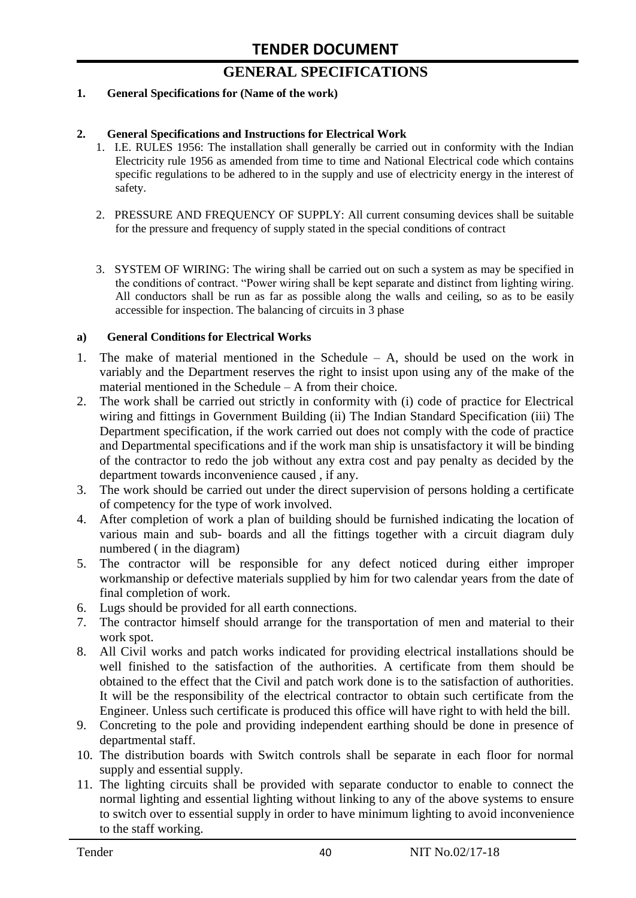# **GENERAL SPECIFICATIONS**

#### **1. General Specifications for (Name of the work)**

#### **2. General Specifications and Instructions for Electrical Work**

- 1. I.E. RULES 1956: The installation shall generally be carried out in conformity with the Indian Electricity rule 1956 as amended from time to time and National Electrical code which contains specific regulations to be adhered to in the supply and use of electricity energy in the interest of safety.
- 2. PRESSURE AND FREQUENCY OF SUPPLY: All current consuming devices shall be suitable for the pressure and frequency of supply stated in the special conditions of contract
- 3. SYSTEM OF WIRING: The wiring shall be carried out on such a system as may be specified in the conditions of contract. "Power wiring shall be kept separate and distinct from lighting wiring. All conductors shall be run as far as possible along the walls and ceiling, so as to be easily accessible for inspection. The balancing of circuits in 3 phase

#### **a) General Conditions for Electrical Works**

- 1. The make of material mentioned in the Schedule A, should be used on the work in variably and the Department reserves the right to insist upon using any of the make of the material mentioned in the Schedule – A from their choice.
- 2. The work shall be carried out strictly in conformity with (i) code of practice for Electrical wiring and fittings in Government Building (ii) The Indian Standard Specification (iii) The Department specification, if the work carried out does not comply with the code of practice and Departmental specifications and if the work man ship is unsatisfactory it will be binding of the contractor to redo the job without any extra cost and pay penalty as decided by the department towards inconvenience caused , if any.
- 3. The work should be carried out under the direct supervision of persons holding a certificate of competency for the type of work involved.
- 4. After completion of work a plan of building should be furnished indicating the location of various main and sub- boards and all the fittings together with a circuit diagram duly numbered ( in the diagram)
- 5. The contractor will be responsible for any defect noticed during either improper workmanship or defective materials supplied by him for two calendar years from the date of final completion of work.
- 6. Lugs should be provided for all earth connections.
- 7. The contractor himself should arrange for the transportation of men and material to their work spot.
- 8. All Civil works and patch works indicated for providing electrical installations should be well finished to the satisfaction of the authorities. A certificate from them should be obtained to the effect that the Civil and patch work done is to the satisfaction of authorities. It will be the responsibility of the electrical contractor to obtain such certificate from the Engineer. Unless such certificate is produced this office will have right to with held the bill.
- 9. Concreting to the pole and providing independent earthing should be done in presence of departmental staff.
- 10. The distribution boards with Switch controls shall be separate in each floor for normal supply and essential supply.
- 11. The lighting circuits shall be provided with separate conductor to enable to connect the normal lighting and essential lighting without linking to any of the above systems to ensure to switch over to essential supply in order to have minimum lighting to avoid inconvenience to the staff working.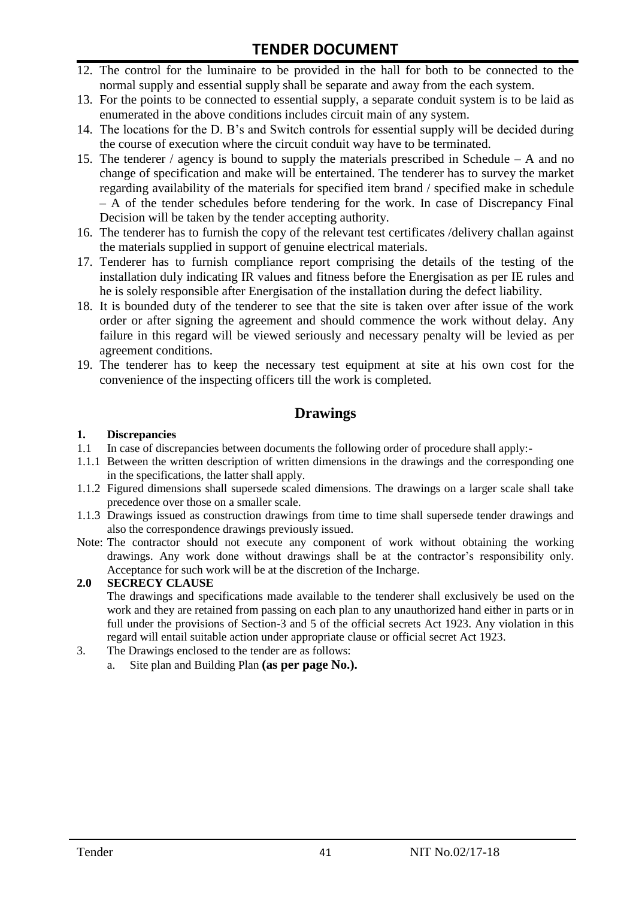- 12. The control for the luminaire to be provided in the hall for both to be connected to the normal supply and essential supply shall be separate and away from the each system.
- 13. For the points to be connected to essential supply, a separate conduit system is to be laid as enumerated in the above conditions includes circuit main of any system.
- 14. The locations for the D. B"s and Switch controls for essential supply will be decided during the course of execution where the circuit conduit way have to be terminated.
- 15. The tenderer / agency is bound to supply the materials prescribed in Schedule A and no change of specification and make will be entertained. The tenderer has to survey the market regarding availability of the materials for specified item brand / specified make in schedule – A of the tender schedules before tendering for the work. In case of Discrepancy Final Decision will be taken by the tender accepting authority.
- 16. The tenderer has to furnish the copy of the relevant test certificates /delivery challan against the materials supplied in support of genuine electrical materials.
- 17. Tenderer has to furnish compliance report comprising the details of the testing of the installation duly indicating IR values and fitness before the Energisation as per IE rules and he is solely responsible after Energisation of the installation during the defect liability.
- 18. It is bounded duty of the tenderer to see that the site is taken over after issue of the work order or after signing the agreement and should commence the work without delay. Any failure in this regard will be viewed seriously and necessary penalty will be levied as per agreement conditions.
- 19. The tenderer has to keep the necessary test equipment at site at his own cost for the convenience of the inspecting officers till the work is completed.

## **Drawings**

#### **1. Discrepancies**

- 1.1 In case of discrepancies between documents the following order of procedure shall apply:-
- 1.1.1 Between the written description of written dimensions in the drawings and the corresponding one in the specifications, the latter shall apply.
- 1.1.2 Figured dimensions shall supersede scaled dimensions. The drawings on a larger scale shall take precedence over those on a smaller scale.
- 1.1.3 Drawings issued as construction drawings from time to time shall supersede tender drawings and also the correspondence drawings previously issued.
- Note: The contractor should not execute any component of work without obtaining the working drawings. Any work done without drawings shall be at the contractor"s responsibility only. Acceptance for such work will be at the discretion of the Incharge.

#### **2.0 SECRECY CLAUSE**

The drawings and specifications made available to the tenderer shall exclusively be used on the work and they are retained from passing on each plan to any unauthorized hand either in parts or in full under the provisions of Section-3 and 5 of the official secrets Act 1923. Any violation in this regard will entail suitable action under appropriate clause or official secret Act 1923.

- 3. The Drawings enclosed to the tender are as follows:
	- a. Site plan and Building Plan **(as per page No.).**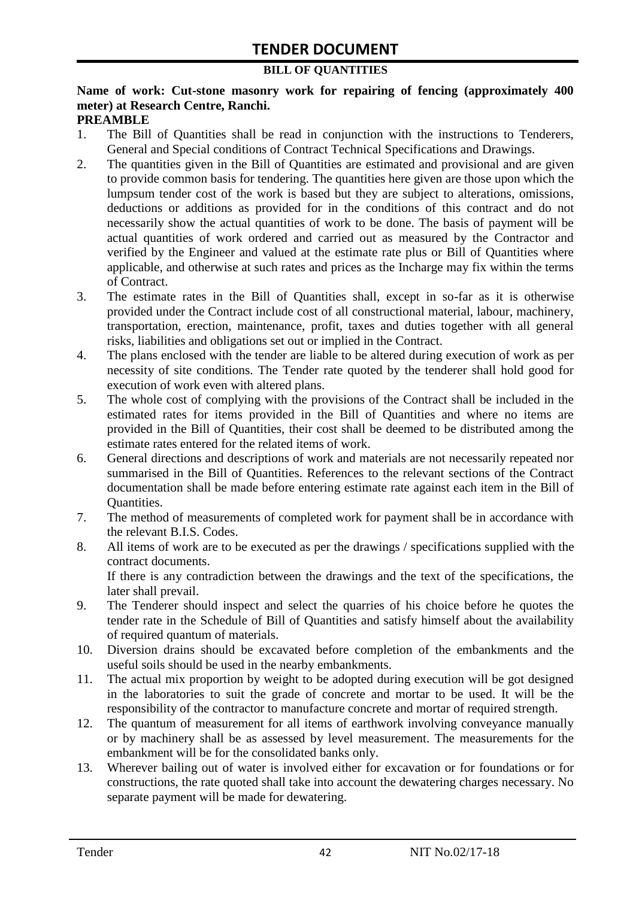#### **BILL OF QUANTITIES**

#### **Name of work: Cut-stone masonry work for repairing of fencing (approximately 400 meter) at Research Centre, Ranchi. PREAMBLE**

- 1. The Bill of Quantities shall be read in conjunction with the instructions to Tenderers, General and Special conditions of Contract Technical Specifications and Drawings.
- 2. The quantities given in the Bill of Quantities are estimated and provisional and are given to provide common basis for tendering. The quantities here given are those upon which the lumpsum tender cost of the work is based but they are subject to alterations, omissions, deductions or additions as provided for in the conditions of this contract and do not necessarily show the actual quantities of work to be done. The basis of payment will be actual quantities of work ordered and carried out as measured by the Contractor and verified by the Engineer and valued at the estimate rate plus or Bill of Quantities where applicable, and otherwise at such rates and prices as the Incharge may fix within the terms of Contract.
- 3. The estimate rates in the Bill of Quantities shall, except in so-far as it is otherwise provided under the Contract include cost of all constructional material, labour, machinery, transportation, erection, maintenance, profit, taxes and duties together with all general risks, liabilities and obligations set out or implied in the Contract.
- 4. The plans enclosed with the tender are liable to be altered during execution of work as per necessity of site conditions. The Tender rate quoted by the tenderer shall hold good for execution of work even with altered plans.
- 5. The whole cost of complying with the provisions of the Contract shall be included in the estimated rates for items provided in the Bill of Quantities and where no items are provided in the Bill of Quantities, their cost shall be deemed to be distributed among the estimate rates entered for the related items of work.
- 6. General directions and descriptions of work and materials are not necessarily repeated nor summarised in the Bill of Quantities. References to the relevant sections of the Contract documentation shall be made before entering estimate rate against each item in the Bill of Quantities.
- 7. The method of measurements of completed work for payment shall be in accordance with the relevant B.I.S. Codes.
- 8. All items of work are to be executed as per the drawings / specifications supplied with the contract documents. If there is any contradiction between the drawings and the text of the specifications, the

later shall prevail. 9. The Tenderer should inspect and select the quarries of his choice before he quotes the

- tender rate in the Schedule of Bill of Quantities and satisfy himself about the availability of required quantum of materials.
- 10. Diversion drains should be excavated before completion of the embankments and the useful soils should be used in the nearby embankments.
- 11. The actual mix proportion by weight to be adopted during execution will be got designed in the laboratories to suit the grade of concrete and mortar to be used. It will be the responsibility of the contractor to manufacture concrete and mortar of required strength.
- 12. The quantum of measurement for all items of earthwork involving conveyance manually or by machinery shall be as assessed by level measurement. The measurements for the embankment will be for the consolidated banks only.
- 13. Wherever bailing out of water is involved either for excavation or for foundations or for constructions, the rate quoted shall take into account the dewatering charges necessary. No separate payment will be made for dewatering.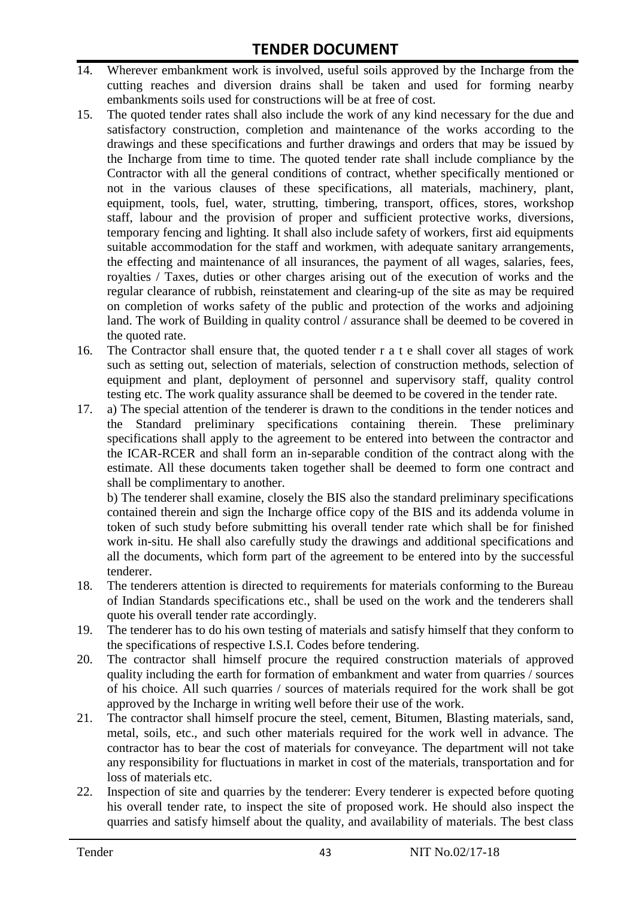- 14. Wherever embankment work is involved, useful soils approved by the Incharge from the cutting reaches and diversion drains shall be taken and used for forming nearby embankments soils used for constructions will be at free of cost.
- 15. The quoted tender rates shall also include the work of any kind necessary for the due and satisfactory construction, completion and maintenance of the works according to the drawings and these specifications and further drawings and orders that may be issued by the Incharge from time to time. The quoted tender rate shall include compliance by the Contractor with all the general conditions of contract, whether specifically mentioned or not in the various clauses of these specifications, all materials, machinery, plant, equipment, tools, fuel, water, strutting, timbering, transport, offices, stores, workshop staff, labour and the provision of proper and sufficient protective works, diversions, temporary fencing and lighting. It shall also include safety of workers, first aid equipments suitable accommodation for the staff and workmen, with adequate sanitary arrangements, the effecting and maintenance of all insurances, the payment of all wages, salaries, fees, royalties / Taxes, duties or other charges arising out of the execution of works and the regular clearance of rubbish, reinstatement and clearing-up of the site as may be required on completion of works safety of the public and protection of the works and adjoining land. The work of Building in quality control / assurance shall be deemed to be covered in the quoted rate.
- 16. The Contractor shall ensure that, the quoted tender r a t e shall cover all stages of work such as setting out, selection of materials, selection of construction methods, selection of equipment and plant, deployment of personnel and supervisory staff, quality control testing etc. The work quality assurance shall be deemed to be covered in the tender rate.
- 17. a) The special attention of the tenderer is drawn to the conditions in the tender notices and the Standard preliminary specifications containing therein. These preliminary specifications shall apply to the agreement to be entered into between the contractor and the ICAR-RCER and shall form an in-separable condition of the contract along with the estimate. All these documents taken together shall be deemed to form one contract and shall be complimentary to another.

b) The tenderer shall examine, closely the BIS also the standard preliminary specifications contained therein and sign the Incharge office copy of the BIS and its addenda volume in token of such study before submitting his overall tender rate which shall be for finished work in-situ. He shall also carefully study the drawings and additional specifications and all the documents, which form part of the agreement to be entered into by the successful tenderer.

- 18. The tenderers attention is directed to requirements for materials conforming to the Bureau of Indian Standards specifications etc., shall be used on the work and the tenderers shall quote his overall tender rate accordingly.
- 19. The tenderer has to do his own testing of materials and satisfy himself that they conform to the specifications of respective I.S.I. Codes before tendering.
- 20. The contractor shall himself procure the required construction materials of approved quality including the earth for formation of embankment and water from quarries / sources of his choice. All such quarries / sources of materials required for the work shall be got approved by the Incharge in writing well before their use of the work.
- 21. The contractor shall himself procure the steel, cement, Bitumen, Blasting materials, sand, metal, soils, etc., and such other materials required for the work well in advance. The contractor has to bear the cost of materials for conveyance. The department will not take any responsibility for fluctuations in market in cost of the materials, transportation and for loss of materials etc.
- 22. Inspection of site and quarries by the tenderer: Every tenderer is expected before quoting his overall tender rate, to inspect the site of proposed work. He should also inspect the quarries and satisfy himself about the quality, and availability of materials. The best class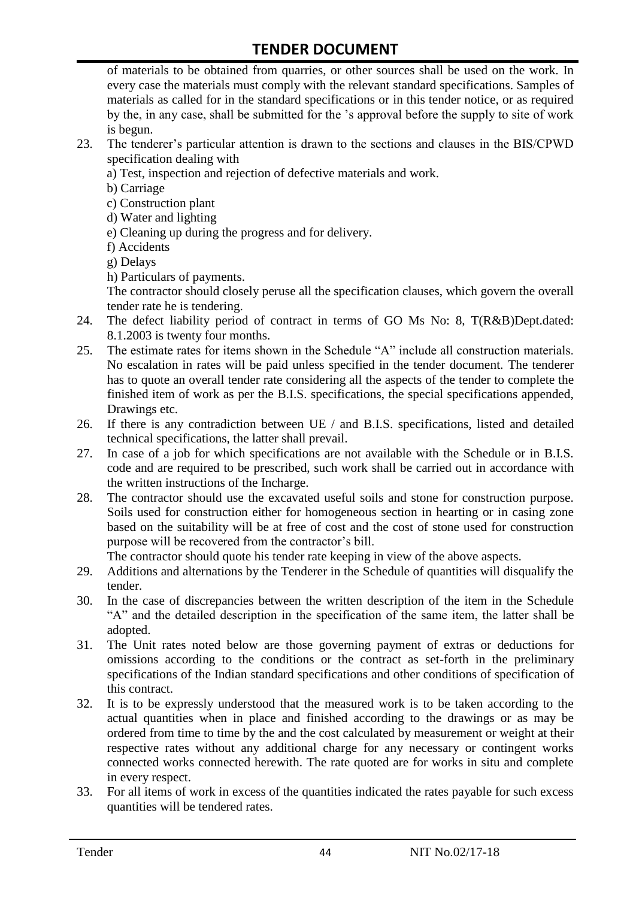of materials to be obtained from quarries, or other sources shall be used on the work. In every case the materials must comply with the relevant standard specifications. Samples of materials as called for in the standard specifications or in this tender notice, or as required by the, in any case, shall be submitted for the "s approval before the supply to site of work is begun.

- 23. The tenderer"s particular attention is drawn to the sections and clauses in the BIS/CPWD specification dealing with
	- a) Test, inspection and rejection of defective materials and work.
	- b) Carriage
	- c) Construction plant
	- d) Water and lighting
	- e) Cleaning up during the progress and for delivery.
	- f) Accidents
	- g) Delays
	- h) Particulars of payments.

The contractor should closely peruse all the specification clauses, which govern the overall tender rate he is tendering.

- 24. The defect liability period of contract in terms of GO Ms No: 8, T(R&B)Dept.dated: 8.1.2003 is twenty four months.
- 25. The estimate rates for items shown in the Schedule "A" include all construction materials. No escalation in rates will be paid unless specified in the tender document. The tenderer has to quote an overall tender rate considering all the aspects of the tender to complete the finished item of work as per the B.I.S. specifications, the special specifications appended, Drawings etc.
- 26. If there is any contradiction between UE / and B.I.S. specifications, listed and detailed technical specifications, the latter shall prevail.
- 27. In case of a job for which specifications are not available with the Schedule or in B.I.S. code and are required to be prescribed, such work shall be carried out in accordance with the written instructions of the Incharge.
- 28. The contractor should use the excavated useful soils and stone for construction purpose. Soils used for construction either for homogeneous section in hearting or in casing zone based on the suitability will be at free of cost and the cost of stone used for construction purpose will be recovered from the contractor's bill.

The contractor should quote his tender rate keeping in view of the above aspects.

- 29. Additions and alternations by the Tenderer in the Schedule of quantities will disqualify the tender.
- 30. In the case of discrepancies between the written description of the item in the Schedule "A" and the detailed description in the specification of the same item, the latter shall be adopted.
- 31. The Unit rates noted below are those governing payment of extras or deductions for omissions according to the conditions or the contract as set-forth in the preliminary specifications of the Indian standard specifications and other conditions of specification of this contract.
- 32. It is to be expressly understood that the measured work is to be taken according to the actual quantities when in place and finished according to the drawings or as may be ordered from time to time by the and the cost calculated by measurement or weight at their respective rates without any additional charge for any necessary or contingent works connected works connected herewith. The rate quoted are for works in situ and complete in every respect.
- 33. For all items of work in excess of the quantities indicated the rates payable for such excess quantities will be tendered rates.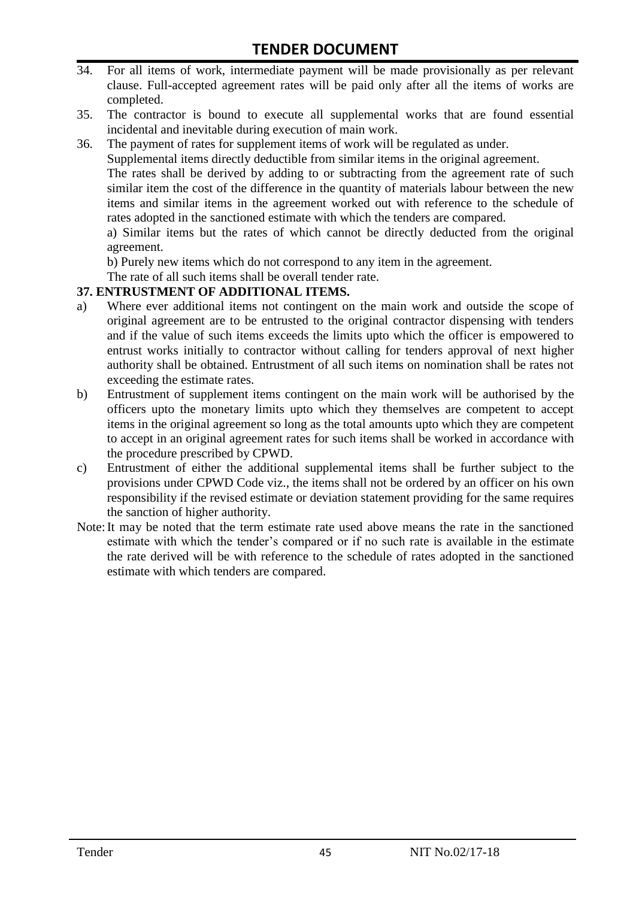- 34. For all items of work, intermediate payment will be made provisionally as per relevant clause. Full-accepted agreement rates will be paid only after all the items of works are completed.
- 35. The contractor is bound to execute all supplemental works that are found essential incidental and inevitable during execution of main work.
- 36. The payment of rates for supplement items of work will be regulated as under.

Supplemental items directly deductible from similar items in the original agreement.

The rates shall be derived by adding to or subtracting from the agreement rate of such similar item the cost of the difference in the quantity of materials labour between the new items and similar items in the agreement worked out with reference to the schedule of rates adopted in the sanctioned estimate with which the tenders are compared.

a) Similar items but the rates of which cannot be directly deducted from the original agreement.

b) Purely new items which do not correspond to any item in the agreement.

The rate of all such items shall be overall tender rate.

#### **37. ENTRUSTMENT OF ADDITIONAL ITEMS.**

- a) Where ever additional items not contingent on the main work and outside the scope of original agreement are to be entrusted to the original contractor dispensing with tenders and if the value of such items exceeds the limits upto which the officer is empowered to entrust works initially to contractor without calling for tenders approval of next higher authority shall be obtained. Entrustment of all such items on nomination shall be rates not exceeding the estimate rates.
- b) Entrustment of supplement items contingent on the main work will be authorised by the officers upto the monetary limits upto which they themselves are competent to accept items in the original agreement so long as the total amounts upto which they are competent to accept in an original agreement rates for such items shall be worked in accordance with the procedure prescribed by CPWD.
- c) Entrustment of either the additional supplemental items shall be further subject to the provisions under CPWD Code viz., the items shall not be ordered by an officer on his own responsibility if the revised estimate or deviation statement providing for the same requires the sanction of higher authority.
- Note:It may be noted that the term estimate rate used above means the rate in the sanctioned estimate with which the tender"s compared or if no such rate is available in the estimate the rate derived will be with reference to the schedule of rates adopted in the sanctioned estimate with which tenders are compared.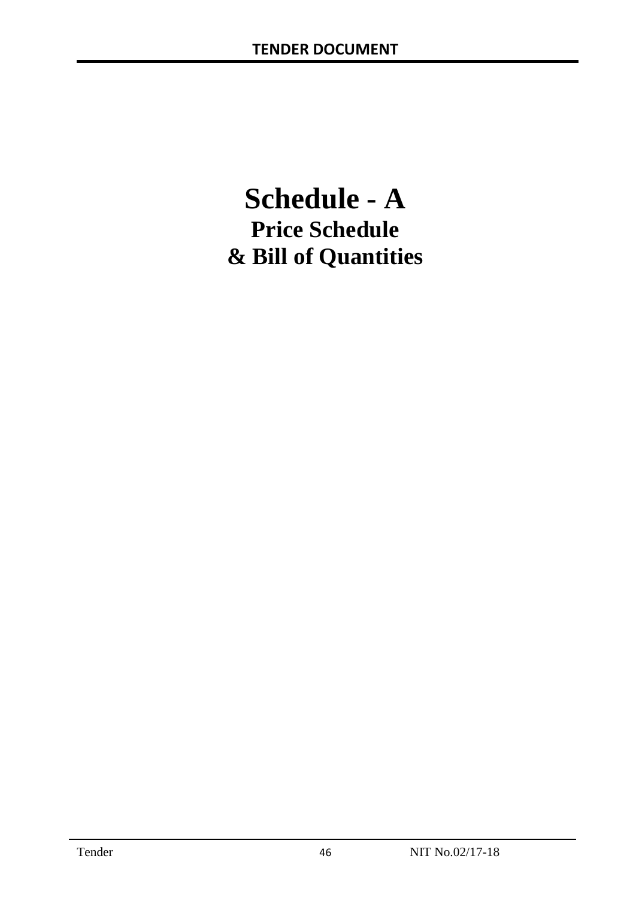# **Schedule - A Price Schedule & Bill of Quantities**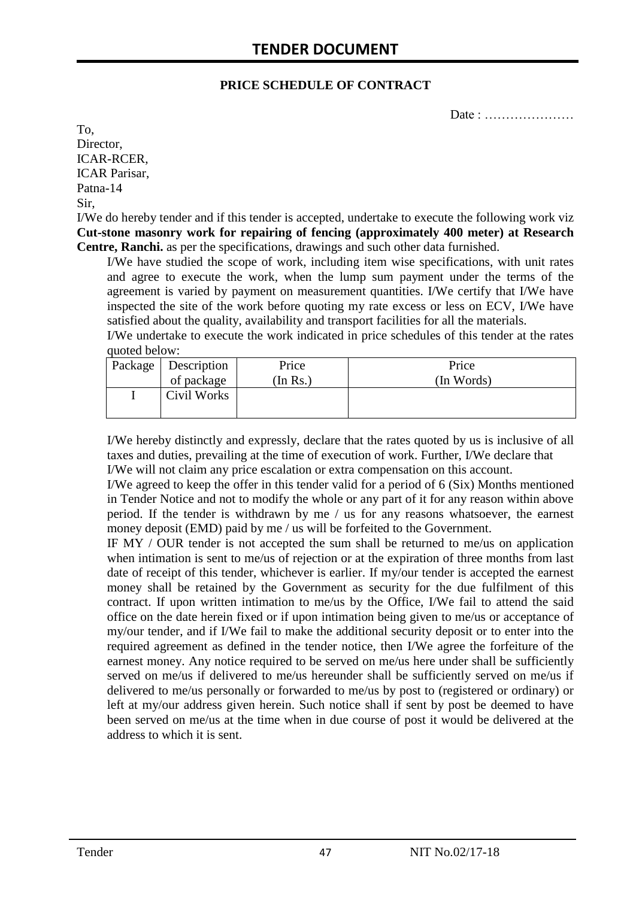#### **PRICE SCHEDULE OF CONTRACT**

Date : …………………

To, Director, ICAR-RCER, ICAR Parisar, Patna-14 Sir,

I/We do hereby tender and if this tender is accepted, undertake to execute the following work viz **Cut-stone masonry work for repairing of fencing (approximately 400 meter) at Research Centre, Ranchi.** as per the specifications, drawings and such other data furnished.

I/We have studied the scope of work, including item wise specifications, with unit rates and agree to execute the work, when the lump sum payment under the terms of the agreement is varied by payment on measurement quantities. I/We certify that I/We have inspected the site of the work before quoting my rate excess or less on ECV, I/We have satisfied about the quality, availability and transport facilities for all the materials.

I/We undertake to execute the work indicated in price schedules of this tender at the rates quoted below:

| Package   Description | Price    | Price      |
|-----------------------|----------|------------|
| of package            | (In Rs.) | (In Words) |
| Civil Works           |          |            |
|                       |          |            |

I/We hereby distinctly and expressly, declare that the rates quoted by us is inclusive of all taxes and duties, prevailing at the time of execution of work. Further, I/We declare that I/We will not claim any price escalation or extra compensation on this account.

I/We agreed to keep the offer in this tender valid for a period of 6 (Six) Months mentioned in Tender Notice and not to modify the whole or any part of it for any reason within above period. If the tender is withdrawn by me / us for any reasons whatsoever, the earnest money deposit (EMD) paid by me / us will be forfeited to the Government.

IF MY / OUR tender is not accepted the sum shall be returned to me/us on application when intimation is sent to me/us of rejection or at the expiration of three months from last date of receipt of this tender, whichever is earlier. If my/our tender is accepted the earnest money shall be retained by the Government as security for the due fulfilment of this contract. If upon written intimation to me/us by the Office, I/We fail to attend the said office on the date herein fixed or if upon intimation being given to me/us or acceptance of my/our tender, and if I/We fail to make the additional security deposit or to enter into the required agreement as defined in the tender notice, then I/We agree the forfeiture of the earnest money. Any notice required to be served on me/us here under shall be sufficiently served on me/us if delivered to me/us hereunder shall be sufficiently served on me/us if delivered to me/us personally or forwarded to me/us by post to (registered or ordinary) or left at my/our address given herein. Such notice shall if sent by post be deemed to have been served on me/us at the time when in due course of post it would be delivered at the address to which it is sent.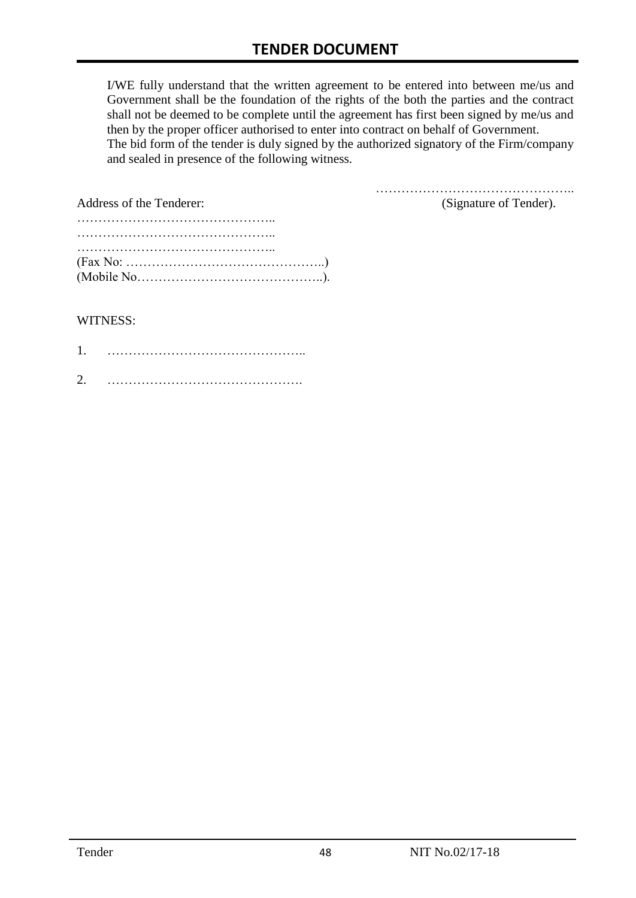I/WE fully understand that the written agreement to be entered into between me/us and Government shall be the foundation of the rights of the both the parties and the contract shall not be deemed to be complete until the agreement has first been signed by me/us and then by the proper officer authorised to enter into contract on behalf of Government. The bid form of the tender is duly signed by the authorized signatory of the Firm/company and sealed in presence of the following witness.

| Address of the Tenderer:                                                                  | (Signature of Tender). |
|-------------------------------------------------------------------------------------------|------------------------|
|                                                                                           |                        |
|                                                                                           |                        |
|                                                                                           |                        |
| $(Fax No: \dots \dots \dots \dots \dots \dots \dots \dots \dots \dots \dots \dots \dots)$ |                        |
|                                                                                           |                        |

#### WITNESS:

| ⌒ |  |
|---|--|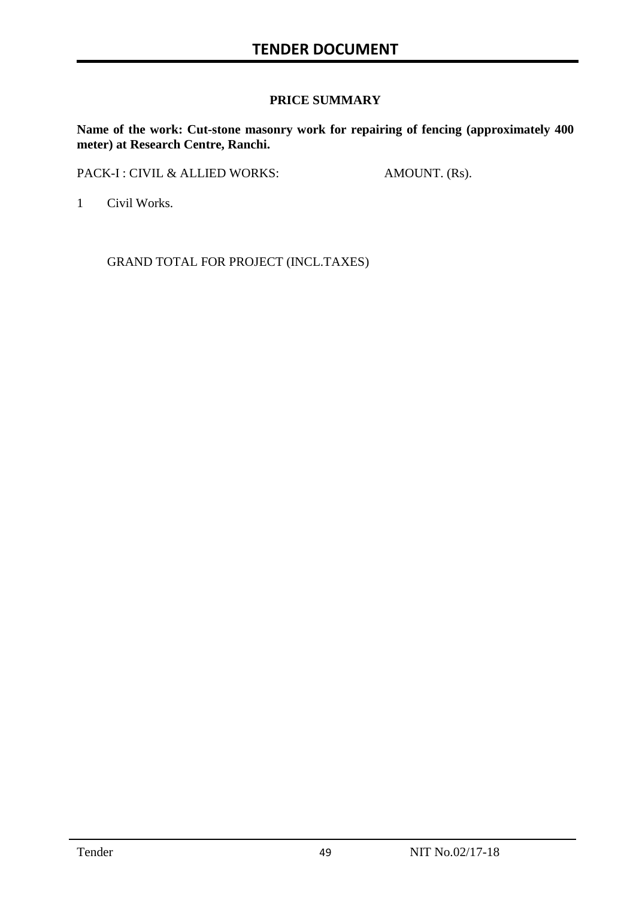### **PRICE SUMMARY**

**Name of the work: Cut-stone masonry work for repairing of fencing (approximately 400 meter) at Research Centre, Ranchi.**

PACK-I : CIVIL & ALLIED WORKS: AMOUNT. (Rs).

1 Civil Works.

GRAND TOTAL FOR PROJECT (INCL.TAXES)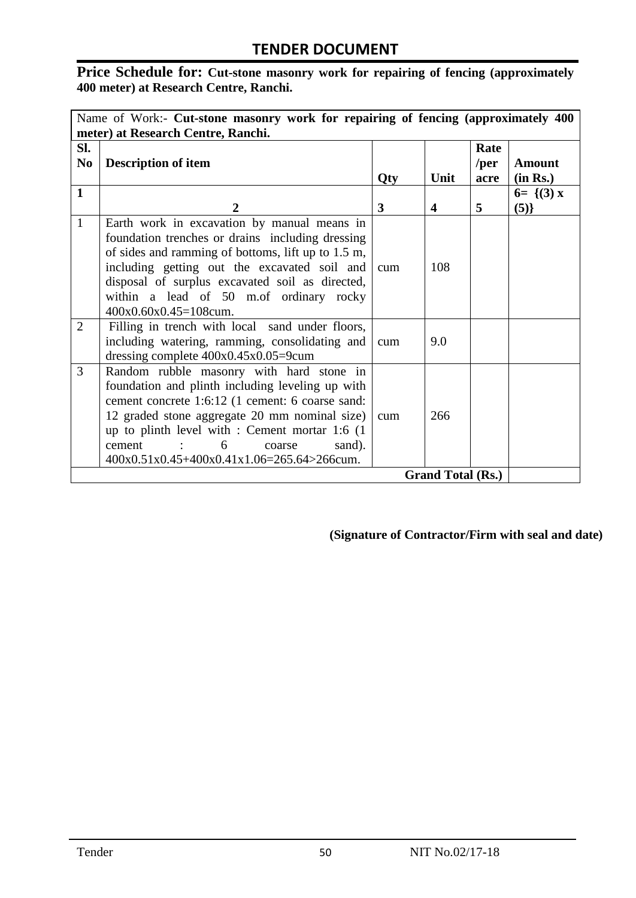# Price Schedule for: Cut-stone masonry work for repairing of fencing (approximately **400 meter) at Research Centre, Ranchi.**

|                       | Name of Work:- Cut-stone masonry work for repairing of fencing (approximately 400)<br>meter) at Research Centre, Ranchi.                                                                                                                                                                                                                                         |            |                          |                      |                           |  |  |
|-----------------------|------------------------------------------------------------------------------------------------------------------------------------------------------------------------------------------------------------------------------------------------------------------------------------------------------------------------------------------------------------------|------------|--------------------------|----------------------|---------------------------|--|--|
| Sl.<br>N <sub>0</sub> | <b>Description of item</b>                                                                                                                                                                                                                                                                                                                                       | <b>Qty</b> | Unit                     | Rate<br>/per<br>acre | <b>Amount</b><br>(in Rs.) |  |  |
| $\mathbf{1}$          | $\overline{2}$                                                                                                                                                                                                                                                                                                                                                   | 3          | 4                        | 5                    | $6 = \{(3) x$<br>(5)      |  |  |
| $\mathbf{1}$          | Earth work in excavation by manual means in<br>foundation trenches or drains including dressing<br>of sides and ramming of bottoms, lift up to 1.5 m,<br>including getting out the excavated soil and<br>disposal of surplus excavated soil as directed,<br>within a lead of 50 m.of ordinary rocky<br>400x0.60x0.45=108cum.                                     | cum        | 108                      |                      |                           |  |  |
| $\overline{2}$        | Filling in trench with local sand under floors,<br>including watering, ramming, consolidating and<br>dressing complete $400x0.45x0.05=9$ cum                                                                                                                                                                                                                     | cum        | 9.0                      |                      |                           |  |  |
| 3                     | Random rubble masonry with hard stone in<br>foundation and plinth including leveling up with<br>cement concrete 1:6:12 (1 cement: 6 coarse sand:<br>12 graded stone aggregate 20 mm nominal size)<br>up to plinth level with : Cement mortar 1:6 (1)<br>6<br>cement<br>and the state of the<br>sand).<br>coarse<br>$400x0.51x0.45+400x0.41x1.06=265.64>266$ cum. | cum        | 266                      |                      |                           |  |  |
|                       |                                                                                                                                                                                                                                                                                                                                                                  |            | <b>Grand Total (Rs.)</b> |                      |                           |  |  |

**(Signature of Contractor/Firm with seal and date)**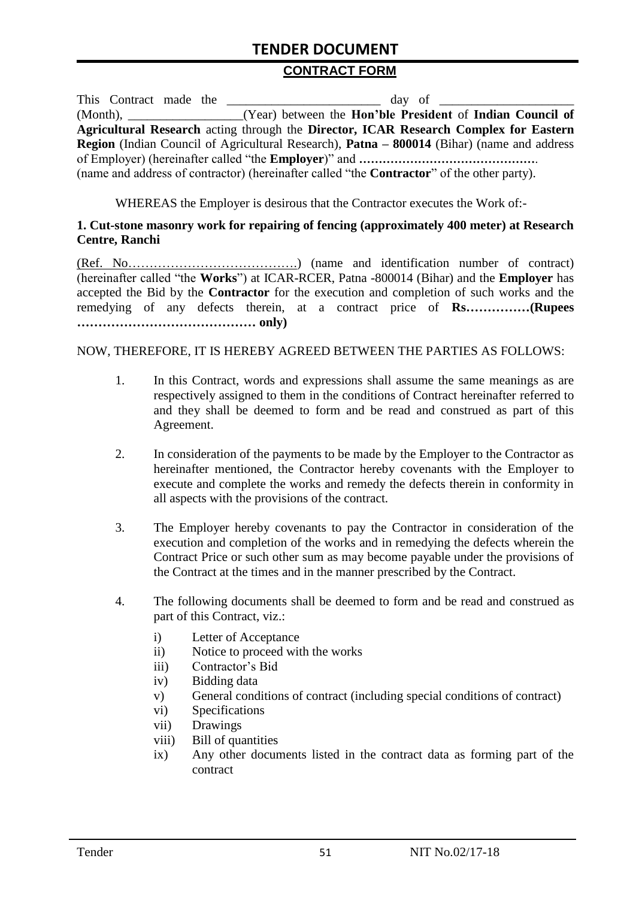#### **CONTRACT FORM**

| This Contract made the | $\frac{day}{dx}$ of $\frac{1}{x}$                                                                        |
|------------------------|----------------------------------------------------------------------------------------------------------|
|                        | (Month), _________________(Year) between the <b>Hon'ble President</b> of <b>Indian Council of</b>        |
|                        | Agricultural Research acting through the Director, ICAR Research Complex for Eastern                     |
|                        | <b>Region</b> (Indian Council of Agricultural Research), <b>Patna – 800014</b> (Bihar) (name and address |
|                        |                                                                                                          |
|                        | (name and address of contractor) (hereinafter called "the <b>Contractor</b> " of the other party).       |

WHEREAS the Employer is desirous that the Contractor executes the Work of:-

#### **1. Cut-stone masonry work for repairing of fencing (approximately 400 meter) at Research Centre, Ranchi**

(Ref. No………………………………….) (name and identification number of contract) (hereinafter called "the **Works**") at ICAR-RCER, Patna -800014 (Bihar) and the **Employer** has accepted the Bid by the **Contractor** for the execution and completion of such works and the remedying of any defects therein, at a contract price of **Rs……………(Rupees …………………………………… only)**

#### NOW, THEREFORE, IT IS HEREBY AGREED BETWEEN THE PARTIES AS FOLLOWS:

- 1. In this Contract, words and expressions shall assume the same meanings as are respectively assigned to them in the conditions of Contract hereinafter referred to and they shall be deemed to form and be read and construed as part of this Agreement.
- 2. In consideration of the payments to be made by the Employer to the Contractor as hereinafter mentioned, the Contractor hereby covenants with the Employer to execute and complete the works and remedy the defects therein in conformity in all aspects with the provisions of the contract.
- 3. The Employer hereby covenants to pay the Contractor in consideration of the execution and completion of the works and in remedying the defects wherein the Contract Price or such other sum as may become payable under the provisions of the Contract at the times and in the manner prescribed by the Contract.
- 4. The following documents shall be deemed to form and be read and construed as part of this Contract, viz.:
	- i) Letter of Acceptance
	- ii) Notice to proceed with the works
	- iii) Contractor"s Bid
	- iv) Bidding data
	- v) General conditions of contract (including special conditions of contract)
	- vi) Specifications
	- vii) Drawings
	- viii) Bill of quantities
	- ix) Any other documents listed in the contract data as forming part of the contract